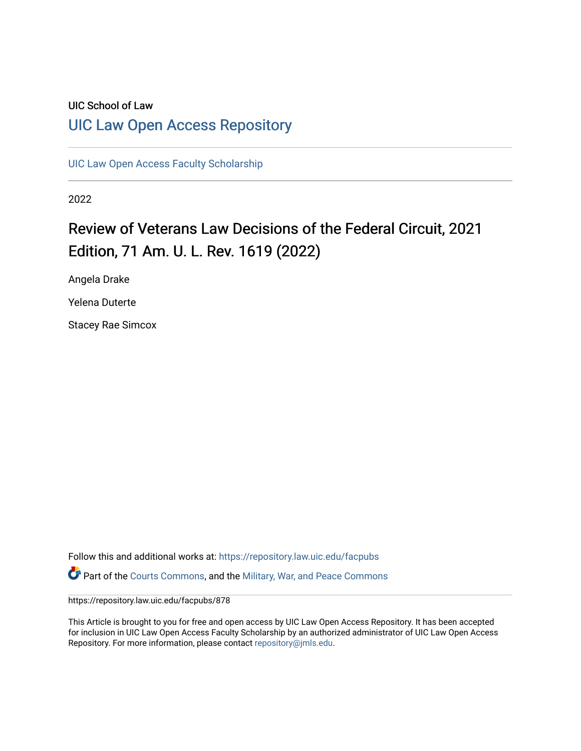### UIC School of Law [UIC Law Open Access Repository](https://repository.law.uic.edu/)

[UIC Law Open Access Faculty Scholarship](https://repository.law.uic.edu/facpubs)

2022

# Review of Veterans Law Decisions of the Federal Circuit, 2021 Edition, 71 Am. U. L. Rev. 1619 (2022)

Angela Drake

Yelena Duterte

Stacey Rae Simcox

Follow this and additional works at: [https://repository.law.uic.edu/facpubs](https://repository.law.uic.edu/facpubs?utm_source=repository.law.uic.edu%2Ffacpubs%2F878&utm_medium=PDF&utm_campaign=PDFCoverPages)  Part of the [Courts Commons,](https://network.bepress.com/hgg/discipline/839?utm_source=repository.law.uic.edu%2Ffacpubs%2F878&utm_medium=PDF&utm_campaign=PDFCoverPages) and the [Military, War, and Peace Commons](https://network.bepress.com/hgg/discipline/861?utm_source=repository.law.uic.edu%2Ffacpubs%2F878&utm_medium=PDF&utm_campaign=PDFCoverPages) 

https://repository.law.uic.edu/facpubs/878

This Article is brought to you for free and open access by UIC Law Open Access Repository. It has been accepted for inclusion in UIC Law Open Access Faculty Scholarship by an authorized administrator of UIC Law Open Access Repository. For more information, please contact [repository@jmls.edu.](mailto:repository@jmls.edu)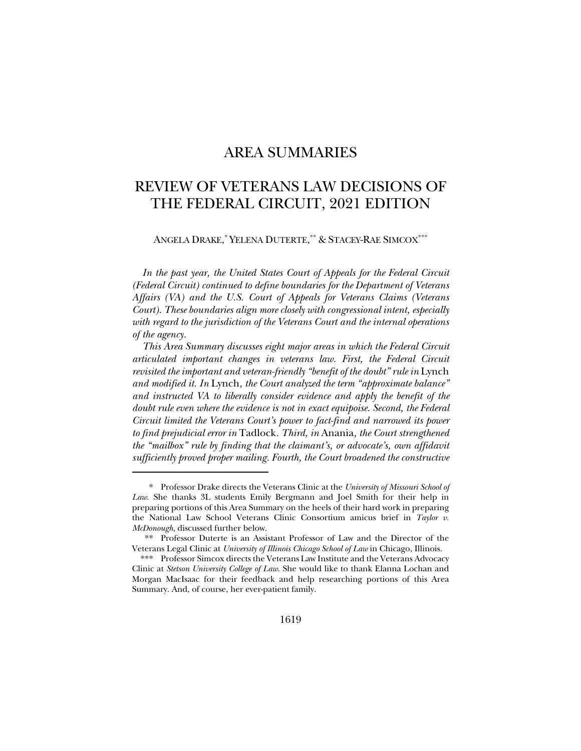### AREA SUMMARIES

### REVIEW OF VETERANS LAW DECISIONS OF THE FEDERAL CIRCUIT, 2021 EDITION

ANGELA DRAKE, \* YELENA DUTERTE, \*\* & STACEY-RAE SIMCOX\*\*\*

*In the past year, the United States Court of Appeals for the Federal Circuit (Federal Circuit) continued to define boundaries for the Department of Veterans Affairs (VA) and the U.S. Court of Appeals for Veterans Claims (Veterans Court). These boundaries align more closely with congressional intent, especially with regard to the jurisdiction of the Veterans Court and the internal operations of the agency.*

*This Area Summary discusses eight major areas in which the Federal Circuit articulated important changes in veterans law. First, the Federal Circuit revisited the important and veteran-friendly "benefit of the doubt" rule in* Lynch *and modified it. In* Lynch*, the Court analyzed the term "approximate balance" and instructed VA to liberally consider evidence and apply the benefit of the doubt rule even where the evidence is not in exact equipoise. Second, the Federal Circuit limited the Veterans Court's power to fact-find and narrowed its power to find prejudicial error in* Tadlock*. Third, in* Anania*, the Court strengthened the "mailbox" rule by finding that the claimant's, or advocate's, own affidavit sufficiently proved proper mailing. Fourth, the Court broadened the constructive* 

<sup>\*</sup> Professor Drake directs the Veterans Clinic at the *University of Missouri School of Law*. She thanks 3L students Emily Bergmann and Joel Smith for their help in preparing portions of this Area Summary on the heels of their hard work in preparing the National Law School Veterans Clinic Consortium amicus brief in *Taylor v. McDonough*, discussed further below.

<sup>\*\*</sup> Professor Duterte is an Assistant Professor of Law and the Director of the Veterans Legal Clinic at *University of Illinois Chicago School of Law* in Chicago, Illinois.

<sup>\*\*\*</sup> Professor Simcox directs the Veterans Law Institute and the Veterans Advocacy Clinic at *Stetson University College of Law*. She would like to thank Elanna Lochan and Morgan MacIsaac for their feedback and help researching portions of this Area Summary. And, of course, her ever-patient family.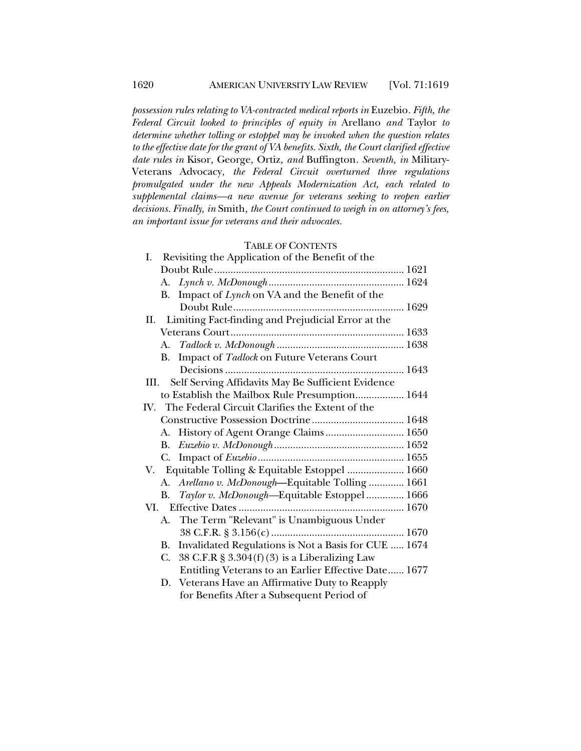*possession rules relating to VA-contracted medical reports in* Euzebio*. Fifth, the Federal Circuit looked to principles of equity in* Arellano *and* Taylor *to determine whether tolling or estoppel may be invoked when the question relates to the effective date for the grant of VA benefits. Sixth, the Court clarified effective date rules in* Kisor*,* George*,* Ortiz*, and* Buffington*. Seventh, in* Military-Veterans Advocacy*, the Federal Circuit overturned three regulations promulgated under the new Appeals Modernization Act, each related to supplemental claims—a new avenue for veterans seeking to reopen earlier decisions. Finally, in* Smith*, the Court continued to weigh in on attorney's fees, an important issue for veterans and their advocates.*

## TABLE OF CONTENTS

| TABLE OF CONTENTS                                          |
|------------------------------------------------------------|
| Revisiting the Application of the Benefit of the<br>Ι.     |
|                                                            |
|                                                            |
| Impact of Lynch on VA and the Benefit of the<br>В.         |
|                                                            |
| Limiting Fact-finding and Prejudicial Error at the<br>II.  |
|                                                            |
|                                                            |
| Impact of Tadlock on Future Veterans Court<br>В.           |
|                                                            |
| Self Serving Affidavits May Be Sufficient Evidence<br>III. |
| to Establish the Mailbox Rule Presumption 1644             |
| IV. The Federal Circuit Clarifies the Extent of the        |
|                                                            |
| A. History of Agent Orange Claims 1650                     |
|                                                            |
| C.                                                         |
| V. Equitable Tolling & Equitable Estoppel  1660            |
| A. Arellano v. McDonough-Equitable Tolling  1661           |
| Taylor v. McDonough-Equitable Estoppel  1666<br>В.         |
|                                                            |
| A. The Term "Relevant" is Unambiguous Under                |
|                                                            |
| Invalidated Regulations is Not a Basis for CUE  1674<br>B. |
| 38 C.F.R $\S 3.304(f)(3)$ is a Liberalizing Law<br>C.      |
| Entitling Veterans to an Earlier Effective Date 1677       |
| Veterans Have an Affirmative Duty to Reapply<br>D.         |
| for Benefits After a Subsequent Period of                  |
|                                                            |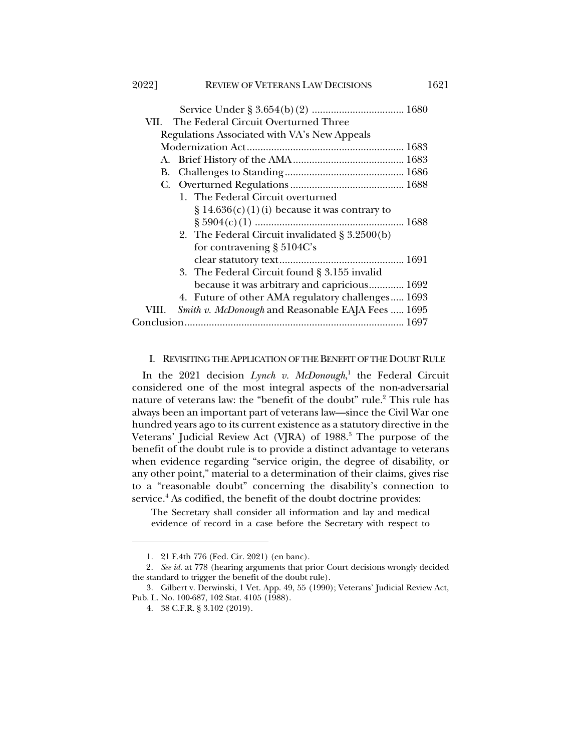| 20221 | <b>REVIEW OF VETERANS LAW DECISIONS</b>           | 1621 |
|-------|---------------------------------------------------|------|
|       |                                                   |      |
|       | VII. – The Federal Circuit Overturned Three       |      |
|       | Regulations Associated with VA's New Appeals      |      |
|       |                                                   |      |
|       |                                                   |      |
|       |                                                   |      |
|       |                                                   |      |
|       | 1. The Federal Circuit overturned                 |      |
|       | $\S 14.636(c)(1)(i)$ because it was contrary to   |      |
|       | $\frac{1688}{1688}$                               |      |
|       | 2. The Federal Circuit invalidated $\S 3.2500(b)$ |      |
|       | for contravening $\S 5104C$ 's                    |      |
|       |                                                   |      |
|       | 3. The Federal Circuit found § 3.155 invalid      |      |
|       | because it was arbitrary and capricious 1692      |      |
|       | 4. Future of other AMA regulatory challenges 1693 |      |

 VIII. *Smith v. McDonough* and Reasonable EAJA Fees ..... 1695 Conclusion................................................................................. 1697

#### I. REVISITING THE APPLICATION OF THE BENEFIT OF THE DOUBT RULE

In the 2021 decision *Lynch v. McDonough*, <sup>1</sup> the Federal Circuit considered one of the most integral aspects of the non-adversarial nature of veterans law: the "benefit of the doubt" rule.<sup>2</sup> This rule has always been an important part of veterans law—since the Civil War one hundred years ago to its current existence as a statutory directive in the Veterans' Judicial Review Act (VJRA) of 1988.<sup>3</sup> The purpose of the benefit of the doubt rule is to provide a distinct advantage to veterans when evidence regarding "service origin, the degree of disability, or any other point," material to a determination of their claims, gives rise to a "reasonable doubt" concerning the disability's connection to service.<sup>4</sup> As codified, the benefit of the doubt doctrine provides:

The Secretary shall consider all information and lay and medical evidence of record in a case before the Secretary with respect to

<sup>1.</sup> 21 F.4th 776 (Fed. Cir. 2021) (en banc).

<sup>2</sup>*. See id.* at 778 (hearing arguments that prior Court decisions wrongly decided the standard to trigger the benefit of the doubt rule).

<sup>3.</sup> Gilbert v. Derwinski, 1 Vet. App. 49, 55 (1990); Veterans' Judicial Review Act, Pub. L. No. 100-687, 102 Stat. 4105 (1988).

<sup>4.</sup> 38 C.F.R. § 3.102 (2019).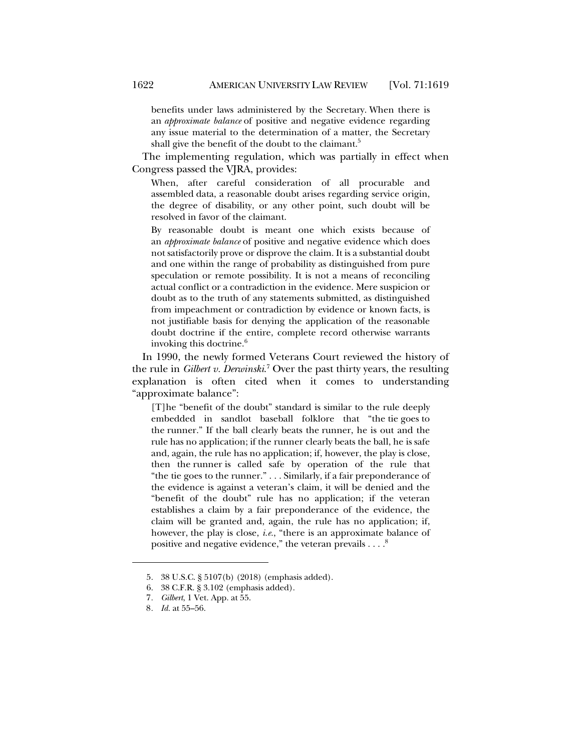benefits under laws administered by the Secretary. When there is an *approximate balance* of positive and negative evidence regarding any issue material to the determination of a matter, the Secretary shall give the benefit of the doubt to the claimant.<sup>5</sup>

The implementing regulation, which was partially in effect when Congress passed the VJRA, provides:

When, after careful consideration of all procurable and assembled data, a reasonable doubt arises regarding service origin, the degree of disability, or any other point, such doubt will be resolved in favor of the claimant.

By reasonable doubt is meant one which exists because of an *approximate balance* of positive and negative evidence which does not satisfactorily prove or disprove the claim. It is a substantial doubt and one within the range of probability as distinguished from pure speculation or remote possibility. It is not a means of reconciling actual conflict or a contradiction in the evidence. Mere suspicion or doubt as to the truth of any statements submitted, as distinguished from impeachment or contradiction by evidence or known facts, is not justifiable basis for denying the application of the reasonable doubt doctrine if the entire, complete record otherwise warrants invoking this doctrine. $6$ 

In 1990, the newly formed Veterans Court reviewed the history of the rule in *Gilbert v. Derwinski*. <sup>7</sup> Over the past thirty years, the resulting explanation is often cited when it comes to understanding "approximate balance":

[T]he "benefit of the doubt" standard is similar to the rule deeply embedded in sandlot baseball folklore that "the tie goes to the runner." If the ball clearly beats the runner, he is out and the rule has no application; if the runner clearly beats the ball, he is safe and, again, the rule has no application; if, however, the play is close, then the runner is called safe by operation of the rule that "the tie goes to the runner." . . . Similarly, if a fair preponderance of the evidence is against a veteran's claim, it will be denied and the "benefit of the doubt" rule has no application; if the veteran establishes a claim by a fair preponderance of the evidence, the claim will be granted and, again, the rule has no application; if, however, the play is close, *i.e.*, "there is an approximate balance of positive and negative evidence," the veteran prevails  $\ldots.^8$ 

<sup>5.</sup> 38 U.S.C. § 5107(b) (2018) (emphasis added).

<sup>6.</sup> 38 C.F.R. § 3.102 (emphasis added).

<sup>7</sup>*. Gilbert*, 1 Vet. App. at 55.

<sup>8</sup>*. Id.* at 55–56.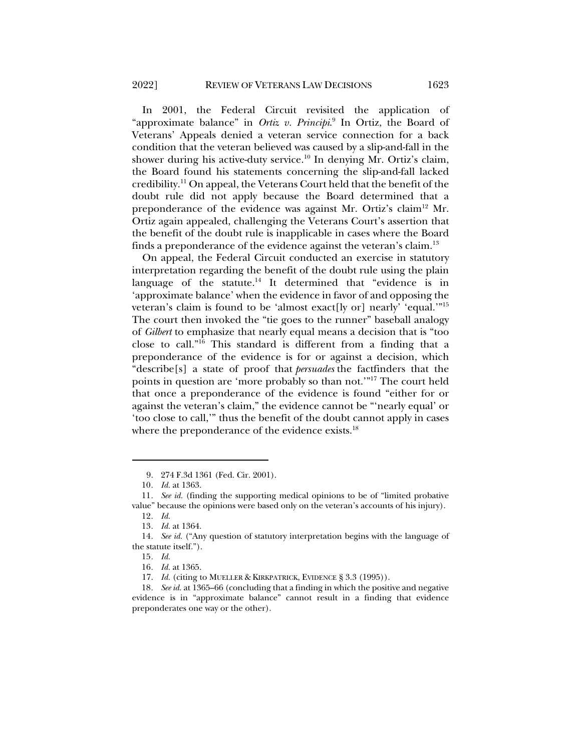In 2001, the Federal Circuit revisited the application of "approximate balance" in *Ortiz v. Principi*. <sup>9</sup> In Ortiz, the Board of Veterans' Appeals denied a veteran service connection for a back condition that the veteran believed was caused by a slip-and-fall in the shower during his active-duty service. <sup>10</sup> In denying Mr. Ortiz's claim, the Board found his statements concerning the slip-and-fall lacked credibility.11 On appeal, the Veterans Court held that the benefit of the doubt rule did not apply because the Board determined that a preponderance of the evidence was against Mr. Ortiz's claim<sup>12</sup> Mr. Ortiz again appealed, challenging the Veterans Court's assertion that the benefit of the doubt rule is inapplicable in cases where the Board finds a preponderance of the evidence against the veteran's claim.13

On appeal, the Federal Circuit conducted an exercise in statutory interpretation regarding the benefit of the doubt rule using the plain language of the statute.<sup>14</sup> It determined that "evidence is in 'approximate balance' when the evidence in favor of and opposing the veteran's claim is found to be 'almost exact[ly or] nearly' 'equal.'"15 The court then invoked the "tie goes to the runner" baseball analogy of *Gilbert* to emphasize that nearly equal means a decision that is "too close to call."16 This standard is different from a finding that a preponderance of the evidence is for or against a decision, which "describe[s] a state of proof that *persuades* the factfinders that the points in question are 'more probably so than not.'"17 The court held that once a preponderance of the evidence is found "either for or against the veteran's claim," the evidence cannot be "'nearly equal' or 'too close to call,'" thus the benefit of the doubt cannot apply in cases where the preponderance of the evidence exists.<sup>18</sup>

<sup>9.</sup> 274 F.3d 1361 (Fed. Cir. 2001).

<sup>10</sup>*. Id.* at 1363.

<sup>11</sup>*. See id.* (finding the supporting medical opinions to be of "limited probative value" because the opinions were based only on the veteran's accounts of his injury).

<sup>12</sup>*. Id.*

<sup>13</sup>*. Id.* at 1364.

<sup>14</sup>*. See id.* ("Any question of statutory interpretation begins with the language of the statute itself.").

<sup>15</sup>*. Id.*

<sup>16</sup>*. Id.* at 1365.

<sup>17.</sup> *Id.* (citing to MUELLER & KIRKPATRICK, EVIDENCE § 3.3 (1995)).

<sup>18</sup>*. See id.* at 1365–66 (concluding that a finding in which the positive and negative evidence is in "approximate balance" cannot result in a finding that evidence preponderates one way or the other).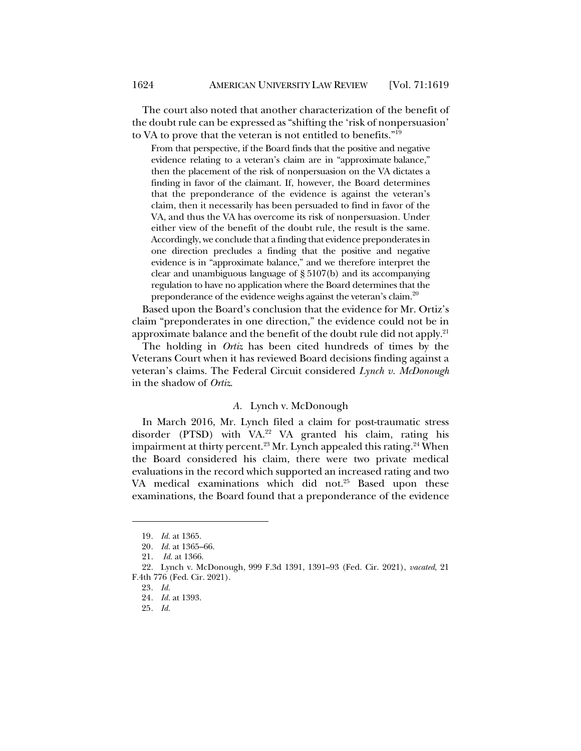The court also noted that another characterization of the benefit of the doubt rule can be expressed as "shifting the 'risk of nonpersuasion' to VA to prove that the veteran is not entitled to benefits."19

From that perspective, if the Board finds that the positive and negative evidence relating to a veteran's claim are in "approximate balance," then the placement of the risk of nonpersuasion on the VA dictates a finding in favor of the claimant. If, however, the Board determines that the preponderance of the evidence is against the veteran's claim, then it necessarily has been persuaded to find in favor of the VA, and thus the VA has overcome its risk of nonpersuasion. Under either view of the benefit of the doubt rule, the result is the same. Accordingly, we conclude that a finding that evidence preponderates in one direction precludes a finding that the positive and negative evidence is in "approximate balance," and we therefore interpret the clear and unambiguous language of § 5107(b) and its accompanying regulation to have no application where the Board determines that the preponderance of the evidence weighs against the veteran's claim.<sup>20</sup>

Based upon the Board's conclusion that the evidence for Mr. Ortiz's claim "preponderates in one direction," the evidence could not be in approximate balance and the benefit of the doubt rule did not apply.<sup>21</sup>

The holding in *Ortiz* has been cited hundreds of times by the Veterans Court when it has reviewed Board decisions finding against a veteran's claims. The Federal Circuit considered *Lynch v. McDonough* in the shadow of *Ortiz*.

#### *A.* Lynch v. McDonough

In March 2016, Mr. Lynch filed a claim for post-traumatic stress disorder (PTSD) with VA.<sup>22</sup> VA granted his claim, rating his impairment at thirty percent.<sup>23</sup> Mr. Lynch appealed this rating.<sup>24</sup> When the Board considered his claim, there were two private medical evaluations in the record which supported an increased rating and two VA medical examinations which did not. <sup>25</sup> Based upon these examinations, the Board found that a preponderance of the evidence

<sup>19</sup>*. Id.* at 1365.

<sup>20</sup>*. Id.* at 1365–66.

<sup>21.</sup> *Id.* at 1366.

<sup>22.</sup> Lynch v. McDonough, 999 F.3d 1391, 1391–93 (Fed. Cir. 2021), *vacated*, 21 F.4th 776 (Fed. Cir. 2021).

<sup>23</sup>*. Id.*

<sup>24</sup>*. Id.* at 1393.

<sup>25</sup>*. Id.*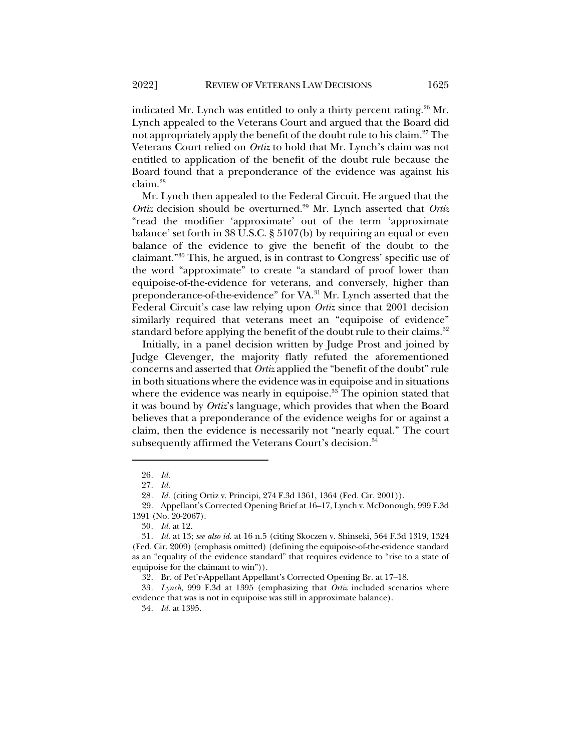indicated Mr. Lynch was entitled to only a thirty percent rating.<sup>26</sup> Mr. Lynch appealed to the Veterans Court and argued that the Board did not appropriately apply the benefit of the doubt rule to his claim.27 The Veterans Court relied on *Ortiz* to hold that Mr. Lynch's claim was not entitled to application of the benefit of the doubt rule because the Board found that a preponderance of the evidence was against his claim.28

Mr. Lynch then appealed to the Federal Circuit. He argued that the *Ortiz* decision should be overturned.<sup>29</sup> Mr. Lynch asserted that *Ortiz* "read the modifier 'approximate' out of the term 'approximate balance' set forth in 38 U.S.C. § 5107(b) by requiring an equal or even balance of the evidence to give the benefit of the doubt to the claimant."30 This, he argued, is in contrast to Congress' specific use of the word "approximate" to create "a standard of proof lower than equipoise-of-the-evidence for veterans, and conversely, higher than preponderance-of-the-evidence" for VA.31 Mr. Lynch asserted that the Federal Circuit's case law relying upon *Ortiz* since that 2001 decision similarly required that veterans meet an "equipoise of evidence" standard before applying the benefit of the doubt rule to their claims.<sup>32</sup>

Initially, in a panel decision written by Judge Prost and joined by Judge Clevenger, the majority flatly refuted the aforementioned concerns and asserted that *Ortiz* applied the "benefit of the doubt" rule in both situations where the evidence was in equipoise and in situations where the evidence was nearly in equipoise.<sup>33</sup> The opinion stated that it was bound by *Ortiz*'s language, which provides that when the Board believes that a preponderance of the evidence weighs for or against a claim, then the evidence is necessarily not "nearly equal." The court subsequently affirmed the Veterans Court's decision.<sup>34</sup>

<sup>26</sup>*. Id.*

<sup>27</sup>*. Id.*

<sup>28</sup>*. Id.* (citing Ortiz v. Principi, 274 F.3d 1361, 1364 (Fed. Cir. 2001)).

<sup>29.</sup> Appellant's Corrected Opening Brief at 16–17, Lynch v. McDonough, 999 F.3d 1391 (No. 20-2067).

<sup>30</sup>*. Id.* at 12.

<sup>31</sup>*. Id.* at 13; *see also id.* at 16 n.5 (citing Skoczen v. Shinseki, 564 F.3d 1319, 1324 (Fed. Cir. 2009) (emphasis omitted) (defining the equipoise-of-the-evidence standard as an "equality of the evidence standard" that requires evidence to "rise to a state of equipoise for the claimant to win")).

<sup>32.</sup> Br. of Pet'r-Appellant Appellant's Corrected Opening Br. at 17–18.

<sup>33</sup>*. Lynch*, 999 F.3d at 1395 (emphasizing that *Ortiz* included scenarios where evidence that was is not in equipoise was still in approximate balance).

<sup>34</sup>*. Id.* at 1395.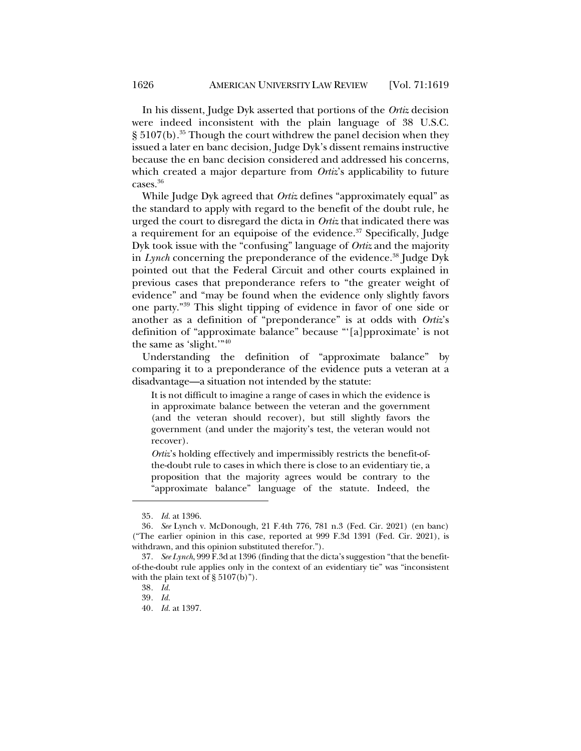In his dissent, Judge Dyk asserted that portions of the *Ortiz* decision were indeed inconsistent with the plain language of 38 U.S.C. § 5107(b).<sup>35</sup> Though the court withdrew the panel decision when they issued a later en banc decision, Judge Dyk's dissent remains instructive because the en banc decision considered and addressed his concerns, which created a major departure from *Ortiz*'s applicability to future cases.<sup>36</sup>

While Judge Dyk agreed that *Ortiz* defines "approximately equal" as the standard to apply with regard to the benefit of the doubt rule, he urged the court to disregard the dicta in *Ortiz* that indicated there was a requirement for an equipoise of the evidence. $37$  Specifically, Judge Dyk took issue with the "confusing" language of *Ortiz* and the majority in *Lynch* concerning the preponderance of the evidence.<sup>38</sup> Judge Dyk pointed out that the Federal Circuit and other courts explained in previous cases that preponderance refers to "the greater weight of evidence" and "may be found when the evidence only slightly favors one party."39 This slight tipping of evidence in favor of one side or another as a definition of "preponderance" is at odds with *Ortiz*'s definition of "approximate balance" because "'[a]pproximate' is not the same as 'slight.'"40

Understanding the definition of "approximate balance" by comparing it to a preponderance of the evidence puts a veteran at a disadvantage—a situation not intended by the statute:

It is not difficult to imagine a range of cases in which the evidence is in approximate balance between the veteran and the government (and the veteran should recover), but still slightly favors the government (and under the majority's test, the veteran would not recover).

*Ortiz*'s holding effectively and impermissibly restricts the benefit-ofthe-doubt rule to cases in which there is close to an evidentiary tie, a proposition that the majority agrees would be contrary to the "approximate balance" language of the statute. Indeed, the

<sup>35</sup>*. Id.* at 1396.

<sup>36</sup>*. See* Lynch v. McDonough, 21 F.4th 776, 781 n.3 (Fed. Cir. 2021) (en banc) ("The earlier opinion in this case, reported at 999 F.3d 1391 (Fed. Cir. 2021), is withdrawn, and this opinion substituted therefor.").

<sup>37</sup>*. See Lynch*, 999 F.3d at 1396 (finding that the dicta's suggestion "that the benefitof-the-doubt rule applies only in the context of an evidentiary tie" was "inconsistent with the plain text of  $\S 5107(b)$ ").

<sup>38</sup>*. Id.*

<sup>39</sup>*. Id.*

<sup>40</sup>*. Id.* at 1397.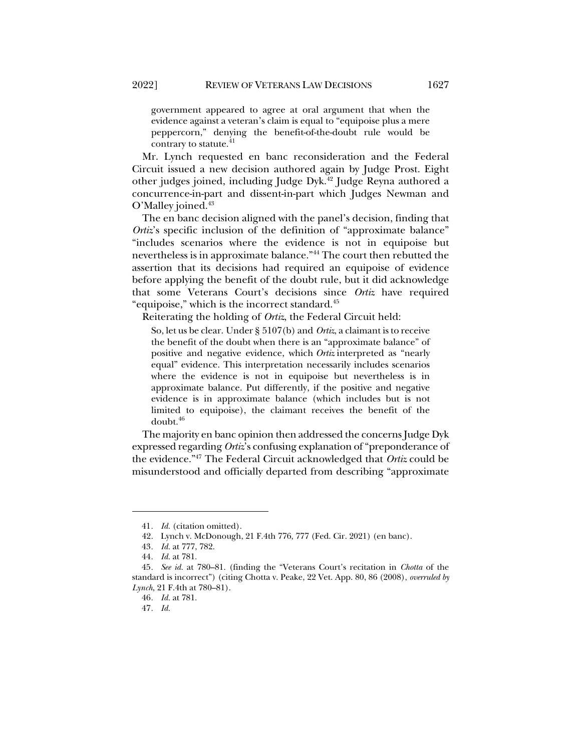government appeared to agree at oral argument that when the evidence against a veteran's claim is equal to "equipoise plus a mere peppercorn," denying the benefit-of-the-doubt rule would be contrary to statute. $41$ 

Mr. Lynch requested en banc reconsideration and the Federal Circuit issued a new decision authored again by Judge Prost. Eight other judges joined, including Judge Dyk.42 Judge Reyna authored a concurrence-in-part and dissent-in-part which Judges Newman and O'Malley joined.<sup>43</sup>

The en banc decision aligned with the panel's decision, finding that *Ortiz*'s specific inclusion of the definition of "approximate balance" "includes scenarios where the evidence is not in equipoise but nevertheless is in approximate balance."44 The court then rebutted the assertion that its decisions had required an equipoise of evidence before applying the benefit of the doubt rule, but it did acknowledge that some Veterans Court's decisions since *Ortiz* have required "equipoise," which is the incorrect standard.45

Reiterating the holding of *Ortiz*, the Federal Circuit held:

So, let us be clear. Under § 5107(b) and *Ortiz*, a claimant is to receive the benefit of the doubt when there is an "approximate balance" of positive and negative evidence, which *Ortiz* interpreted as "nearly equal" evidence. This interpretation necessarily includes scenarios where the evidence is not in equipoise but nevertheless is in approximate balance. Put differently, if the positive and negative evidence is in approximate balance (which includes but is not limited to equipoise), the claimant receives the benefit of the doubt.46

The majority en banc opinion then addressed the concerns Judge Dyk expressed regarding *Ortiz*'s confusing explanation of "preponderance of the evidence."47 The Federal Circuit acknowledged that *Ortiz* could be misunderstood and officially departed from describing "approximate

<sup>41</sup>*. Id.* (citation omitted).

<sup>42.</sup> Lynch v. McDonough, 21 F.4th 776, 777 (Fed. Cir. 2021) (en banc).

<sup>43</sup>*. Id.* at 777, 782.

<sup>44</sup>*. Id.* at 781.

<sup>45</sup>*. See id.* at 780–81. (finding the "Veterans Court's recitation in *Chotta* of the standard is incorrect") (citing Chotta v. Peake, 22 Vet. App. 80, 86 (2008), *overruled by Lynch*, 21 F.4th at 780–81).

<sup>46</sup>*. Id.* at 781.

<sup>47</sup>*. Id.*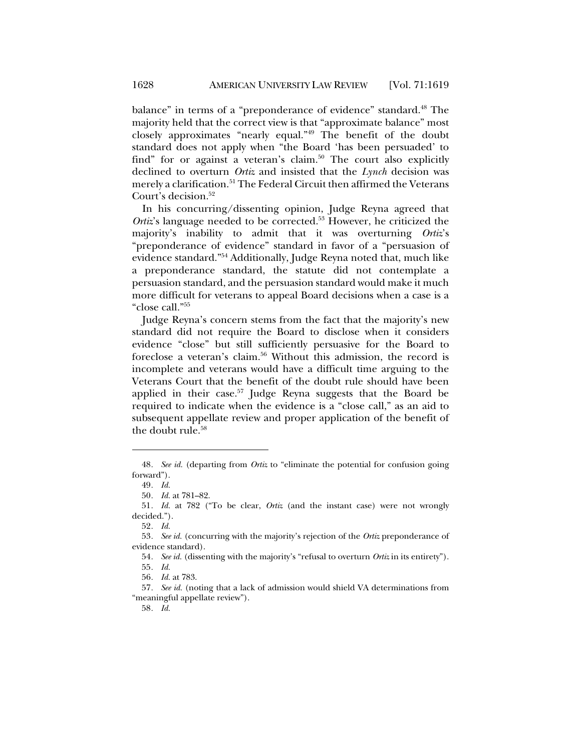balance" in terms of a "preponderance of evidence" standard.<sup>48</sup> The majority held that the correct view is that "approximate balance" most closely approximates "nearly equal."49 The benefit of the doubt standard does not apply when "the Board 'has been persuaded' to find" for or against a veteran's claim.<sup>50</sup> The court also explicitly declined to overturn *Ortiz* and insisted that the *Lynch* decision was merely a clarification.<sup>51</sup> The Federal Circuit then affirmed the Veterans Court's decision.<sup>52</sup>

In his concurring/dissenting opinion, Judge Reyna agreed that *Ortiz's* language needed to be corrected.<sup>53</sup> However, he criticized the majority's inability to admit that it was overturning *Ortiz*'s "preponderance of evidence" standard in favor of a "persuasion of evidence standard."54 Additionally, Judge Reyna noted that, much like a preponderance standard, the statute did not contemplate a persuasion standard, and the persuasion standard would make it much more difficult for veterans to appeal Board decisions when a case is a "close call."55

Judge Reyna's concern stems from the fact that the majority's new standard did not require the Board to disclose when it considers evidence "close" but still sufficiently persuasive for the Board to foreclose a veteran's claim.<sup>56</sup> Without this admission, the record is incomplete and veterans would have a difficult time arguing to the Veterans Court that the benefit of the doubt rule should have been applied in their case.<sup>57</sup> Judge Reyna suggests that the Board be required to indicate when the evidence is a "close call," as an aid to subsequent appellate review and proper application of the benefit of the doubt rule. $58$ 

<sup>48</sup>*. See id.* (departing from *Ortiz* to "eliminate the potential for confusion going forward").

<sup>49</sup>*. Id.*

<sup>50</sup>*. Id.* at 781–82.

<sup>51</sup>*. Id.* at 782 ("To be clear, *Ortiz* (and the instant case) were not wrongly decided.").

<sup>52</sup>*. Id.*

<sup>53</sup>*. See id.* (concurring with the majority's rejection of the *Ortiz* preponderance of evidence standard).

<sup>54</sup>*. See id.* (dissenting with the majority's "refusal to overturn *Ortiz* in its entirety"). 55*. Id.*

<sup>56</sup>*. Id.* at 783.

<sup>57</sup>*. See id.* (noting that a lack of admission would shield VA determinations from "meaningful appellate review").

<sup>58</sup>*. Id.*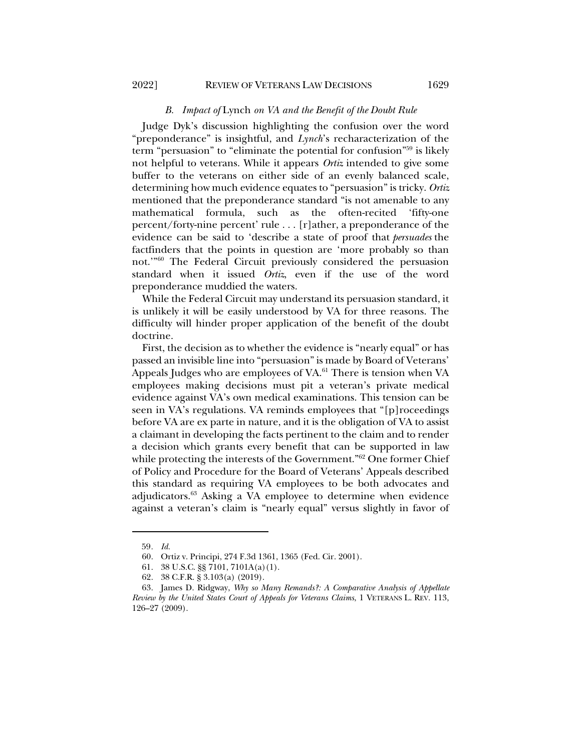#### *B. Impact of* Lynch *on VA and the Benefit of the Doubt Rule*

Judge Dyk's discussion highlighting the confusion over the word "preponderance" is insightful, and *Lynch*'s recharacterization of the term "persuasion" to "eliminate the potential for confusion"59 is likely not helpful to veterans. While it appears *Ortiz* intended to give some buffer to the veterans on either side of an evenly balanced scale, determining how much evidence equates to "persuasion" is tricky. *Ortiz* mentioned that the preponderance standard "is not amenable to any mathematical formula, such as the often-recited 'fifty-one percent/forty-nine percent' rule . . . [r]ather, a preponderance of the evidence can be said to 'describe a state of proof that *persuades* the factfinders that the points in question are 'more probably so than not.'"60 The Federal Circuit previously considered the persuasion standard when it issued *Ortiz*, even if the use of the word preponderance muddied the waters.

While the Federal Circuit may understand its persuasion standard, it is unlikely it will be easily understood by VA for three reasons. The difficulty will hinder proper application of the benefit of the doubt doctrine.

First, the decision as to whether the evidence is "nearly equal" or has passed an invisible line into "persuasion" is made by Board of Veterans' Appeals Judges who are employees of VA.<sup>61</sup> There is tension when VA employees making decisions must pit a veteran's private medical evidence against VA's own medical examinations. This tension can be seen in VA's regulations. VA reminds employees that "[p]roceedings before VA are ex parte in nature, and it is the obligation of VA to assist a claimant in developing the facts pertinent to the claim and to render a decision which grants every benefit that can be supported in law while protecting the interests of the Government."<sup>62</sup> One former Chief of Policy and Procedure for the Board of Veterans' Appeals described this standard as requiring VA employees to be both advocates and adjudicators.<sup>63</sup> Asking a VA employee to determine when evidence against a veteran's claim is "nearly equal" versus slightly in favor of

<sup>59</sup>*. Id.*

<sup>60.</sup> Ortiz v. Principi, 274 F.3d 1361, 1365 (Fed. Cir. 2001).

<sup>61.</sup> 38 U.S.C. §§ 7101, 7101A(a)(1).

<sup>62.</sup> 38 C.F.R. § 3.103(a) (2019).

<sup>63.</sup> James D. Ridgway, *Why so Many Remands?: A Comparative Analysis of Appellate Review by the United States Court of Appeals for Veterans Claims*, 1 VETERANS L. REV. 113, 126–27 (2009).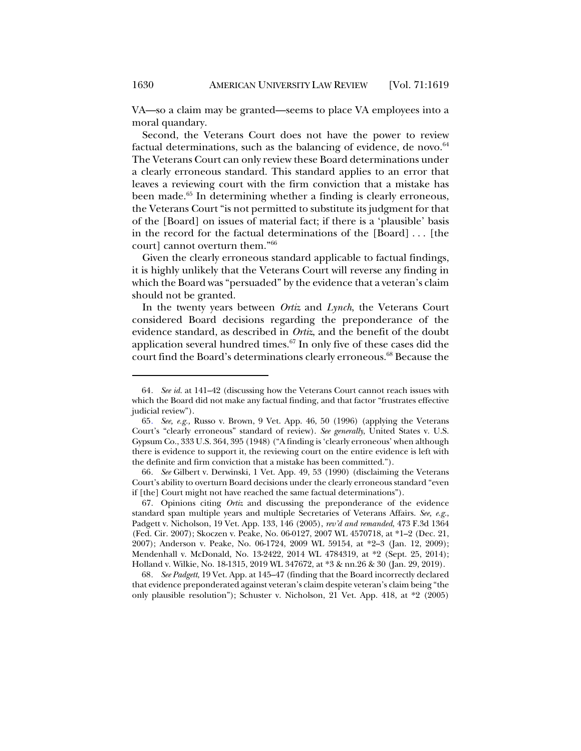VA—so a claim may be granted—seems to place VA employees into a moral quandary.

Second, the Veterans Court does not have the power to review factual determinations, such as the balancing of evidence, de novo. $64$ The Veterans Court can only review these Board determinations under a clearly erroneous standard. This standard applies to an error that leaves a reviewing court with the firm conviction that a mistake has been made.<sup>65</sup> In determining whether a finding is clearly erroneous, the Veterans Court "is not permitted to substitute its judgment for that of the [Board] on issues of material fact; if there is a 'plausible' basis in the record for the factual determinations of the [Board] . . . [the court] cannot overturn them."66

Given the clearly erroneous standard applicable to factual findings, it is highly unlikely that the Veterans Court will reverse any finding in which the Board was "persuaded" by the evidence that a veteran's claim should not be granted.

In the twenty years between *Ortiz* and *Lynch*, the Veterans Court considered Board decisions regarding the preponderance of the evidence standard, as described in *Ortiz*, and the benefit of the doubt application several hundred times.67 In only five of these cases did the court find the Board's determinations clearly erroneous.<sup>68</sup> Because the

68*. See Padgett*, 19 Vet. App. at 145–47 (finding that the Board incorrectly declared that evidence preponderated against veteran's claim despite veteran's claim being "the only plausible resolution"); Schuster v. Nicholson, 21 Vet. App. 418, at \*2 (2005)

<sup>64</sup>*. See id.* at 141–42 (discussing how the Veterans Court cannot reach issues with which the Board did not make any factual finding, and that factor "frustrates effective judicial review").

<sup>65</sup>*. See, e.g.,* Russo v. Brown, 9 Vet. App. 46, 50 (1996) (applying the Veterans Court's "clearly erroneous" standard of review). *See generally*, United States v. U.S. Gypsum Co., 333 U.S. 364, 395 (1948) ("A finding is 'clearly erroneous' when although there is evidence to support it, the reviewing court on the entire evidence is left with the definite and firm conviction that a mistake has been committed.").

<sup>66</sup>*. See* Gilbert v. Derwinski, 1 Vet. App. 49, 53 (1990) (disclaiming the Veterans Court's ability to overturn Board decisions under the clearly erroneous standard "even if [the] Court might not have reached the same factual determinations").

<sup>67.</sup> Opinions citing *Ortiz* and discussing the preponderance of the evidence standard span multiple years and multiple Secretaries of Veterans Affairs. *See, e.g.*, Padgett v. Nicholson, 19 Vet. App. 133, 146 (2005), *rev'd and remanded*, 473 F.3d 1364 (Fed. Cir. 2007); Skoczen v. Peake, No. 06-0127, 2007 WL 4570718, at \*1–2 (Dec. 21, 2007); Anderson v. Peake, No. 06-1724, 2009 WL 59154, at \*2–3 (Jan. 12, 2009); Mendenhall v. McDonald, No. 13-2422, 2014 WL 4784319, at \*2 (Sept. 25, 2014); Holland v. Wilkie, No. 18-1315, 2019 WL 347672, at \*3 & nn.26 & 30 (Jan. 29, 2019).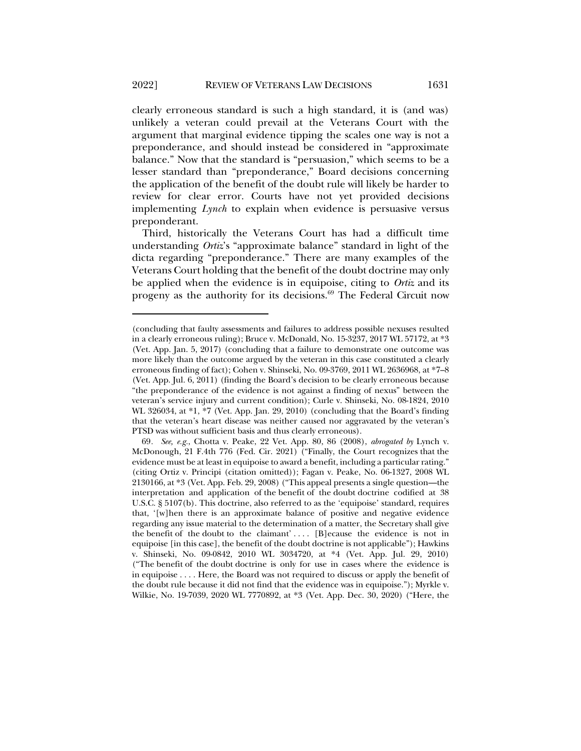clearly erroneous standard is such a high standard, it is (and was) unlikely a veteran could prevail at the Veterans Court with the argument that marginal evidence tipping the scales one way is not a preponderance, and should instead be considered in "approximate balance." Now that the standard is "persuasion," which seems to be a lesser standard than "preponderance," Board decisions concerning the application of the benefit of the doubt rule will likely be harder to review for clear error. Courts have not yet provided decisions implementing *Lynch* to explain when evidence is persuasive versus preponderant.

Third, historically the Veterans Court has had a difficult time understanding *Ortiz*'s "approximate balance" standard in light of the dicta regarding "preponderance." There are many examples of the Veterans Court holding that the benefit of the doubt doctrine may only be applied when the evidence is in equipoise, citing to *Ortiz* and its progeny as the authority for its decisions.<sup>69</sup> The Federal Circuit now

<sup>(</sup>concluding that faulty assessments and failures to address possible nexuses resulted in a clearly erroneous ruling); Bruce v. McDonald, No. 15-3237, 2017 WL 57172, at \*3 (Vet. App. Jan. 5, 2017) (concluding that a failure to demonstrate one outcome was more likely than the outcome argued by the veteran in this case constituted a clearly erroneous finding of fact); Cohen v. Shinseki, No. 09-3769, 2011 WL 2636968, at \*7–8 (Vet. App. Jul. 6, 2011) (finding the Board's decision to be clearly erroneous because "the preponderance of the evidence is not against a finding of nexus" between the veteran's service injury and current condition); Curle v. Shinseki, No. 08-1824, 2010 WL 326034, at \*1, \*7 (Vet. App. Jan. 29, 2010) (concluding that the Board's finding that the veteran's heart disease was neither caused nor aggravated by the veteran's PTSD was without sufficient basis and thus clearly erroneous).

<sup>69</sup>*. See, e.g.*, Chotta v. Peake, 22 Vet. App. 80, 86 (2008), *abrogated by* Lynch v. McDonough, 21 F.4th 776 (Fed. Cir. 2021) ("Finally, the Court recognizes that the evidence must be at least in equipoise to award a benefit, including a particular rating." (citing Ortiz v. Principi (citation omitted)); Fagan v. Peake, No. 06-1327, 2008 WL 2130166, at \*3 (Vet. App. Feb. 29, 2008) ("This appeal presents a single question—the interpretation and application of the benefit of the doubt doctrine codified at 38 U.S.C. § 5107(b). This doctrine, also referred to as the 'equipoise' standard, requires that, '[w]hen there is an approximate balance of positive and negative evidence regarding any issue material to the determination of a matter, the Secretary shall give the benefit of the doubt to the claimant' . . . . [B]ecause the evidence is not in equipoise [in this case], the benefit of the doubt doctrine is not applicable"); Hawkins v. Shinseki, No. 09-0842, 2010 WL 3034720, at \*4 (Vet. App. Jul. 29, 2010) ("The benefit of the doubt doctrine is only for use in cases where the evidence is in equipoise . . . . Here, the Board was not required to discuss or apply the benefit of the doubt rule because it did not find that the evidence was in equipoise."); Myrkle v. Wilkie, No. 19-7039, 2020 WL 7770892, at \*3 (Vet. App. Dec. 30, 2020) ("Here, the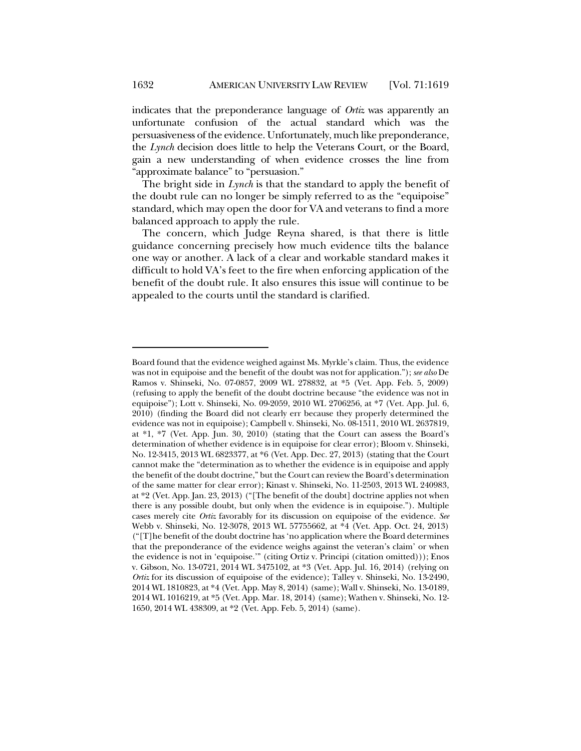indicates that the preponderance language of *Ortiz* was apparently an unfortunate confusion of the actual standard which was the persuasiveness of the evidence. Unfortunately, much like preponderance, the *Lynch* decision does little to help the Veterans Court, or the Board, gain a new understanding of when evidence crosses the line from "approximate balance" to "persuasion."

The bright side in *Lynch* is that the standard to apply the benefit of the doubt rule can no longer be simply referred to as the "equipoise" standard, which may open the door for VA and veterans to find a more balanced approach to apply the rule.

The concern, which Judge Reyna shared, is that there is little guidance concerning precisely how much evidence tilts the balance one way or another. A lack of a clear and workable standard makes it difficult to hold VA's feet to the fire when enforcing application of the benefit of the doubt rule. It also ensures this issue will continue to be appealed to the courts until the standard is clarified.

Board found that the evidence weighed against Ms. Myrkle's claim. Thus, the evidence was not in equipoise and the benefit of the doubt was not for application."); *see also* De Ramos v. Shinseki, No. 07-0857, 2009 WL 278832, at \*5 (Vet. App. Feb. 5, 2009) (refusing to apply the benefit of the doubt doctrine because "the evidence was not in equipoise"); Lott v. Shinseki, No. 09-2059, 2010 WL 2706256, at \*7 (Vet. App. Jul. 6, 2010) (finding the Board did not clearly err because they properly determined the evidence was not in equipoise); Campbell v. Shinseki, No. 08-1511, 2010 WL 2637819, at \*1, \*7 (Vet. App. Jun. 30, 2010) (stating that the Court can assess the Board's determination of whether evidence is in equipoise for clear error); Bloom v. Shinseki, No. 12-3415, 2013 WL 6823377, at \*6 (Vet. App. Dec. 27, 2013) (stating that the Court cannot make the "determination as to whether the evidence is in equipoise and apply the benefit of the doubt doctrine," but the Court can review the Board's determination of the same matter for clear error); Kinast v. Shinseki, No. 11-2503, 2013 WL 240983, at \*2 (Vet. App. Jan. 23, 2013) ("[The benefit of the doubt] doctrine applies not when there is any possible doubt, but only when the evidence is in equipoise."). Multiple cases merely cite *Ortiz* favorably for its discussion on equipoise of the evidence. *See* Webb v. Shinseki, No. 12-3078, 2013 WL 57755662, at \*4 (Vet. App. Oct. 24, 2013) ("[T]he benefit of the doubt doctrine has 'no application where the Board determines that the preponderance of the evidence weighs against the veteran's claim' or when the evidence is not in 'equipoise.'" (citing Ortiz v. Principi (citation omitted))); Enos v. Gibson, No. 13-0721, 2014 WL 3475102, at \*3 (Vet. App. Jul. 16, 2014) (relying on *Ortiz* for its discussion of equipoise of the evidence); Talley v. Shinseki, No. 13-2490, 2014 WL 1810823, at \*4 (Vet. App. May 8, 2014) (same); Wall v. Shinseki, No. 13-0189, 2014 WL 1016219, at \*5 (Vet. App. Mar. 18, 2014) (same); Wathen v. Shinseki, No. 12- 1650, 2014 WL 438309, at \*2 (Vet. App. Feb. 5, 2014) (same).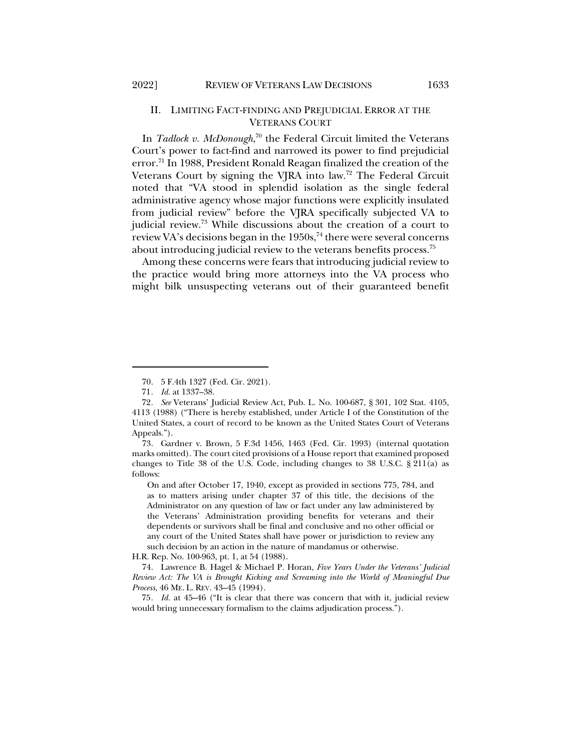#### II. LIMITING FACT-FINDING AND PREJUDICIAL ERROR AT THE VETERANS COURT

In *Tadlock v. McDonough*, <sup>70</sup> the Federal Circuit limited the Veterans Court's power to fact-find and narrowed its power to find prejudicial error.<sup>71</sup> In 1988, President Ronald Reagan finalized the creation of the Veterans Court by signing the VJRA into law.72 The Federal Circuit noted that "VA stood in splendid isolation as the single federal administrative agency whose major functions were explicitly insulated from judicial review" before the VJRA specifically subjected VA to judicial review.<sup>73</sup> While discussions about the creation of a court to review VA's decisions began in the  $1950s$ ,  $74$  there were several concerns about introducing judicial review to the veterans benefits process.<sup>75</sup>

Among these concerns were fears that introducing judicial review to the practice would bring more attorneys into the VA process who might bilk unsuspecting veterans out of their guaranteed benefit

73. Gardner v. Brown, 5 F.3d 1456, 1463 (Fed. Cir. 1993) (internal quotation marks omitted). The court cited provisions of a House report that examined proposed changes to Title 38 of the U.S. Code, including changes to 38 U.S.C. § 211(a) as follows:

On and after October 17, 1940, except as provided in sections 775, 784, and as to matters arising under chapter 37 of this title, the decisions of the Administrator on any question of law or fact under any law administered by the Veterans' Administration providing benefits for veterans and their dependents or survivors shall be final and conclusive and no other official or any court of the United States shall have power or jurisdiction to review any such decision by an action in the nature of mandamus or otherwise.

H.R. Rep. No. 100-963, pt. 1, at 54 (1988).

74. Lawrence B. Hagel & Michael P. Horan, *Five Years Under the Veterans' Judicial Review Act: The VA is Brought Kicking and Screaming into the World of Meaningful Due Process*, 46 ME. L. REV. 43–45 (1994).

75*. Id.* at 45–46 ("It is clear that there was concern that with it, judicial review would bring unnecessary formalism to the claims adjudication process.").

<sup>70.</sup> 5 F.4th 1327 (Fed. Cir. 2021).

<sup>71</sup>*. Id.* at 1337–38.

<sup>72</sup>*. See* Veterans' Judicial Review Act, Pub. L. No. 100-687, § 301, 102 Stat. 4105, 4113 (1988) ("There is hereby established, under Article I of the Constitution of the United States, a court of record to be known as the United States Court of Veterans Appeals.").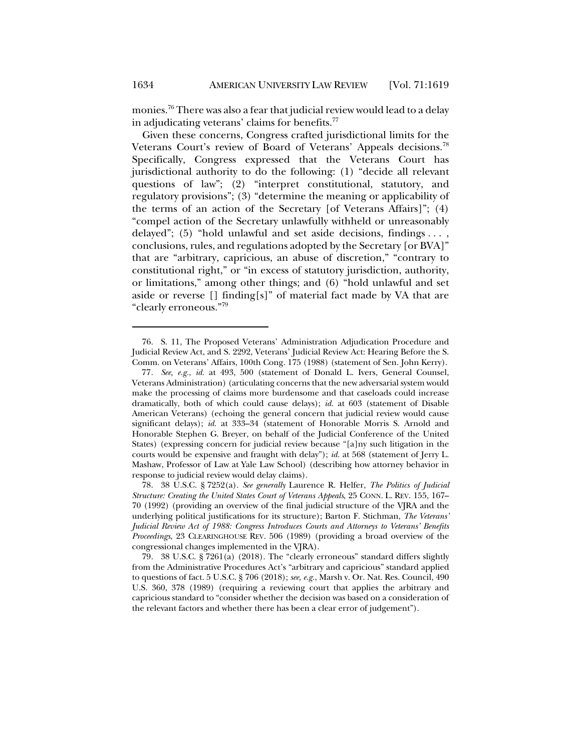monies.76 There was also a fear that judicial review would lead to a delay in adjudicating veterans' claims for benefits.<sup>77</sup>

Given these concerns, Congress crafted jurisdictional limits for the Veterans Court's review of Board of Veterans' Appeals decisions.<sup>78</sup> Specifically, Congress expressed that the Veterans Court has jurisdictional authority to do the following: (1) "decide all relevant questions of law"; (2) "interpret constitutional, statutory, and regulatory provisions"; (3) "determine the meaning or applicability of the terms of an action of the Secretary [of Veterans Affairs]"; (4) "compel action of the Secretary unlawfully withheld or unreasonably delayed"; (5) "hold unlawful and set aside decisions, findings . . . , conclusions, rules, and regulations adopted by the Secretary [or BVA]" that are "arbitrary, capricious, an abuse of discretion," "contrary to constitutional right," or "in excess of statutory jurisdiction, authority, or limitations," among other things; and (6) "hold unlawful and set aside or reverse  $[]$  finding $[s]$ " of material fact made by VA that are "clearly erroneous."79

<sup>76.</sup> S. 11, The Proposed Veterans' Administration Adjudication Procedure and Judicial Review Act, and S. 2292, Veterans' Judicial Review Act: Hearing Before the S. Comm. on Veterans' Affairs, 100th Cong. 175 (1988) (statement of Sen. John Kerry).

<sup>77</sup>*. See, e.g.*, *id.* at 493, 500 (statement of Donald L. Ivers, General Counsel, Veterans Administration) (articulating concerns that the new adversarial system would make the processing of claims more burdensome and that caseloads could increase dramatically, both of which could cause delays); *id.* at 603 (statement of Disable American Veterans) (echoing the general concern that judicial review would cause significant delays); *id.* at 333–34 (statement of Honorable Morris S. Arnold and Honorable Stephen G. Breyer, on behalf of the Judicial Conference of the United States) (expressing concern for judicial review because "[a]ny such litigation in the courts would be expensive and fraught with delay"); *id.* at 568 (statement of Jerry L. Mashaw, Professor of Law at Yale Law School) (describing how attorney behavior in response to judicial review would delay claims).

<sup>78.</sup> 38 U.S.C. § 7252(a). *See generally* Laurence R. Helfer, *The Politics of Judicial Structure: Creating the United States Court of Veterans Appeals*, 25 CONN. L. REV. 155, 167– 70 (1992) (providing an overview of the final judicial structure of the VJRA and the underlying political justifications for its structure); Barton F. Stichman, *The Veterans' Judicial Review Act of 1988: Congress Introduces Courts and Attorneys to Veterans' Benefits Proceedings*, 23 CLEARINGHOUSE REV. 506 (1989) (providing a broad overview of the congressional changes implemented in the VJRA).

<sup>79.</sup> 38 U.S.C. § 7261(a) (2018). The "clearly erroneous" standard differs slightly from the Administrative Procedures Act's "arbitrary and capricious" standard applied to questions of fact. 5 U.S.C. § 706 (2018); *see, e.g.*, Marsh v. Or. Nat. Res. Council, 490 U.S. 360, 378 (1989) (requiring a reviewing court that applies the arbitrary and capricious standard to "consider whether the decision was based on a consideration of the relevant factors and whether there has been a clear error of judgement").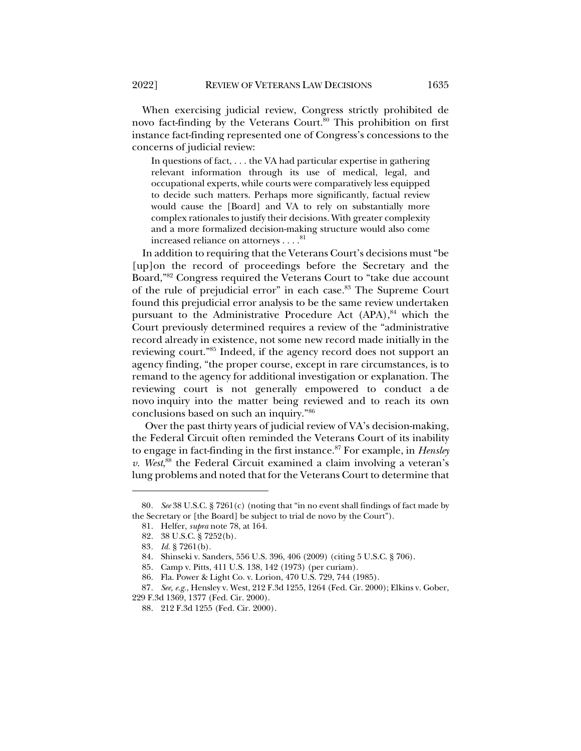When exercising judicial review, Congress strictly prohibited de novo fact-finding by the Veterans Court.<sup>80</sup> This prohibition on first instance fact-finding represented one of Congress's concessions to the concerns of judicial review:

In questions of fact, . . . the VA had particular expertise in gathering relevant information through its use of medical, legal, and occupational experts, while courts were comparatively less equipped to decide such matters. Perhaps more significantly, factual review would cause the [Board] and VA to rely on substantially more complex rationales to justify their decisions. With greater complexity and a more formalized decision-making structure would also come increased reliance on attorneys  $\ldots \overset{81}{.}$ 

In addition to requiring that the Veterans Court's decisions must "be [up]on the record of proceedings before the Secretary and the Board,"82 Congress required the Veterans Court to "take due account of the rule of prejudicial error" in each case.<sup>83</sup> The Supreme Court found this prejudicial error analysis to be the same review undertaken pursuant to the Administrative Procedure Act (APA),<sup>84</sup> which the Court previously determined requires a review of the "administrative record already in existence, not some new record made initially in the reviewing court."85 Indeed, if the agency record does not support an agency finding, "the proper course, except in rare circumstances, is to remand to the agency for additional investigation or explanation. The reviewing court is not generally empowered to conduct a de novo inquiry into the matter being reviewed and to reach its own conclusions based on such an inquiry."86

Over the past thirty years of judicial review of VA's decision-making, the Federal Circuit often reminded the Veterans Court of its inability to engage in fact-finding in the first instance.87 For example, in *Hensley v. West*, <sup>88</sup> the Federal Circuit examined a claim involving a veteran's lung problems and noted that for the Veterans Court to determine that

<sup>80</sup>*. See* 38 U.S.C. § 7261(c) (noting that "in no event shall findings of fact made by the Secretary or [the Board] be subject to trial de novo by the Court").

<sup>81.</sup> Helfer, *supra* note 78, at 164.

<sup>82.</sup> 38 U.S.C. § 7252(b).

<sup>83</sup>*. Id.* § 7261(b).

<sup>84.</sup> Shinseki v. Sanders, 556 U.S. 396, 406 (2009) (citing 5 U.S.C. § 706).

<sup>85.</sup> Camp v. Pitts, 411 U.S. 138, 142 (1973) (per curiam).

<sup>86.</sup> Fla. Power & Light Co. v. Lorion, 470 U.S. 729, 744 (1985).

<sup>87</sup>*. See, e.g.*, Hensley v. West, 212 F.3d 1255, 1264 (Fed. Cir. 2000); Elkins v. Gober, 229 F.3d 1369, 1377 (Fed. Cir. 2000).

<sup>88.</sup> 212 F.3d 1255 (Fed. Cir. 2000).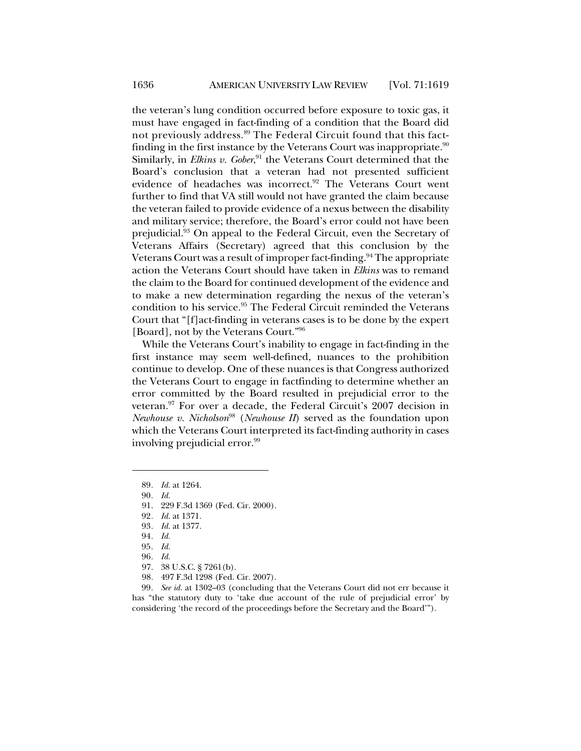the veteran's lung condition occurred before exposure to toxic gas, it must have engaged in fact-finding of a condition that the Board did not previously address.<sup>89</sup> The Federal Circuit found that this factfinding in the first instance by the Veterans Court was inappropriate.<sup>90</sup> Similarly, in *Elkins v. Gober*, <sup>91</sup> the Veterans Court determined that the Board's conclusion that a veteran had not presented sufficient evidence of headaches was incorrect.<sup>92</sup> The Veterans Court went further to find that VA still would not have granted the claim because the veteran failed to provide evidence of a nexus between the disability and military service; therefore, the Board's error could not have been prejudicial.93 On appeal to the Federal Circuit, even the Secretary of Veterans Affairs (Secretary) agreed that this conclusion by the Veterans Court was a result of improper fact-finding.<sup>94</sup> The appropriate action the Veterans Court should have taken in *Elkins* was to remand the claim to the Board for continued development of the evidence and to make a new determination regarding the nexus of the veteran's condition to his service.<sup>95</sup> The Federal Circuit reminded the Veterans Court that "[f]act-finding in veterans cases is to be done by the expert [Board], not by the Veterans Court."96

While the Veterans Court's inability to engage in fact-finding in the first instance may seem well-defined, nuances to the prohibition continue to develop. One of these nuances is that Congress authorized the Veterans Court to engage in factfinding to determine whether an error committed by the Board resulted in prejudicial error to the veteran.<sup>97</sup> For over a decade, the Federal Circuit's 2007 decision in *Newhouse v. Nicholson*<sup>98</sup> (*Newhouse II*) served as the foundation upon which the Veterans Court interpreted its fact-finding authority in cases involving prejudicial error. 99

- 97. 38 U.S.C. § 7261(b).
- 98. 497 F.3d 1298 (Fed. Cir. 2007).

99*. See id.* at 1302–03 (concluding that the Veterans Court did not err because it has "the statutory duty to 'take due account of the rule of prejudicial error' by considering 'the record of the proceedings before the Secretary and the Board'").

<sup>89</sup>*. Id.* at 1264.

<sup>90</sup>*. Id.*

<sup>91.</sup> 229 F.3d 1369 (Fed. Cir. 2000).

<sup>92</sup>*. Id.* at 1371.

<sup>93</sup>*. Id.* at 1377.

<sup>94</sup>*. Id.*

<sup>95</sup>*. Id.*

<sup>96</sup>*. Id.*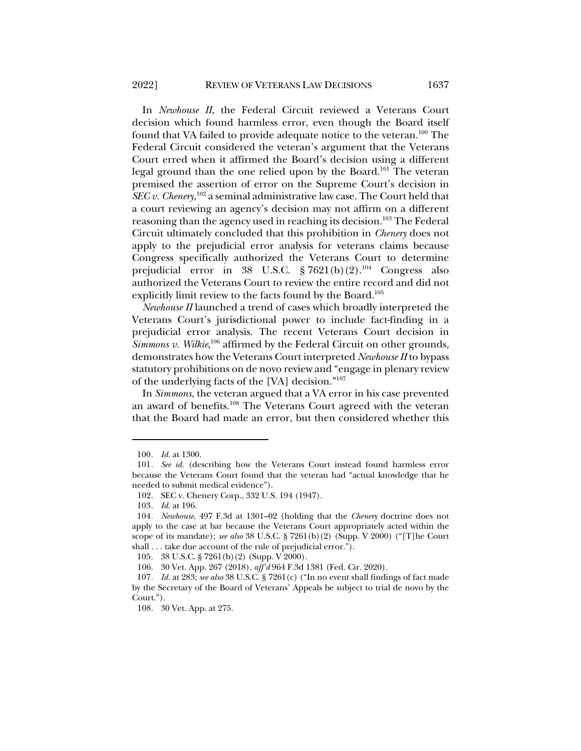In *Newhouse II*, the Federal Circuit reviewed a Veterans Court decision which found harmless error, even though the Board itself found that VA failed to provide adequate notice to the veteran.100 The Federal Circuit considered the veteran's argument that the Veterans Court erred when it affirmed the Board's decision using a different legal ground than the one relied upon by the Board.<sup>101</sup> The veteran premised the assertion of error on the Supreme Court's decision in *SEC v. Chenery*, <sup>102</sup> a seminal administrative law case. The Court held that a court reviewing an agency's decision may not affirm on a different reasoning than the agency used in reaching its decision.<sup>103</sup> The Federal Circuit ultimately concluded that this prohibition in *Chenery* does not apply to the prejudicial error analysis for veterans claims because Congress specifically authorized the Veterans Court to determine prejudicial error in 38 U.S.C. § 7621(b)(2).<sup>104</sup> Congress also authorized the Veterans Court to review the entire record and did not explicitly limit review to the facts found by the Board.<sup>105</sup>

*Newhouse II* launched a trend of cases which broadly interpreted the Veterans Court's jurisdictional power to include fact-finding in a prejudicial error analysis. The recent Veterans Court decision in *Simmons v. Wilkie*, <sup>106</sup> affirmed by the Federal Circuit on other grounds, demonstrates how the Veterans Court interpreted *Newhouse II* to bypass statutory prohibitions on de novo review and "engage in plenary review of the underlying facts of the [VA] decision."107

In *Simmons*, the veteran argued that a VA error in his case prevented an award of benefits.108 The Veterans Court agreed with the veteran that the Board had made an error, but then considered whether this

<sup>100</sup>*. Id.* at 1300.

<sup>101</sup>*. See id.* (describing how the Veterans Court instead found harmless error because the Veterans Court found that the veteran had "actual knowledge that he needed to submit medical evidence").

<sup>102.</sup> SEC v. Chenery Corp., 332 U.S. 194 (1947).

<sup>103</sup>*. Id.* at 196.

<sup>104</sup>*. Newhouse*, 497 F.3d at 1301–02 (holding that the *Chenery* doctrine does not apply to the case at bar because the Veterans Court appropriately acted within the scope of its mandate); *see also* 38 U.S.C. § 7261(b)(2) (Supp. V 2000) ("[T]he Court shall . . . take due account of the rule of prejudicial error.").

<sup>105</sup>*.* 38 U.S.C. § 7261(b)(2) (Supp. V 2000)*.*

<sup>106.</sup> 30 Vet. App. 267 (2018), *aff'd* 964 F.3d 1381 (Fed. Cir. 2020).

<sup>107</sup>*. Id.* at 283; *see also* 38 U.S.C. § 7261(c) ("In no event shall findings of fact made by the Secretary of the Board of Veterans' Appeals be subject to trial de novo by the Court.").

<sup>108.</sup> 30 Vet. App. at 275.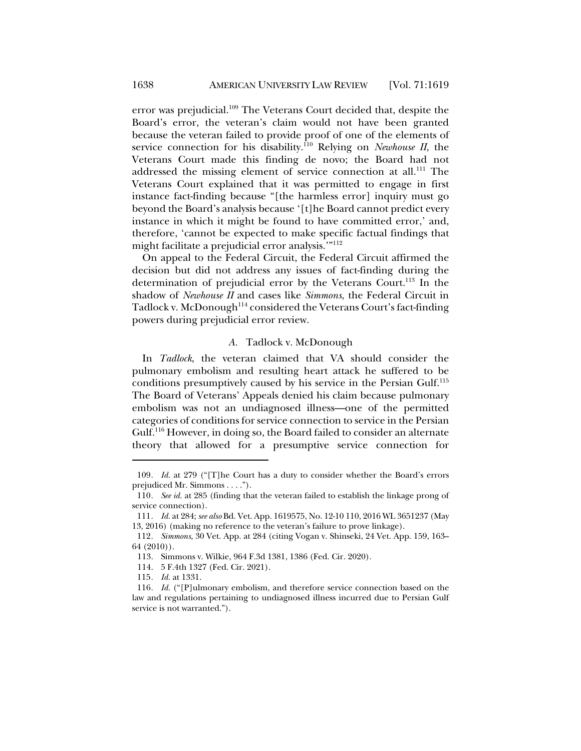error was prejudicial.<sup>109</sup> The Veterans Court decided that, despite the Board's error, the veteran's claim would not have been granted because the veteran failed to provide proof of one of the elements of service connection for his disability.<sup>110</sup> Relying on *Newhouse II*, the Veterans Court made this finding de novo; the Board had not addressed the missing element of service connection at all.<sup>111</sup> The Veterans Court explained that it was permitted to engage in first instance fact-finding because "[the harmless error] inquiry must go beyond the Board's analysis because '[t]he Board cannot predict every instance in which it might be found to have committed error,' and, therefore, 'cannot be expected to make specific factual findings that might facilitate a prejudicial error analysis.'"112

On appeal to the Federal Circuit, the Federal Circuit affirmed the decision but did not address any issues of fact-finding during the determination of prejudicial error by the Veterans Court.<sup>113</sup> In the shadow of *Newhouse II* and cases like *Simmons*, the Federal Circuit in Tadlock v. McDonough<sup>114</sup> considered the Veterans Court's fact-finding powers during prejudicial error review.

#### *A.* Tadlock v. McDonough

In *Tadlock*, the veteran claimed that VA should consider the pulmonary embolism and resulting heart attack he suffered to be conditions presumptively caused by his service in the Persian Gulf.115 The Board of Veterans' Appeals denied his claim because pulmonary embolism was not an undiagnosed illness—one of the permitted categories of conditions for service connection to service in the Persian Gulf.116 However, in doing so, the Board failed to consider an alternate theory that allowed for a presumptive service connection for

<sup>109</sup>*. Id.* at 279 ("[T]he Court has a duty to consider whether the Board's errors prejudiced Mr. Simmons . . . .").

<sup>110</sup>*. See id.* at 285 (finding that the veteran failed to establish the linkage prong of service connection).

<sup>111</sup>*. Id.* at 284; *see also* Bd. Vet. App. 1619575, No. 12-10 110, 2016 WL 3651237 (May 13, 2016) (making no reference to the veteran's failure to prove linkage).

<sup>112</sup>*. Simmons*, 30 Vet. App. at 284 (citing Vogan v. Shinseki, 24 Vet. App. 159, 163– 64 (2010)).

<sup>113.</sup> Simmons v. Wilkie, 964 F.3d 1381, 1386 (Fed. Cir. 2020).

<sup>114.</sup> 5 F.4th 1327 (Fed. Cir. 2021).

<sup>115</sup>*. Id.* at 1331.

<sup>116</sup>*. Id.* ("[P]ulmonary embolism, and therefore service connection based on the law and regulations pertaining to undiagnosed illness incurred due to Persian Gulf service is not warranted.").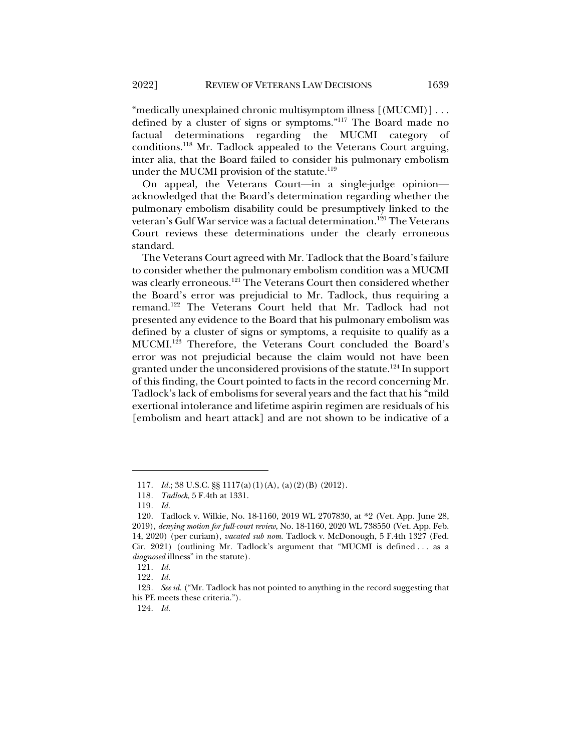"medically unexplained chronic multisymptom illness  $[(MUCM1)] \dots$ defined by a cluster of signs or symptoms."117 The Board made no factual determinations regarding the MUCMI category of conditions.118 Mr. Tadlock appealed to the Veterans Court arguing, inter alia, that the Board failed to consider his pulmonary embolism under the MUCMI provision of the statute. $119$ 

On appeal, the Veterans Court—in a single-judge opinion acknowledged that the Board's determination regarding whether the pulmonary embolism disability could be presumptively linked to the veteran's Gulf War service was a factual determination.<sup>120</sup> The Veterans Court reviews these determinations under the clearly erroneous standard.

The Veterans Court agreed with Mr. Tadlock that the Board's failure to consider whether the pulmonary embolism condition was a MUCMI was clearly erroneous.<sup>121</sup> The Veterans Court then considered whether the Board's error was prejudicial to Mr. Tadlock, thus requiring a remand.122 The Veterans Court held that Mr. Tadlock had not presented any evidence to the Board that his pulmonary embolism was defined by a cluster of signs or symptoms, a requisite to qualify as a MUCMI.123 Therefore, the Veterans Court concluded the Board's error was not prejudicial because the claim would not have been granted under the unconsidered provisions of the statute.<sup>124</sup> In support of this finding, the Court pointed to facts in the record concerning Mr. Tadlock's lack of embolisms for several years and the fact that his "mild exertional intolerance and lifetime aspirin regimen are residuals of his [embolism and heart attack] and are not shown to be indicative of a

<sup>117</sup>*. Id.*; 38 U.S.C. §§ 1117(a)(1)(A), (a)(2)(B) (2012).

<sup>118</sup>*. Tadlock*, 5 F.4th at 1331.

<sup>119</sup>*. Id.*

<sup>120.</sup> Tadlock v. Wilkie, No. 18-1160, 2019 WL 2707830, at \*2 (Vet. App. June 28, 2019), *denying motion for full-court review*, No. 18-1160, 2020 WL 738550 (Vet. App. Feb. 14, 2020) (per curiam), *vacated sub nom.* Tadlock v. McDonough, 5 F.4th 1327 (Fed. Cir. 2021) (outlining Mr. Tadlock's argument that "MUCMI is defined . . . as a *diagnosed* illness" in the statute).

<sup>121</sup>*. Id.*

<sup>122</sup>*. Id.*

<sup>123</sup>*. See id.* ("Mr. Tadlock has not pointed to anything in the record suggesting that his PE meets these criteria.").

<sup>124</sup>*. Id.*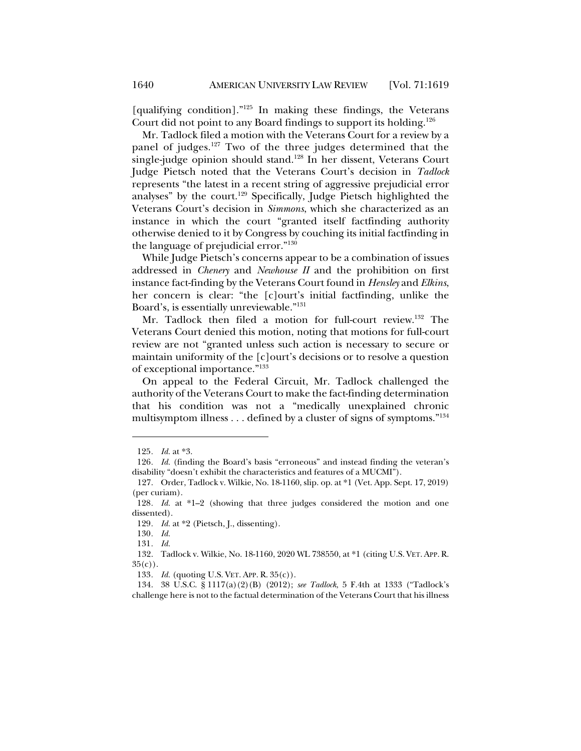[qualifying condition]."125 In making these findings, the Veterans Court did not point to any Board findings to support its holding.126

Mr. Tadlock filed a motion with the Veterans Court for a review by a panel of judges.127 Two of the three judges determined that the single-judge opinion should stand.128 In her dissent, Veterans Court Judge Pietsch noted that the Veterans Court's decision in *Tadlock* represents "the latest in a recent string of aggressive prejudicial error analyses" by the court.129 Specifically, Judge Pietsch highlighted the Veterans Court's decision in *Simmons*, which she characterized as an instance in which the court "granted itself factfinding authority otherwise denied to it by Congress by couching its initial factfinding in the language of prejudicial error."130

While Judge Pietsch's concerns appear to be a combination of issues addressed in *Chenery* and *Newhouse II* and the prohibition on first instance fact-finding by the Veterans Court found in *Hensley* and *Elkins*, her concern is clear: "the [c]ourt's initial factfinding, unlike the Board's, is essentially unreviewable."131

Mr. Tadlock then filed a motion for full-court review.<sup>132</sup> The Veterans Court denied this motion, noting that motions for full-court review are not "granted unless such action is necessary to secure or maintain uniformity of the [c]ourt's decisions or to resolve a question of exceptional importance."133

On appeal to the Federal Circuit, Mr. Tadlock challenged the authority of the Veterans Court to make the fact-finding determination that his condition was not a "medically unexplained chronic multisymptom illness . . . defined by a cluster of signs of symptoms."134

<sup>125</sup>*. Id.* at \*3.

<sup>126</sup>*. Id.* (finding the Board's basis "erroneous" and instead finding the veteran's disability "doesn't exhibit the characteristics and features of a MUCMI").

<sup>127.</sup> Order, Tadlock v. Wilkie, No. 18-1160, slip. op. at \*1 (Vet. App. Sept. 17, 2019) (per curiam).

<sup>128</sup>*. Id.* at \*1–2 (showing that three judges considered the motion and one dissented).

<sup>129</sup>*. Id.* at \*2 (Pietsch, J., dissenting).

<sup>130</sup>*. Id.*

<sup>131</sup>*. Id.*

<sup>132.</sup> Tadlock v. Wilkie, No. 18-1160, 2020 WL 738550, at \*1 (citing U.S. VET. APP. R.  $35(c)$ ).

<sup>133</sup>*. Id.* (quoting U.S. VET. APP. R. 35(c)).

<sup>134.</sup> 38 U.S.C. § 1117(a)(2)(B) (2012); *see Tadlock*, 5 F.4th at 1333 ("Tadlock's challenge here is not to the factual determination of the Veterans Court that his illness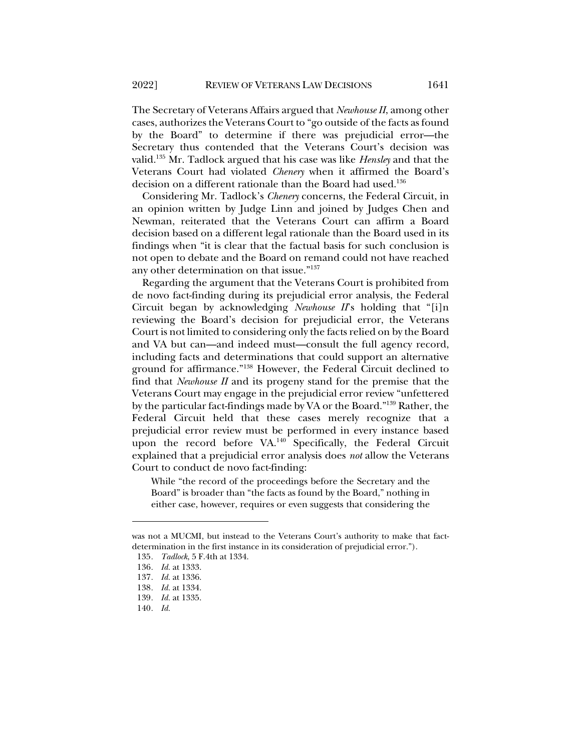The Secretary of Veterans Affairs argued that *Newhouse II*, among other cases, authorizes the Veterans Court to "go outside of the facts as found by the Board" to determine if there was prejudicial error—the Secretary thus contended that the Veterans Court's decision was valid.135 Mr. Tadlock argued that his case was like *Hensley* and that the Veterans Court had violated *Chenery* when it affirmed the Board's decision on a different rationale than the Board had used.<sup>136</sup>

Considering Mr. Tadlock's *Chenery* concerns, the Federal Circuit, in an opinion written by Judge Linn and joined by Judges Chen and Newman, reiterated that the Veterans Court can affirm a Board decision based on a different legal rationale than the Board used in its findings when "it is clear that the factual basis for such conclusion is not open to debate and the Board on remand could not have reached any other determination on that issue."137

Regarding the argument that the Veterans Court is prohibited from de novo fact-finding during its prejudicial error analysis, the Federal Circuit began by acknowledging *Newhouse II*'s holding that "[i]n reviewing the Board's decision for prejudicial error, the Veterans Court is not limited to considering only the facts relied on by the Board and VA but can—and indeed must—consult the full agency record, including facts and determinations that could support an alternative ground for affirmance."138 However, the Federal Circuit declined to find that *Newhouse II* and its progeny stand for the premise that the Veterans Court may engage in the prejudicial error review "unfettered by the particular fact-findings made by VA or the Board."139 Rather, the Federal Circuit held that these cases merely recognize that a prejudicial error review must be performed in every instance based upon the record before VA.<sup>140</sup> Specifically, the Federal Circuit explained that a prejudicial error analysis does *not* allow the Veterans Court to conduct de novo fact-finding:

While "the record of the proceedings before the Secretary and the Board" is broader than "the facts as found by the Board," nothing in either case, however, requires or even suggests that considering the

was not a MUCMI, but instead to the Veterans Court's authority to make that factdetermination in the first instance in its consideration of prejudicial error.").

<sup>135</sup>*. Tadlock*, 5 F.4th at 1334.

<sup>136</sup>*. Id.* at 1333.

<sup>137</sup>*. Id.* at 1336.

<sup>138</sup>*. Id.* at 1334.

<sup>139</sup>*. Id.* at 1335.

<sup>140</sup>*. Id.*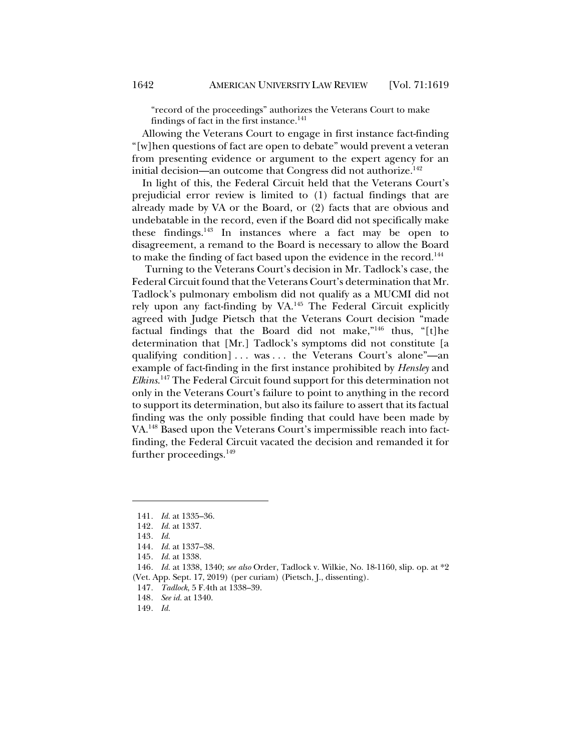"record of the proceedings" authorizes the Veterans Court to make findings of fact in the first instance.<sup>141</sup>

Allowing the Veterans Court to engage in first instance fact-finding "[w]hen questions of fact are open to debate" would prevent a veteran from presenting evidence or argument to the expert agency for an initial decision—an outcome that Congress did not authorize.<sup>142</sup>

In light of this, the Federal Circuit held that the Veterans Court's prejudicial error review is limited to (1) factual findings that are already made by VA or the Board, or (2) facts that are obvious and undebatable in the record, even if the Board did not specifically make these findings.143 In instances where a fact may be open to disagreement, a remand to the Board is necessary to allow the Board to make the finding of fact based upon the evidence in the record.<sup>144</sup>

Turning to the Veterans Court's decision in Mr. Tadlock's case, the Federal Circuit found that the Veterans Court's determination that Mr. Tadlock's pulmonary embolism did not qualify as a MUCMI did not rely upon any fact-finding by VA.145 The Federal Circuit explicitly agreed with Judge Pietsch that the Veterans Court decision "made factual findings that the Board did not make,"<sup>146</sup> thus, "[t]he determination that [Mr.] Tadlock's symptoms did not constitute [a qualifying condition] . . . was . . . the Veterans Court's alone"—an example of fact-finding in the first instance prohibited by *Hensley* and *Elkins*. <sup>147</sup> The Federal Circuit found support for this determination not only in the Veterans Court's failure to point to anything in the record to support its determination, but also its failure to assert that its factual finding was the only possible finding that could have been made by VA.148 Based upon the Veterans Court's impermissible reach into factfinding, the Federal Circuit vacated the decision and remanded it for further proceedings.<sup>149</sup>

<sup>141</sup>*. Id.* at 1335–36.

<sup>142</sup>*. Id.* at 1337.

<sup>143</sup>*. Id.*

<sup>144</sup>*. Id.* at 1337–38.

<sup>145</sup>*. Id.* at 1338.

<sup>146</sup>*. Id.* at 1338, 1340; *see also* Order, Tadlock v. Wilkie, No. 18-1160, slip. op. at \*2 (Vet. App. Sept. 17, 2019) (per curiam) (Pietsch, J., dissenting).

<sup>147</sup>*. Tadlock*, 5 F.4th at 1338–39.

<sup>148</sup>*. See id.* at 1340.

<sup>149</sup>*. Id.*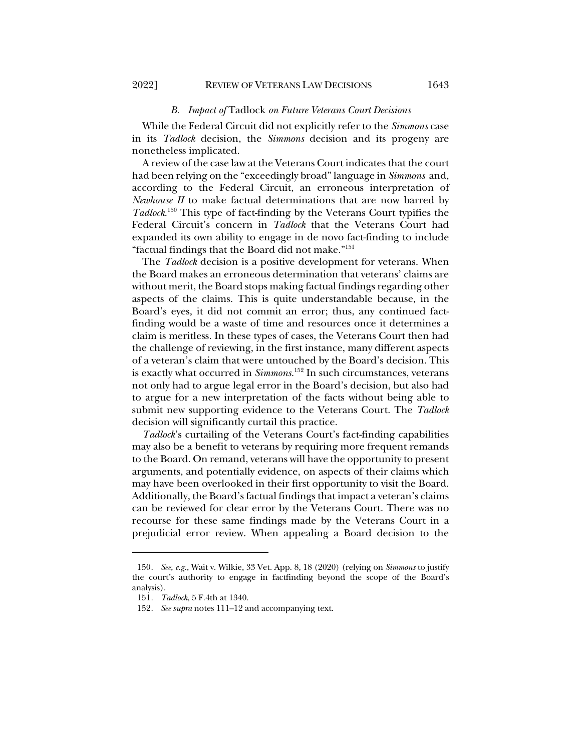#### *B. Impact of* Tadlock *on Future Veterans Court Decisions*

While the Federal Circuit did not explicitly refer to the *Simmons* case in its *Tadlock* decision, the *Simmons* decision and its progeny are nonetheless implicated.

A review of the case law at the Veterans Court indicates that the court had been relying on the "exceedingly broad" language in *Simmons* and, according to the Federal Circuit, an erroneous interpretation of *Newhouse II* to make factual determinations that are now barred by *Tadlock*. <sup>150</sup> This type of fact-finding by the Veterans Court typifies the Federal Circuit's concern in *Tadlock* that the Veterans Court had expanded its own ability to engage in de novo fact-finding to include "factual findings that the Board did not make."151

The *Tadlock* decision is a positive development for veterans. When the Board makes an erroneous determination that veterans' claims are without merit, the Board stops making factual findings regarding other aspects of the claims. This is quite understandable because, in the Board's eyes, it did not commit an error; thus, any continued factfinding would be a waste of time and resources once it determines a claim is meritless. In these types of cases, the Veterans Court then had the challenge of reviewing, in the first instance, many different aspects of a veteran's claim that were untouched by the Board's decision. This is exactly what occurred in *Simmons*. <sup>152</sup> In such circumstances, veterans not only had to argue legal error in the Board's decision, but also had to argue for a new interpretation of the facts without being able to submit new supporting evidence to the Veterans Court. The *Tadlock* decision will significantly curtail this practice.

*Tadlock*'s curtailing of the Veterans Court's fact-finding capabilities may also be a benefit to veterans by requiring more frequent remands to the Board. On remand, veterans will have the opportunity to present arguments, and potentially evidence, on aspects of their claims which may have been overlooked in their first opportunity to visit the Board. Additionally, the Board's factual findings that impact a veteran's claims can be reviewed for clear error by the Veterans Court. There was no recourse for these same findings made by the Veterans Court in a prejudicial error review. When appealing a Board decision to the

<sup>150</sup>*. See, e.g.*, Wait v. Wilkie, 33 Vet. App. 8, 18 (2020) (relying on *Simmons* to justify the court's authority to engage in factfinding beyond the scope of the Board's analysis).

<sup>151</sup>*. Tadlock*, 5 F.4th at 1340.

<sup>152</sup>*. See supra* notes 111–12 and accompanying text.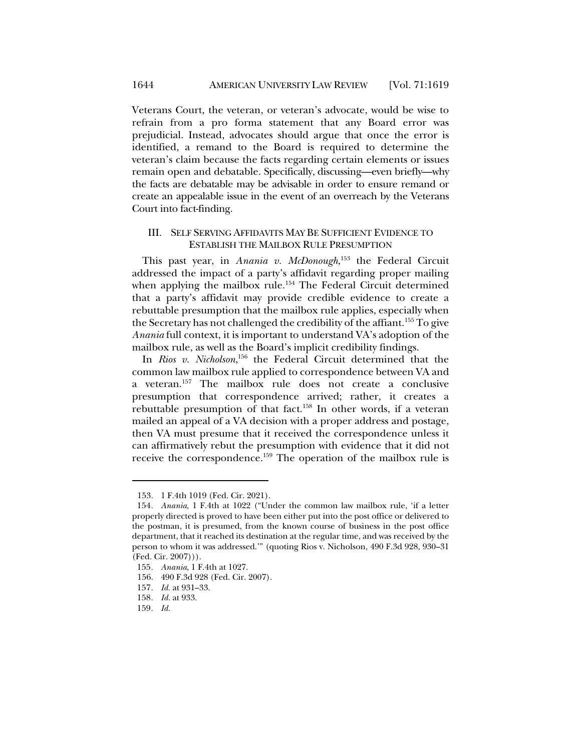Veterans Court, the veteran, or veteran's advocate, would be wise to refrain from a pro forma statement that any Board error was prejudicial. Instead, advocates should argue that once the error is identified, a remand to the Board is required to determine the veteran's claim because the facts regarding certain elements or issues remain open and debatable. Specifically, discussing—even briefly—why the facts are debatable may be advisable in order to ensure remand or create an appealable issue in the event of an overreach by the Veterans Court into fact-finding.

#### III. SELF SERVING AFFIDAVITS MAY BE SUFFICIENT EVIDENCE TO ESTABLISH THE MAILBOX RULE PRESUMPTION

This past year, in *Anania v. McDonough*, <sup>153</sup> the Federal Circuit addressed the impact of a party's affidavit regarding proper mailing when applying the mailbox rule.<sup>154</sup> The Federal Circuit determined that a party's affidavit may provide credible evidence to create a rebuttable presumption that the mailbox rule applies, especially when the Secretary has not challenged the credibility of the affiant.<sup>155</sup> To give *Anania* full context, it is important to understand VA's adoption of the mailbox rule, as well as the Board's implicit credibility findings.

In *Rios v. Nicholson*, <sup>156</sup> the Federal Circuit determined that the common law mailbox rule applied to correspondence between VA and a veteran.157 The mailbox rule does not create a conclusive presumption that correspondence arrived; rather, it creates a rebuttable presumption of that fact.158 In other words, if a veteran mailed an appeal of a VA decision with a proper address and postage, then VA must presume that it received the correspondence unless it can affirmatively rebut the presumption with evidence that it did not receive the correspondence.159 The operation of the mailbox rule is

<sup>153.</sup> 1 F.4th 1019 (Fed. Cir. 2021).

<sup>154</sup>*. Anania*, 1 F.4th at 1022 ("Under the common law mailbox rule, 'if a letter properly directed is proved to have been either put into the post office or delivered to the postman, it is presumed, from the known course of business in the post office department, that it reached its destination at the regular time, and was received by the person to whom it was addressed.'" (quoting Rios v. Nicholson, 490 F.3d 928, 930–31 (Fed. Cir. 2007))).

<sup>155</sup>*. Anania*, 1 F.4th at 1027.

<sup>156.</sup> 490 F.3d 928 (Fed. Cir. 2007).

<sup>157</sup>*. Id.* at 931–33.

<sup>158</sup>*. Id.* at 933.

<sup>159</sup>*. Id.*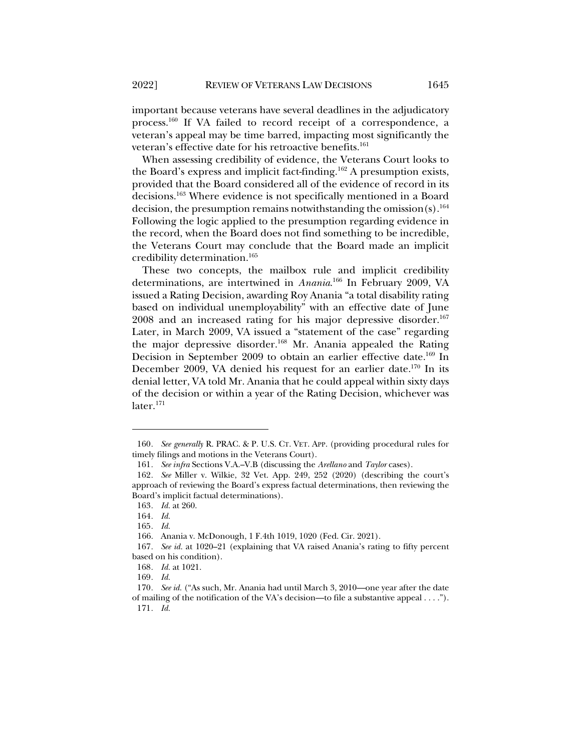important because veterans have several deadlines in the adjudicatory process.160 If VA failed to record receipt of a correspondence, a veteran's appeal may be time barred, impacting most significantly the veteran's effective date for his retroactive benefits.<sup>161</sup>

When assessing credibility of evidence, the Veterans Court looks to the Board's express and implicit fact-finding.<sup>162</sup> A presumption exists, provided that the Board considered all of the evidence of record in its decisions.<sup>163</sup> Where evidence is not specifically mentioned in a Board decision, the presumption remains notwithstanding the omission(s).<sup>164</sup> Following the logic applied to the presumption regarding evidence in the record, when the Board does not find something to be incredible, the Veterans Court may conclude that the Board made an implicit credibility determination.165

These two concepts, the mailbox rule and implicit credibility determinations, are intertwined in *Anania*. <sup>166</sup> In February 2009, VA issued a Rating Decision, awarding Roy Anania "a total disability rating based on individual unemployability" with an effective date of June 2008 and an increased rating for his major depressive disorder.<sup>167</sup> Later, in March 2009, VA issued a "statement of the case" regarding the major depressive disorder.<sup>168</sup> Mr. Anania appealed the Rating Decision in September 2009 to obtain an earlier effective date.<sup>169</sup> In December 2009, VA denied his request for an earlier date.170 In its denial letter, VA told Mr. Anania that he could appeal within sixty days of the decision or within a year of the Rating Decision, whichever was  $later.<sup>171</sup>$ 

<sup>160</sup>*. See generally* R. PRAC. & P. U.S. CT. VET. APP. (providing procedural rules for timely filings and motions in the Veterans Court).

<sup>161</sup>*. See infra* Sections V.A.–V.B (discussing the *Arellano* and *Taylor* cases).

<sup>162</sup>*. See* Miller v. Wilkie, 32 Vet. App. 249, 252 (2020) (describing the court's approach of reviewing the Board's express factual determinations, then reviewing the Board's implicit factual determinations).

<sup>163</sup>*. Id.* at 260.

<sup>164</sup>*. Id.*

<sup>165</sup>*. Id.*

<sup>166.</sup> Anania v. McDonough, 1 F.4th 1019, 1020 (Fed. Cir. 2021).

<sup>167</sup>*. See id.* at 1020–21 (explaining that VA raised Anania's rating to fifty percent based on his condition).

<sup>168</sup>*. Id.* at 1021.

<sup>169</sup>*. Id.*

<sup>170</sup>*. See id.* ("As such, Mr. Anania had until March 3, 2010—one year after the date of mailing of the notification of the VA's decision—to file a substantive appeal . . . ."). 171*. Id.*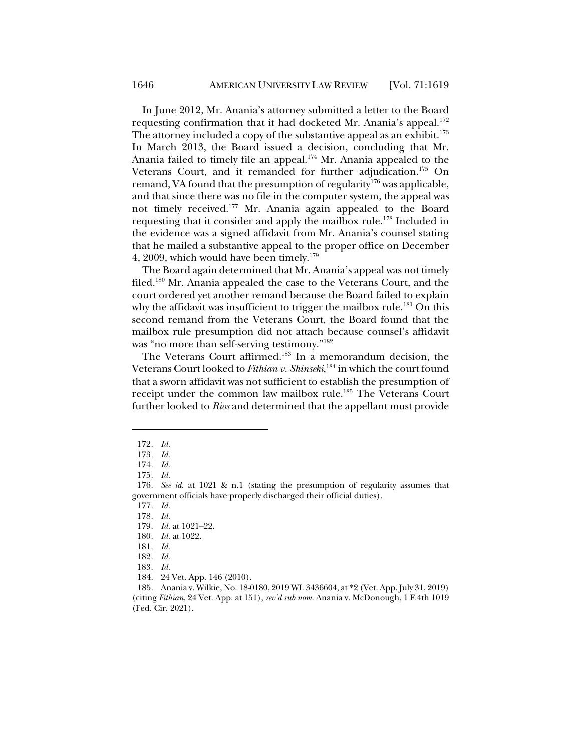In June 2012, Mr. Anania's attorney submitted a letter to the Board requesting confirmation that it had docketed Mr. Anania's appeal.<sup>172</sup> The attorney included a copy of the substantive appeal as an exhibit.<sup>173</sup> In March 2013, the Board issued a decision, concluding that Mr. Anania failed to timely file an appeal.<sup>174</sup> Mr. Anania appealed to the Veterans Court, and it remanded for further adjudication.<sup>175</sup> On remand, VA found that the presumption of regularity<sup>176</sup> was applicable, and that since there was no file in the computer system, the appeal was not timely received.177 Mr. Anania again appealed to the Board requesting that it consider and apply the mailbox rule.<sup>178</sup> Included in the evidence was a signed affidavit from Mr. Anania's counsel stating that he mailed a substantive appeal to the proper office on December 4, 2009, which would have been timely.<sup>179</sup>

The Board again determined that Mr. Anania's appeal was not timely filed.180 Mr. Anania appealed the case to the Veterans Court, and the court ordered yet another remand because the Board failed to explain why the affidavit was insufficient to trigger the mailbox rule.<sup>181</sup> On this second remand from the Veterans Court, the Board found that the mailbox rule presumption did not attach because counsel's affidavit was "no more than self-serving testimony."182

The Veterans Court affirmed.<sup>183</sup> In a memorandum decision, the Veterans Court looked to *Fithian v. Shinseki*, <sup>184</sup> in which the court found that a sworn affidavit was not sufficient to establish the presumption of receipt under the common law mailbox rule.<sup>185</sup> The Veterans Court further looked to *Rios* and determined that the appellant must provide

<sup>172</sup>*. Id.*

<sup>173</sup>*. Id.*

<sup>174</sup>*. Id.*

<sup>175</sup>*. Id.*

<sup>176</sup>*. See id.* at 1021 & n.1 (stating the presumption of regularity assumes that government officials have properly discharged their official duties).

<sup>177</sup>*. Id.*

<sup>178</sup>*. Id.*

<sup>179</sup>*. Id.* at 1021–22.

<sup>180</sup>*. Id.* at 1022.

<sup>181</sup>*. Id.*

<sup>182</sup>*. Id.*

<sup>183</sup>*. Id.*

<sup>184.</sup> 24 Vet. App. 146 (2010).

<sup>185.</sup> Anania v. Wilkie, No. 18-0180, 2019 WL 3436604, at \*2 (Vet. App. July 31, 2019) (citing *Fithian*, 24 Vet. App. at 151), *rev'd sub nom.* Anania v. McDonough, 1 F.4th 1019 (Fed. Cir. 2021).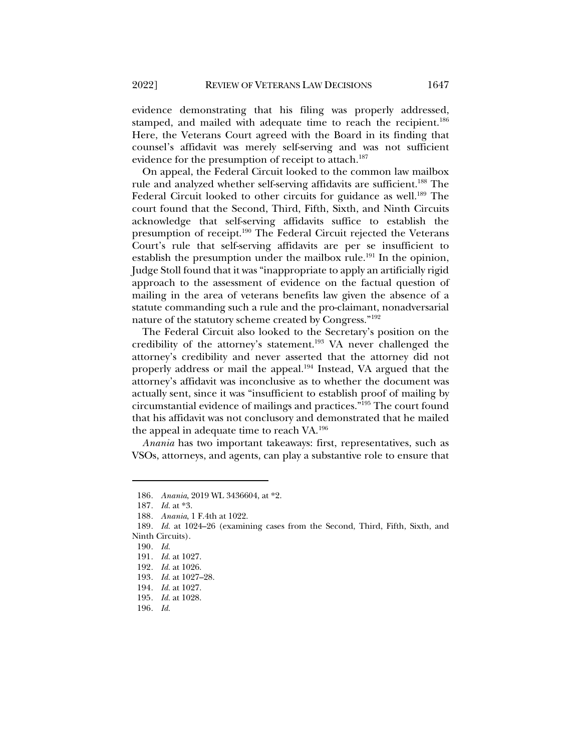evidence demonstrating that his filing was properly addressed, stamped, and mailed with adequate time to reach the recipient.<sup>186</sup> Here, the Veterans Court agreed with the Board in its finding that counsel's affidavit was merely self-serving and was not sufficient evidence for the presumption of receipt to attach.<sup>187</sup>

On appeal, the Federal Circuit looked to the common law mailbox rule and analyzed whether self-serving affidavits are sufficient.<sup>188</sup> The Federal Circuit looked to other circuits for guidance as well.<sup>189</sup> The court found that the Second, Third, Fifth, Sixth, and Ninth Circuits acknowledge that self-serving affidavits suffice to establish the presumption of receipt.<sup>190</sup> The Federal Circuit rejected the Veterans Court's rule that self-serving affidavits are per se insufficient to establish the presumption under the mailbox rule.<sup>191</sup> In the opinion, Judge Stoll found that it was "inappropriate to apply an artificially rigid approach to the assessment of evidence on the factual question of mailing in the area of veterans benefits law given the absence of a statute commanding such a rule and the pro-claimant, nonadversarial nature of the statutory scheme created by Congress."192

The Federal Circuit also looked to the Secretary's position on the credibility of the attorney's statement.193 VA never challenged the attorney's credibility and never asserted that the attorney did not properly address or mail the appeal.<sup>194</sup> Instead, VA argued that the attorney's affidavit was inconclusive as to whether the document was actually sent, since it was "insufficient to establish proof of mailing by circumstantial evidence of mailings and practices."195 The court found that his affidavit was not conclusory and demonstrated that he mailed the appeal in adequate time to reach VA.196

*Anania* has two important takeaways: first, representatives, such as VSOs, attorneys, and agents, can play a substantive role to ensure that

<sup>186</sup>*. Anania*, 2019 WL 3436604, at \*2.

<sup>187</sup>*. Id.* at \*3.

<sup>188</sup>*. Anania*, 1 F.4th at 1022.

<sup>189</sup>*. Id.* at 1024–26 (examining cases from the Second, Third, Fifth, Sixth, and Ninth Circuits).

<sup>190</sup>*. Id.*

<sup>191</sup>*. Id.* at 1027.

<sup>192</sup>*. Id.* at 1026.

<sup>193</sup>*. Id.* at 1027–28.

<sup>194</sup>*. Id.* at 1027.

<sup>195</sup>*. Id.* at 1028.

<sup>196</sup>*. Id.*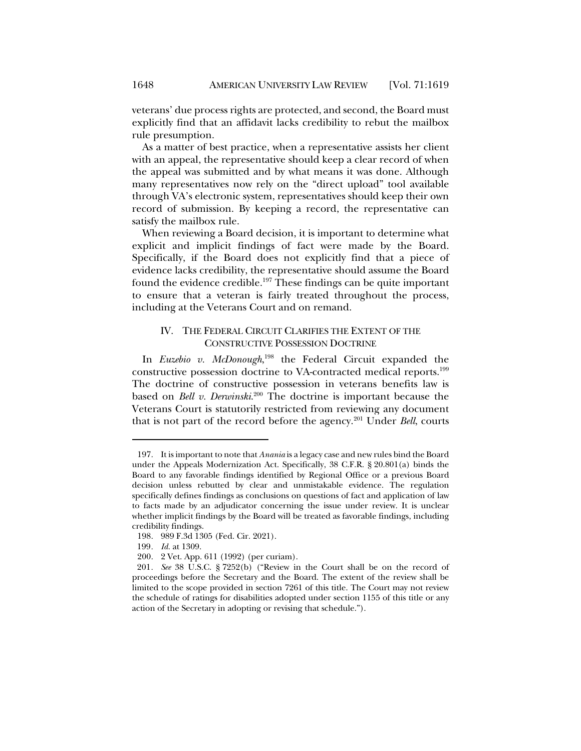veterans' due process rights are protected, and second, the Board must explicitly find that an affidavit lacks credibility to rebut the mailbox rule presumption.

As a matter of best practice, when a representative assists her client with an appeal, the representative should keep a clear record of when the appeal was submitted and by what means it was done. Although many representatives now rely on the "direct upload" tool available through VA's electronic system, representatives should keep their own record of submission. By keeping a record, the representative can satisfy the mailbox rule.

When reviewing a Board decision, it is important to determine what explicit and implicit findings of fact were made by the Board. Specifically, if the Board does not explicitly find that a piece of evidence lacks credibility, the representative should assume the Board found the evidence credible.197 These findings can be quite important to ensure that a veteran is fairly treated throughout the process, including at the Veterans Court and on remand.

#### IV. THE FEDERAL CIRCUIT CLARIFIES THE EXTENT OF THE CONSTRUCTIVE POSSESSION DOCTRINE

In *Euzebio v. McDonough*, <sup>198</sup> the Federal Circuit expanded the constructive possession doctrine to VA-contracted medical reports.199 The doctrine of constructive possession in veterans benefits law is based on *Bell v. Derwinski*. <sup>200</sup> The doctrine is important because the Veterans Court is statutorily restricted from reviewing any document that is not part of the record before the agency.201 Under *Bell*, courts

<sup>197.</sup> It is important to note that *Anania* is a legacy case and new rules bind the Board under the Appeals Modernization Act. Specifically, 38 C.F.R. § 20.801(a) binds the Board to any favorable findings identified by Regional Office or a previous Board decision unless rebutted by clear and unmistakable evidence. The regulation specifically defines findings as conclusions on questions of fact and application of law to facts made by an adjudicator concerning the issue under review. It is unclear whether implicit findings by the Board will be treated as favorable findings, including credibility findings.

<sup>198.</sup> 989 F.3d 1305 (Fed. Cir. 2021).

<sup>199</sup>*. Id.* at 1309.

<sup>200.</sup> 2 Vet. App. 611 (1992) (per curiam).

<sup>201</sup>*. See* 38 U.S.C. § 7252(b) ("Review in the Court shall be on the record of proceedings before the Secretary and the Board. The extent of the review shall be limited to the scope provided in section 7261 of this title. The Court may not review the schedule of ratings for disabilities adopted under section 1155 of this title or any action of the Secretary in adopting or revising that schedule.").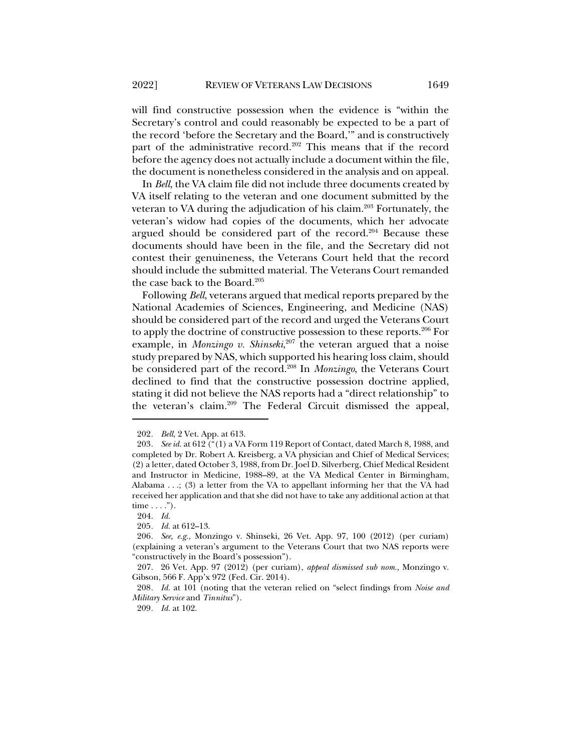will find constructive possession when the evidence is "within the Secretary's control and could reasonably be expected to be a part of the record 'before the Secretary and the Board,'" and is constructively part of the administrative record.<sup>202</sup> This means that if the record before the agency does not actually include a document within the file, the document is nonetheless considered in the analysis and on appeal.

In *Bell*, the VA claim file did not include three documents created by VA itself relating to the veteran and one document submitted by the veteran to VA during the adjudication of his claim.<sup>203</sup> Fortunately, the veteran's widow had copies of the documents, which her advocate argued should be considered part of the record.<sup>204</sup> Because these documents should have been in the file, and the Secretary did not contest their genuineness, the Veterans Court held that the record should include the submitted material. The Veterans Court remanded the case back to the Board.<sup>205</sup>

Following *Bell*, veterans argued that medical reports prepared by the National Academies of Sciences, Engineering, and Medicine (NAS) should be considered part of the record and urged the Veterans Court to apply the doctrine of constructive possession to these reports.206 For example, in *Monzingo v. Shinseki*, <sup>207</sup> the veteran argued that a noise study prepared by NAS, which supported his hearing loss claim, should be considered part of the record.208 In *Monzingo*, the Veterans Court declined to find that the constructive possession doctrine applied, stating it did not believe the NAS reports had a "direct relationship" to the veteran's claim.209 The Federal Circuit dismissed the appeal,

<sup>202</sup>*. Bell*, 2 Vet. App. at 613.

<sup>203</sup>*. See id.* at 612 ("(1) a VA Form 119 Report of Contact, dated March 8, 1988, and completed by Dr. Robert A. Kreisberg, a VA physician and Chief of Medical Services; (2) a letter, dated October 3, 1988, from Dr. Joel D. Silverberg, Chief Medical Resident and Instructor in Medicine, 1988–89, at the VA Medical Center in Birmingham, Alabama . . .; (3) a letter from the VA to appellant informing her that the VA had received her application and that she did not have to take any additional action at that  $time \ldots$ .").

<sup>204.</sup> *Id.*

<sup>205</sup>*. Id.* at 612–13.

<sup>206</sup>*. See, e.g.*, Monzingo v. Shinseki, 26 Vet. App. 97, 100 (2012) (per curiam) (explaining a veteran's argument to the Veterans Court that two NAS reports were "constructively in the Board's possession").

<sup>207.</sup> 26 Vet. App. 97 (2012) (per curiam), *appeal dismissed sub nom.*, Monzingo v. Gibson, 566 F. App'x 972 (Fed. Cir. 2014).

<sup>208</sup>*. Id.* at 101 (noting that the veteran relied on "select findings from *Noise and Military Service* and *Tinnitus*").

<sup>209</sup>*. Id.* at 102.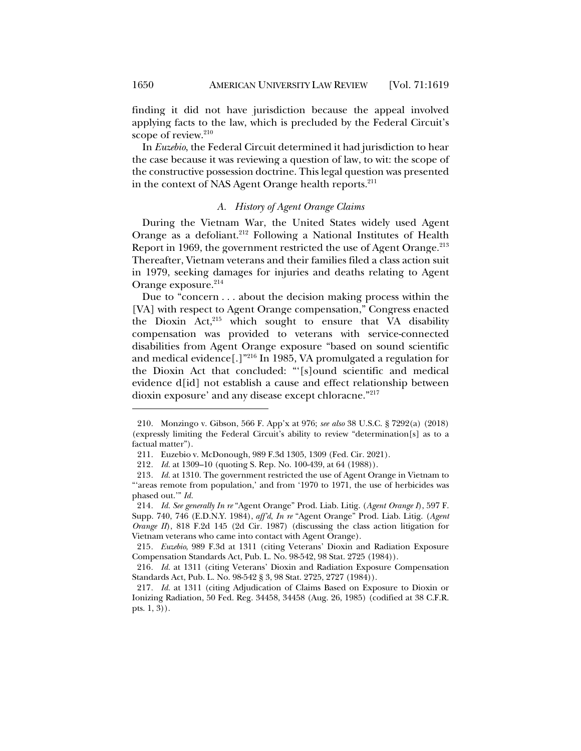finding it did not have jurisdiction because the appeal involved applying facts to the law, which is precluded by the Federal Circuit's scope of review. $210$ 

In *Euzebio*, the Federal Circuit determined it had jurisdiction to hear the case because it was reviewing a question of law, to wit: the scope of the constructive possession doctrine. This legal question was presented in the context of NAS Agent Orange health reports.<sup>211</sup>

#### *A. History of Agent Orange Claims*

During the Vietnam War, the United States widely used Agent Orange as a defoliant.<sup>212</sup> Following a National Institutes of Health Report in 1969, the government restricted the use of Agent Orange.<sup>213</sup> Thereafter, Vietnam veterans and their families filed a class action suit in 1979, seeking damages for injuries and deaths relating to Agent Orange exposure.<sup>214</sup>

Due to "concern . . . about the decision making process within the [VA] with respect to Agent Orange compensation," Congress enacted the Dioxin Act,<sup>215</sup> which sought to ensure that VA disability compensation was provided to veterans with service-connected disabilities from Agent Orange exposure "based on sound scientific and medical evidence[.]"216 In 1985, VA promulgated a regulation for the Dioxin Act that concluded: "'[s]ound scientific and medical evidence d[id] not establish a cause and effect relationship between dioxin exposure' and any disease except chloracne."217

<sup>210.</sup> Monzingo v. Gibson, 566 F. App'x at 976; *see also* 38 U.S.C. § 7292(a) (2018) (expressly limiting the Federal Circuit's ability to review "determination[s] as to a factual matter").

<sup>211.</sup> Euzebio v. McDonough, 989 F.3d 1305, 1309 (Fed. Cir. 2021).

<sup>212</sup>*. Id.* at 1309–10 (quoting S. Rep. No. 100-439, at 64 (1988)).

<sup>213</sup>*. Id.* at 1310. The government restricted the use of Agent Orange in Vietnam to "'areas remote from population,' and from '1970 to 1971, the use of herbicides was phased out.'" *Id.*

<sup>214</sup>*. Id. See generally In re* "Agent Orange" Prod. Liab. Litig. (*Agent Orange I*), 597 F. Supp. 740, 746 (E.D.N.Y. 1984), *aff'd*, *In re* "Agent Orange" Prod. Liab. Litig. (*Agent Orange II*), 818 F.2d 145 (2d Cir. 1987) (discussing the class action litigation for Vietnam veterans who came into contact with Agent Orange).

<sup>215</sup>*. Euzebio*, 989 F.3d at 1311 (citing Veterans' Dioxin and Radiation Exposure Compensation Standards Act, Pub. L. No. 98-542, 98 Stat. 2725 (1984)).

<sup>216</sup>*. Id.* at 1311 (citing Veterans' Dioxin and Radiation Exposure Compensation Standards Act, Pub. L. No. 98-542 § 3, 98 Stat. 2725, 2727 (1984)).

<sup>217</sup>*. Id.* at 1311 (citing Adjudication of Claims Based on Exposure to Dioxin or Ionizing Radiation, 50 Fed. Reg. 34458, 34458 (Aug. 26, 1985) (codified at 38 C.F.R. pts. 1, 3)).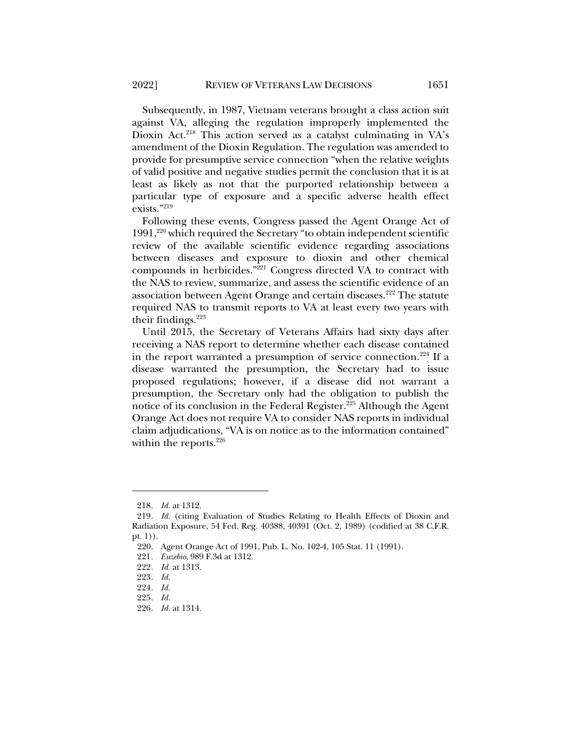Subsequently, in 1987, Vietnam veterans brought a class action suit against VA, alleging the regulation improperly implemented the Dioxin Act.<sup>218</sup> This action served as a catalyst culminating in VA's amendment of the Dioxin Regulation. The regulation was amended to provide for presumptive service connection "when the relative weights of valid positive and negative studies permit the conclusion that it is at least as likely as not that the purported relationship between a particular type of exposure and a specific adverse health effect exists<sup>"219</sup>

Following these events, Congress passed the Agent Orange Act of  $1991,^{220}$  which required the Secretary "to obtain independent scientific review of the available scientific evidence regarding associations between diseases and exposure to dioxin and other chemical compounds in herbicides."<sup>221</sup> Congress directed VA to contract with the NAS to review, summarize, and assess the scientific evidence of an association between Agent Orange and certain diseases.<sup>222</sup> The statute required NAS to transmit reports to VA at least every two years with their findings. $223$ 

Until 2015, the Secretary of Veterans Affairs had sixty days after receiving a NAS report to determine whether each disease contained in the report warranted a presumption of service connection.<sup>224</sup> If a disease warranted the presumption, the Secretary had to issue proposed regulations; however, if a disease did not warrant a presumption, the Secretary only had the obligation to publish the notice of its conclusion in the Federal Register.225 Although the Agent Orange Act does not require VA to consider NAS reports in individual claim adjudications, "VA is on notice as to the information contained" within the reports.<sup>226</sup>

<sup>218</sup>*. Id.* at 1312.

<sup>219</sup>*. Id.* (citing Evaluation of Studies Relating to Health Effects of Dioxin and Radiation Exposure, 54 Fed. Reg. 40388, 40391 (Oct. 2, 1989) (codified at 38 C.F.R. pt. 1)).

<sup>220.</sup> Agent Orange Act of 1991, Pub. L. No. 102-4, 105 Stat. 11 (1991).

<sup>221</sup>*. Euzebio*, 989 F.3d at 1312.

<sup>222</sup>*. Id.* at 1313.

<sup>223</sup>*. Id.*

<sup>224</sup>*. Id.*

<sup>225</sup>*. Id.*

<sup>226</sup>*. Id.* at 1314.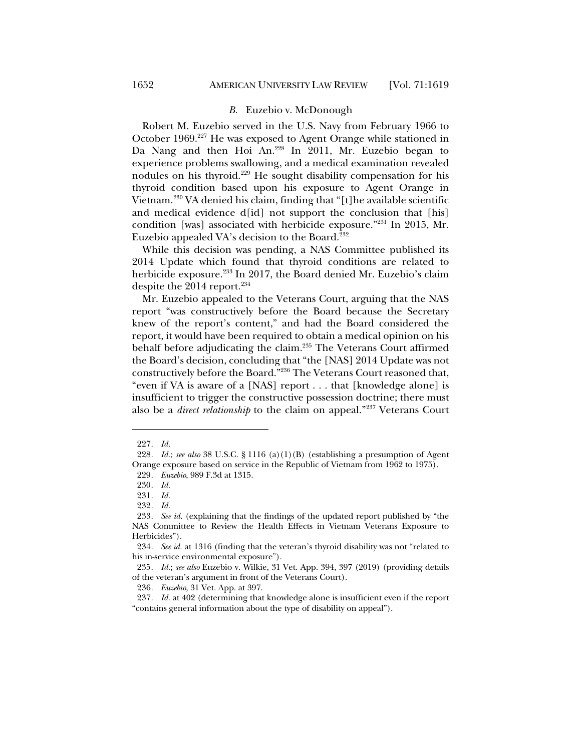#### *B.* Euzebio v. McDonough

Robert M. Euzebio served in the U.S. Navy from February 1966 to October 1969.227 He was exposed to Agent Orange while stationed in Da Nang and then Hoi An.228 In 2011, Mr. Euzebio began to experience problems swallowing, and a medical examination revealed nodules on his thyroid.229 He sought disability compensation for his thyroid condition based upon his exposure to Agent Orange in Vietnam.<sup>230</sup> VA denied his claim, finding that "[t]he available scientific and medical evidence d[id] not support the conclusion that [his] condition [was] associated with herbicide exposure."231 In 2015, Mr. Euzebio appealed VA's decision to the Board.<sup>232</sup>

While this decision was pending, a NAS Committee published its 2014 Update which found that thyroid conditions are related to herbicide exposure.<sup>233</sup> In 2017, the Board denied Mr. Euzebio's claim despite the  $2014$  report.<sup>234</sup>

Mr. Euzebio appealed to the Veterans Court, arguing that the NAS report "was constructively before the Board because the Secretary knew of the report's content," and had the Board considered the report, it would have been required to obtain a medical opinion on his behalf before adjudicating the claim.<sup>235</sup> The Veterans Court affirmed the Board's decision, concluding that "the [NAS] 2014 Update was not constructively before the Board."236 The Veterans Court reasoned that, "even if VA is aware of a [NAS] report . . . that [knowledge alone] is insufficient to trigger the constructive possession doctrine; there must also be a *direct relationship* to the claim on appeal."237 Veterans Court

<sup>227</sup>*. Id.*

<sup>228</sup>*. Id.*; *see also* 38 U.S.C. § 1116 (a)(1)(B) (establishing a presumption of Agent Orange exposure based on service in the Republic of Vietnam from 1962 to 1975).

<sup>229</sup>*. Euzebio*, 989 F.3d at 1315.

<sup>230</sup>*. Id.*

<sup>231</sup>*. Id.*

<sup>232</sup>*. Id.*

<sup>233</sup>*. See id.* (explaining that the findings of the updated report published by "the NAS Committee to Review the Health Effects in Vietnam Veterans Exposure to Herbicides").

<sup>234</sup>*. See id.* at 1316 (finding that the veteran's thyroid disability was not "related to his in-service environmental exposure").

<sup>235</sup>*. Id.*; *see also* Euzebio v. Wilkie, 31 Vet. App. 394, 397 (2019) (providing details of the veteran's argument in front of the Veterans Court).

<sup>236</sup>*. Euzebio*, 31 Vet. App. at 397.

<sup>237</sup>*. Id.* at 402 (determining that knowledge alone is insufficient even if the report "contains general information about the type of disability on appeal").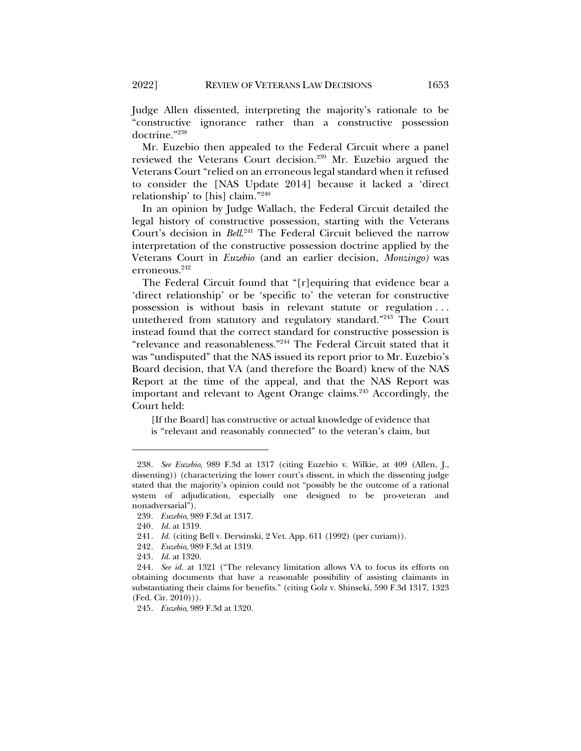Judge Allen dissented, interpreting the majority's rationale to be "constructive ignorance rather than a constructive possession doctrine."238

Mr. Euzebio then appealed to the Federal Circuit where a panel reviewed the Veterans Court decision.<sup>239</sup> Mr. Euzebio argued the Veterans Court "relied on an erroneous legal standard when it refused to consider the [NAS Update 2014] because it lacked a 'direct relationship' to [his] claim."240

In an opinion by Judge Wallach, the Federal Circuit detailed the legal history of constructive possession, starting with the Veterans Court's decision in *Bell*. <sup>241</sup> The Federal Circuit believed the narrow interpretation of the constructive possession doctrine applied by the Veterans Court in *Euzebio* (and an earlier decision, *Monzingo)* was erroneous. 242

The Federal Circuit found that "[r]equiring that evidence bear a 'direct relationship' or be 'specific to' the veteran for constructive possession is without basis in relevant statute or regulation . . . untethered from statutory and regulatory standard."243 The Court instead found that the correct standard for constructive possession is "relevance and reasonableness."244 The Federal Circuit stated that it was "undisputed" that the NAS issued its report prior to Mr. Euzebio's Board decision, that VA (and therefore the Board) knew of the NAS Report at the time of the appeal, and that the NAS Report was important and relevant to Agent Orange claims.<sup>245</sup> Accordingly, the Court held:

[If the Board] has constructive or actual knowledge of evidence that

is "relevant and reasonably connected" to the veteran's claim, but

<sup>238</sup>*. See Euzebio*, 989 F.3d at 1317 (citing Euzebio v. Wilkie, at 409 (Allen, J., dissenting)) (characterizing the lower court's dissent, in which the dissenting judge stated that the majority's opinion could not "possibly be the outcome of a rational system of adjudication, especially one designed to be pro-veteran and nonadversarial").

<sup>239</sup>*. Euzebio*, 989 F.3d at 1317.

<sup>240</sup>*. Id.* at 1319.

<sup>241</sup>*. Id.* (citing Bell v. Derwinski, 2 Vet. App. 611 (1992) (per curiam)).

<sup>242</sup>*. Euzebio*, 989 F.3d at 1319.

<sup>243</sup>*. Id.* at 1320.

<sup>244</sup>*. See id.* at 1321 ("The relevancy limitation allows VA to focus its efforts on obtaining documents that have a reasonable possibility of assisting claimants in substantiating their claims for benefits." (citing Golz v. Shinseki, 590 F.3d 1317, 1323  $(Fed. Cir. 2010))$ .

<sup>245</sup>*. Euzebio*, 989 F.3d at 1320.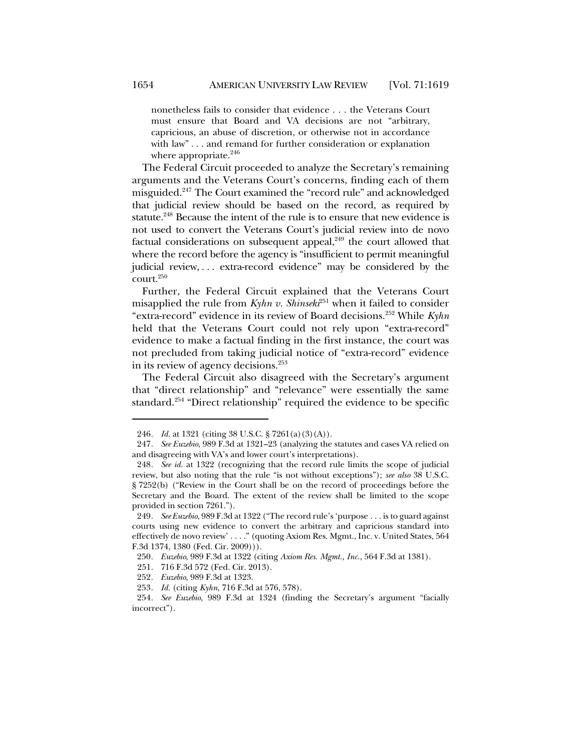nonetheless fails to consider that evidence . . . the Veterans Court must ensure that Board and VA decisions are not "arbitrary, capricious, an abuse of discretion, or otherwise not in accordance with law" . . . and remand for further consideration or explanation where appropriate.<sup>246</sup>

The Federal Circuit proceeded to analyze the Secretary's remaining arguments and the Veterans Court's concerns, finding each of them misguided.247 The Court examined the "record rule" and acknowledged that judicial review should be based on the record, as required by statute.<sup>248</sup> Because the intent of the rule is to ensure that new evidence is not used to convert the Veterans Court's judicial review into de novo factual considerations on subsequent appeal, $249$  the court allowed that where the record before the agency is "insufficient to permit meaningful judicial review, ... extra-record evidence" may be considered by the court. 250

Further, the Federal Circuit explained that the Veterans Court misapplied the rule from  $Kyhn v$ . Shinsek<sup>251</sup> when it failed to consider "extra-record" evidence in its review of Board decisions.252 While *Kyhn* held that the Veterans Court could not rely upon "extra-record" evidence to make a factual finding in the first instance, the court was not precluded from taking judicial notice of "extra-record" evidence in its review of agency decisions.<sup>253</sup>

The Federal Circuit also disagreed with the Secretary's argument that "direct relationship" and "relevance" were essentially the same standard.<sup>254</sup> "Direct relationship" required the evidence to be specific

<sup>246</sup>*. Id.* at 1321 (citing 38 U.S.C. § 7261(a)(3)(A)).

<sup>247</sup>*. See Euzebio*, 989 F.3d at 1321–23 (analyzing the statutes and cases VA relied on and disagreeing with VA's and lower court's interpretations).

<sup>248</sup>*. See id.* at 1322 (recognizing that the record rule limits the scope of judicial review, but also noting that the rule "is not without exceptions"); *see also* 38 U.S.C. § 7252(b) ("Review in the Court shall be on the record of proceedings before the Secretary and the Board. The extent of the review shall be limited to the scope provided in section 7261.").

<sup>249</sup>*. See Euzebio*, 989 F.3d at 1322 ("The record rule's 'purpose . . . is to guard against courts using new evidence to convert the arbitrary and capricious standard into effectively de novo review' . . . ." (quoting Axiom Res. Mgmt., Inc. v. United States, 564 F.3d 1374, 1380 (Fed. Cir. 2009))).

<sup>250</sup>*. Euzebio*, 989 F.3d at 1322 (citing *Axiom Res. Mgmt., Inc.*, 564 F.3d at 1381).

<sup>251.</sup> 716 F.3d 572 (Fed. Cir. 2013).

<sup>252</sup>*. Euzebio*, 989 F.3d at 1323.

<sup>253</sup>*. Id.* (citing *Kyhn*, 716 F.3d at 576, 578).

<sup>254</sup>*. See Euzebio*, 989 F.3d at 1324 (finding the Secretary's argument "facially incorrect").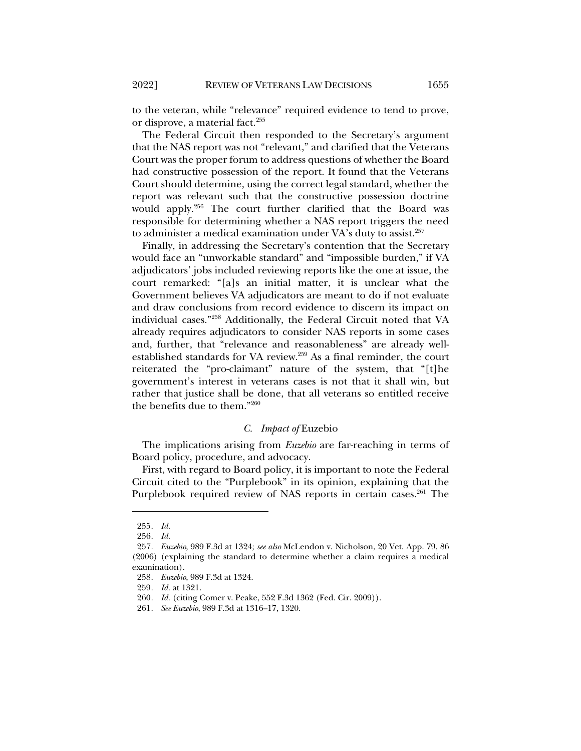to the veteran, while "relevance" required evidence to tend to prove, or disprove, a material fact.<sup>255</sup>

The Federal Circuit then responded to the Secretary's argument that the NAS report was not "relevant," and clarified that the Veterans Court was the proper forum to address questions of whether the Board had constructive possession of the report. It found that the Veterans Court should determine, using the correct legal standard, whether the report was relevant such that the constructive possession doctrine would apply.256 The court further clarified that the Board was responsible for determining whether a NAS report triggers the need to administer a medical examination under VA's duty to assist.<sup>257</sup>

Finally, in addressing the Secretary's contention that the Secretary would face an "unworkable standard" and "impossible burden," if VA adjudicators' jobs included reviewing reports like the one at issue, the court remarked: "[a]s an initial matter, it is unclear what the Government believes VA adjudicators are meant to do if not evaluate and draw conclusions from record evidence to discern its impact on individual cases."258 Additionally, the Federal Circuit noted that VA already requires adjudicators to consider NAS reports in some cases and, further, that "relevance and reasonableness" are already wellestablished standards for VA review.259 As a final reminder, the court reiterated the "pro-claimant" nature of the system, that "[t]he government's interest in veterans cases is not that it shall win, but rather that justice shall be done, that all veterans so entitled receive the benefits due to them."260

### *C. Impact of* Euzebio

The implications arising from *Euzebio* are far-reaching in terms of Board policy, procedure, and advocacy.

First, with regard to Board policy, it is important to note the Federal Circuit cited to the "Purplebook" in its opinion, explaining that the Purplebook required review of NAS reports in certain cases.<sup>261</sup> The

<sup>255</sup>*. Id.*

<sup>256</sup>*. Id.*

<sup>257</sup>*. Euzebio*, 989 F.3d at 1324; *see also* McLendon v. Nicholson, 20 Vet. App. 79, 86 (2006) (explaining the standard to determine whether a claim requires a medical examination).

<sup>258</sup>*. Euzebio*, 989 F.3d at 1324.

<sup>259</sup>*. Id.* at 1321.

<sup>260</sup>*. Id.* (citing Comer v. Peake, 552 F.3d 1362 (Fed. Cir. 2009)).

<sup>261</sup>*. See Euzebio*, 989 F.3d at 1316–17, 1320.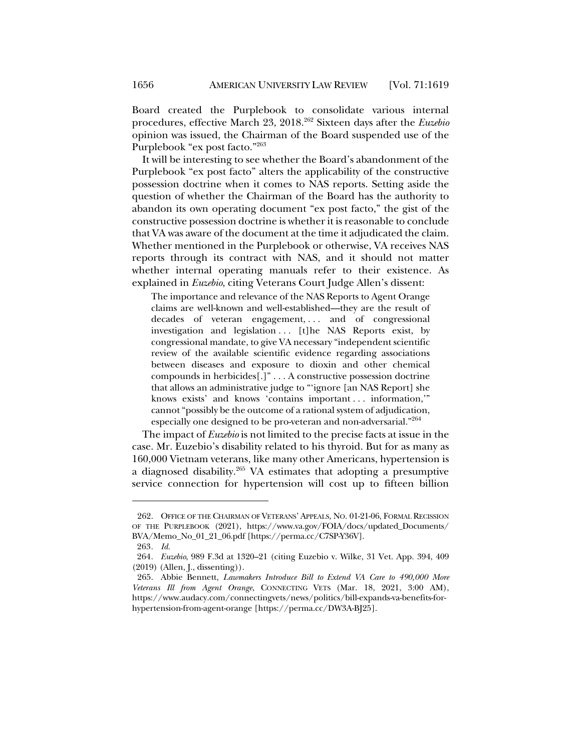Board created the Purplebook to consolidate various internal procedures, effective March 23, 2018.262 Sixteen days after the *Euzebio* opinion was issued, the Chairman of the Board suspended use of the Purplebook "ex post facto."263

It will be interesting to see whether the Board's abandonment of the Purplebook "ex post facto" alters the applicability of the constructive possession doctrine when it comes to NAS reports. Setting aside the question of whether the Chairman of the Board has the authority to abandon its own operating document "ex post facto," the gist of the constructive possession doctrine is whether it is reasonable to conclude that VA was aware of the document at the time it adjudicated the claim. Whether mentioned in the Purplebook or otherwise, VA receives NAS reports through its contract with NAS, and it should not matter whether internal operating manuals refer to their existence. As explained in *Euzebio*, citing Veterans Court Judge Allen's dissent:

The importance and relevance of the NAS Reports to Agent Orange claims are well-known and well-established—they are the result of decades of veteran engagement, ... and of congressional investigation and legislation ... [t]he NAS Reports exist, by congressional mandate, to give VA necessary "independent scientific review of the available scientific evidence regarding associations between diseases and exposure to dioxin and other chemical compounds in herbicides[.]" . . . A constructive possession doctrine that allows an administrative judge to "'ignore [an NAS Report] she knows exists' and knows 'contains important . . . information,'" cannot "possibly be the outcome of a rational system of adjudication, especially one designed to be pro-veteran and non-adversarial."264

The impact of *Euzebio* is not limited to the precise facts at issue in the case. Mr. Euzebio's disability related to his thyroid. But for as many as 160,000 Vietnam veterans, like many other Americans, hypertension is a diagnosed disability.265 VA estimates that adopting a presumptive service connection for hypertension will cost up to fifteen billion

<sup>262.</sup> OFFICE OF THE CHAIRMAN OF VETERANS' APPEALS, NO. 01-21-06, FORMAL RECISSION OF THE PURPLEBOOK (2021), https://www.va.gov/FOIA/docs/updated\_Documents/ BVA/Memo\_No\_01\_21\_06.pdf [https://perma.cc/C7SP-Y36V].

<sup>263</sup>*. Id.*

<sup>264</sup>*. Euzebio*, 989 F.3d at 1320–21 (citing Euzebio v. Wilke, 31 Vet. App. 394, 409 (2019) (Allen, J., dissenting)).

<sup>265.</sup> Abbie Bennett, *Lawmakers Introduce Bill to Extend VA Care to 490,000 More Veterans Ill from Agent Orange*, CONNECTING VETS (Mar. 18, 2021, 3:00 AM), https://www.audacy.com/connectingvets/news/politics/bill-expands-va-benefits-forhypertension-from-agent-orange [https://perma.cc/DW3A-BJ25].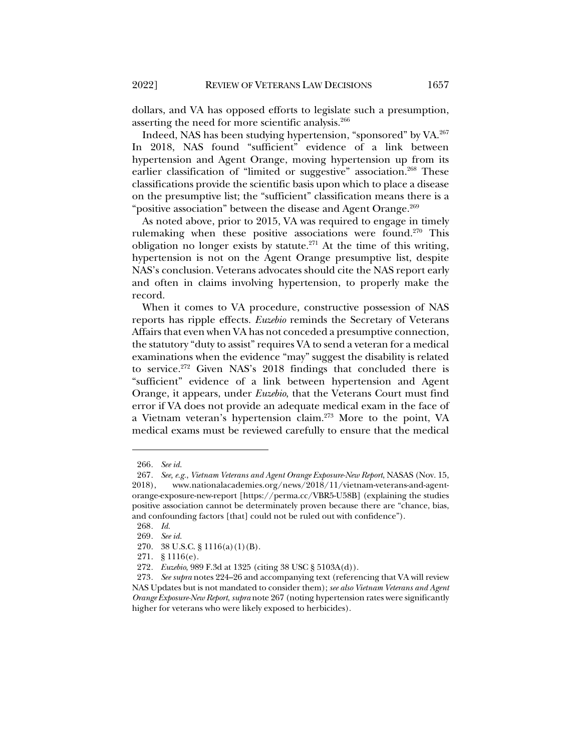dollars, and VA has opposed efforts to legislate such a presumption, asserting the need for more scientific analysis.266

Indeed, NAS has been studying hypertension, "sponsored" by VA.267 In 2018, NAS found "sufficient" evidence of a link between hypertension and Agent Orange, moving hypertension up from its earlier classification of "limited or suggestive" association.<sup>268</sup> These classifications provide the scientific basis upon which to place a disease on the presumptive list; the "sufficient" classification means there is a "positive association" between the disease and Agent Orange.<sup>269</sup>

As noted above, prior to 2015, VA was required to engage in timely rulemaking when these positive associations were found.<sup>270</sup> This obligation no longer exists by statute.<sup>271</sup> At the time of this writing, hypertension is not on the Agent Orange presumptive list, despite NAS's conclusion. Veterans advocates should cite the NAS report early and often in claims involving hypertension, to properly make the record.

When it comes to VA procedure, constructive possession of NAS reports has ripple effects. *Euzebio* reminds the Secretary of Veterans Affairs that even when VA has not conceded a presumptive connection, the statutory "duty to assist" requires VA to send a veteran for a medical examinations when the evidence "may" suggest the disability is related to service.272 Given NAS's 2018 findings that concluded there is "sufficient" evidence of a link between hypertension and Agent Orange, it appears, under *Euzebio*, that the Veterans Court must find error if VA does not provide an adequate medical exam in the face of a Vietnam veteran's hypertension claim.273 More to the point, VA medical exams must be reviewed carefully to ensure that the medical

<sup>266</sup>*. See id.*

<sup>267</sup>*. See, e.g.*, *Vietnam Veterans and Agent Orange Exposure-New Report*, NASAS (Nov. 15, 2018), www.nationalacademies.org/news/2018/11/vietnam-veterans-and-agentorange-exposure-new-report [https://perma.cc/VBR5-U58B] (explaining the studies positive association cannot be determinately proven because there are "chance, bias, and confounding factors [that] could not be ruled out with confidence").

<sup>268</sup>*. Id.*

<sup>269</sup>*. See id.*

<sup>270.</sup> 38 U.S.C. § 1116(a)(1)(B).

<sup>271.</sup> § 1116(e).

<sup>272</sup>*. Euzebio*, 989 F.3d at 1325 (citing 38 USC § 5103A(d)).

<sup>273</sup>*. See supra* notes 224–26 and accompanying text (referencing that VA will review NAS Updates but is not mandated to consider them); *see also Vietnam Veterans and Agent Orange Exposure-New Report*, *supra* note 267 (noting hypertension rates were significantly higher for veterans who were likely exposed to herbicides).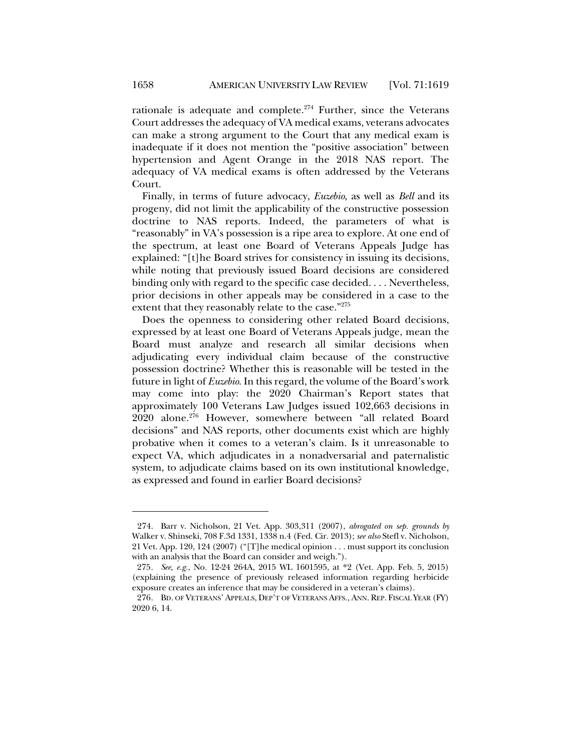rationale is adequate and complete. $274$  Further, since the Veterans Court addresses the adequacy of VA medical exams, veterans advocates can make a strong argument to the Court that any medical exam is inadequate if it does not mention the "positive association" between hypertension and Agent Orange in the 2018 NAS report. The adequacy of VA medical exams is often addressed by the Veterans Court.

Finally, in terms of future advocacy, *Euzebio*, as well as *Bell* and its progeny, did not limit the applicability of the constructive possession doctrine to NAS reports. Indeed, the parameters of what is "reasonably" in VA's possession is a ripe area to explore. At one end of the spectrum, at least one Board of Veterans Appeals Judge has explained: "[t]he Board strives for consistency in issuing its decisions, while noting that previously issued Board decisions are considered binding only with regard to the specific case decided. . . . Nevertheless, prior decisions in other appeals may be considered in a case to the extent that they reasonably relate to the case."275

Does the openness to considering other related Board decisions, expressed by at least one Board of Veterans Appeals judge, mean the Board must analyze and research all similar decisions when adjudicating every individual claim because of the constructive possession doctrine? Whether this is reasonable will be tested in the future in light of *Euzebio*. In this regard, the volume of the Board's work may come into play: the 2020 Chairman's Report states that approximately 100 Veterans Law Judges issued 102,663 decisions in 2020 alone.276 However, somewhere between "all related Board decisions" and NAS reports, other documents exist which are highly probative when it comes to a veteran's claim. Is it unreasonable to expect VA, which adjudicates in a nonadversarial and paternalistic system, to adjudicate claims based on its own institutional knowledge, as expressed and found in earlier Board decisions?

<sup>274.</sup> Barr v. Nicholson, 21 Vet. App. 303,311 (2007), *abrogated on sep. grounds by* Walker v. Shinseki, 708 F.3d 1331, 1338 n.4 (Fed. Cir. 2013); *see also* Stefl v. Nicholson, 21 Vet. App. 120, 124 (2007) ("[T]he medical opinion . . . must support its conclusion with an analysis that the Board can consider and weigh.").

<sup>275</sup>*. See, e.g.*, No. 12-24 264A, 2015 WL 1601595, at \*2 (Vet. App. Feb. 5, 2015) (explaining the presence of previously released information regarding herbicide exposure creates an inference that may be considered in a veteran's claims).

<sup>276</sup>*.* BD. OF VETERANS' APPEALS, DEP'T OF VETERANS AFFS., ANN. REP. FISCAL YEAR (FY) 2020 6, 14.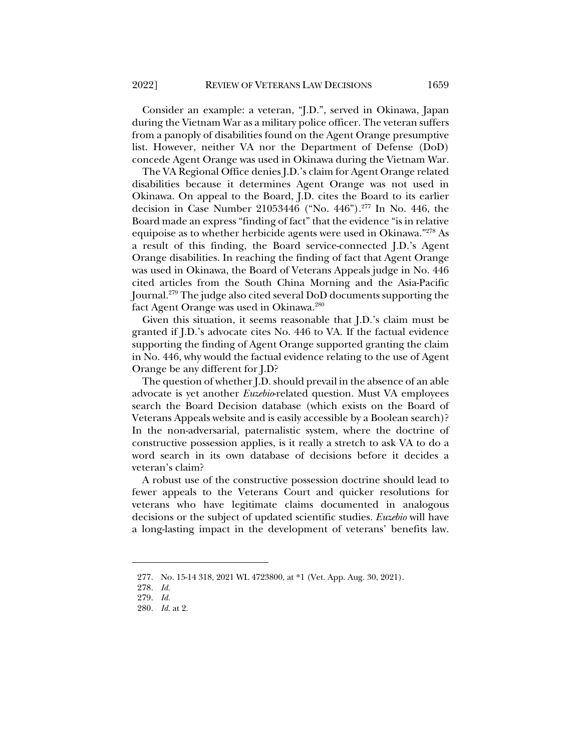Consider an example: a veteran, "J.D.", served in Okinawa, Japan during the Vietnam War as a military police officer. The veteran suffers from a panoply of disabilities found on the Agent Orange presumptive list. However, neither VA nor the Department of Defense (DoD) concede Agent Orange was used in Okinawa during the Vietnam War.

The VA Regional Office denies J.D.'s claim for Agent Orange related disabilities because it determines Agent Orange was not used in Okinawa. On appeal to the Board, J.D. cites the Board to its earlier decision in Case Number 21053446 ("No. 446").277 In No. 446, the Board made an express "finding of fact" that the evidence "is in relative equipoise as to whether herbicide agents were used in Okinawa."278 As a result of this finding, the Board service-connected J.D.'s Agent Orange disabilities. In reaching the finding of fact that Agent Orange was used in Okinawa, the Board of Veterans Appeals judge in No. 446 cited articles from the South China Morning and the Asia-Pacific Journal.279 The judge also cited several DoD documents supporting the fact Agent Orange was used in Okinawa.<sup>280</sup>

Given this situation, it seems reasonable that J.D.'s claim must be granted if J.D.'s advocate cites No. 446 to VA. If the factual evidence supporting the finding of Agent Orange supported granting the claim in No. 446, why would the factual evidence relating to the use of Agent Orange be any different for J.D?

The question of whether J.D. should prevail in the absence of an able advocate is yet another *Euzebio*-related question. Must VA employees search the Board Decision database (which exists on the Board of Veterans Appeals website and is easily accessible by a Boolean search)? In the non-adversarial, paternalistic system, where the doctrine of constructive possession applies, is it really a stretch to ask VA to do a word search in its own database of decisions before it decides a veteran's claim?

A robust use of the constructive possession doctrine should lead to fewer appeals to the Veterans Court and quicker resolutions for veterans who have legitimate claims documented in analogous decisions or the subject of updated scientific studies. *Euzebio* will have a long-lasting impact in the development of veterans' benefits law.

<sup>277.</sup> No. 15-14 318, 2021 WL 4723800, at \*1 (Vet. App. Aug. 30, 2021).

<sup>278.</sup> *Id.*

<sup>279.</sup> *Id.*

<sup>280.</sup> *Id.* at 2.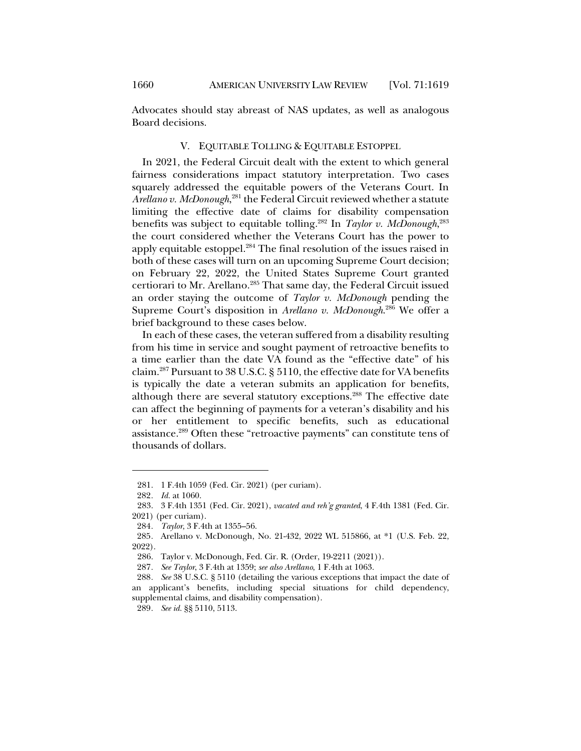Advocates should stay abreast of NAS updates, as well as analogous Board decisions.

## V. EQUITABLE TOLLING & EQUITABLE ESTOPPEL

In 2021, the Federal Circuit dealt with the extent to which general fairness considerations impact statutory interpretation. Two cases squarely addressed the equitable powers of the Veterans Court. In *Arellano v. McDonough*, <sup>281</sup> the Federal Circuit reviewed whether a statute limiting the effective date of claims for disability compensation benefits was subject to equitable tolling.282 In *Taylor v. McDonough*, 283 the court considered whether the Veterans Court has the power to apply equitable estoppel.<sup>284</sup> The final resolution of the issues raised in both of these cases will turn on an upcoming Supreme Court decision; on February 22, 2022, the United States Supreme Court granted certiorari to Mr. Arellano.<sup>285</sup> That same day, the Federal Circuit issued an order staying the outcome of *Taylor v. McDonough* pending the Supreme Court's disposition in *Arellano v. McDonough*. <sup>286</sup> We offer a brief background to these cases below.

In each of these cases, the veteran suffered from a disability resulting from his time in service and sought payment of retroactive benefits to a time earlier than the date VA found as the "effective date" of his claim.287 Pursuant to 38 U.S.C. § 5110, the effective date for VA benefits is typically the date a veteran submits an application for benefits, although there are several statutory exceptions.<sup>288</sup> The effective date can affect the beginning of payments for a veteran's disability and his or her entitlement to specific benefits, such as educational assistance.289 Often these "retroactive payments" can constitute tens of thousands of dollars.

<sup>281.</sup> 1 F.4th 1059 (Fed. Cir. 2021) (per curiam).

<sup>282</sup>*. Id.* at 1060.

<sup>283.</sup> 3 F.4th 1351 (Fed. Cir. 2021), *vacated and reh'g granted*, 4 F.4th 1381 (Fed. Cir. 2021) (per curiam).

<sup>284</sup>*. Taylor*, 3 F.4th at 1355–56.

<sup>285</sup>*.* Arellano v. McDonough, No. 21-432, 2022 WL 515866, at \*1 (U.S. Feb. 22, 2022).

<sup>286.</sup> Taylor v. McDonough, Fed. Cir. R. (Order, 19-2211 (2021)).

<sup>287</sup>*. See Taylor*, 3 F.4th at 1359; *see also Arellano*, 1 F.4th at 1063.

<sup>288</sup>*. See* 38 U.S.C. § 5110 (detailing the various exceptions that impact the date of an applicant's benefits, including special situations for child dependency, supplemental claims, and disability compensation).

<sup>289</sup>*. See id.* §§ 5110, 5113.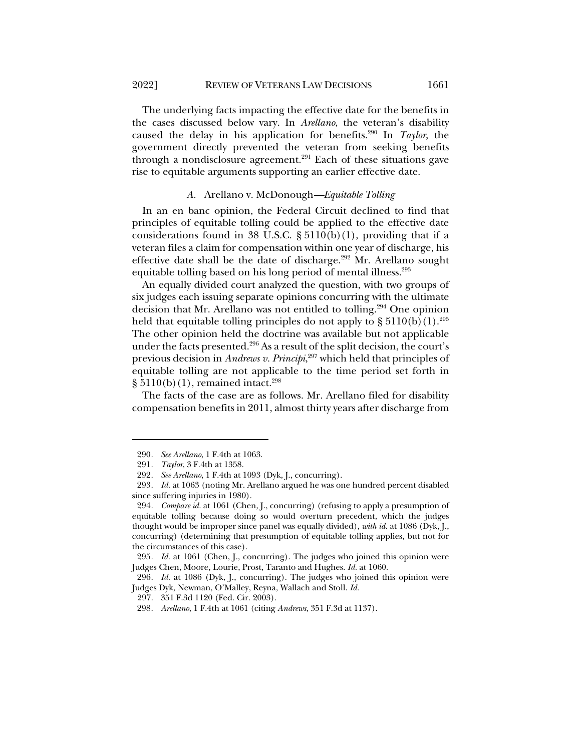The underlying facts impacting the effective date for the benefits in the cases discussed below vary. In *Arellano*, the veteran's disability caused the delay in his application for benefits.290 In *Taylor*, the government directly prevented the veteran from seeking benefits through a nondisclosure agreement.<sup>291</sup> Each of these situations gave rise to equitable arguments supporting an earlier effective date.

#### *A.* Arellano v. McDonough*—Equitable Tolling*

In an en banc opinion, the Federal Circuit declined to find that principles of equitable tolling could be applied to the effective date considerations found in 38 U.S.C.  $\S 5110(b)(1)$ , providing that if a veteran files a claim for compensation within one year of discharge, his effective date shall be the date of discharge.<sup>292</sup> Mr. Arellano sought equitable tolling based on his long period of mental illness.<sup>293</sup>

An equally divided court analyzed the question, with two groups of six judges each issuing separate opinions concurring with the ultimate decision that Mr. Arellano was not entitled to tolling.294 One opinion held that equitable tolling principles do not apply to  $\S 5110(b)(1).^{295}$ The other opinion held the doctrine was available but not applicable under the facts presented.<sup>296</sup> As a result of the split decision, the court's previous decision in *Andrews v. Principi*, <sup>297</sup> which held that principles of equitable tolling are not applicable to the time period set forth in  $\S 5110(b)(1)$ , remained intact.<sup>298</sup>

The facts of the case are as follows. Mr. Arellano filed for disability compensation benefits in 2011, almost thirty years after discharge from

<sup>290</sup>*. See Arellano*, 1 F.4th at 1063.

<sup>291</sup>*. Taylor*, 3 F.4th at 1358.

<sup>292</sup>*. See Arellano*, 1 F.4th at 1093 (Dyk, J., concurring).

<sup>293</sup>*. Id.* at 1063 (noting Mr. Arellano argued he was one hundred percent disabled since suffering injuries in 1980).

<sup>294</sup>*. Compare id.* at 1061 (Chen, J., concurring) (refusing to apply a presumption of equitable tolling because doing so would overturn precedent, which the judges thought would be improper since panel was equally divided), *with id.* at 1086 (Dyk, J., concurring) (determining that presumption of equitable tolling applies, but not for the circumstances of this case).

<sup>295</sup>*. Id.* at 1061 (Chen, J., concurring). The judges who joined this opinion were Judges Chen, Moore, Lourie, Prost, Taranto and Hughes. *Id.* at 1060.

<sup>296</sup>*. Id.* at 1086 (Dyk, J., concurring). The judges who joined this opinion were Judges Dyk, Newman, O'Malley, Reyna, Wallach and Stoll. *Id.*

<sup>297.</sup> 351 F.3d 1120 (Fed. Cir. 2003).

<sup>298</sup>*. Arellano*, 1 F.4th at 1061 (citing *Andrews*, 351 F.3d at 1137).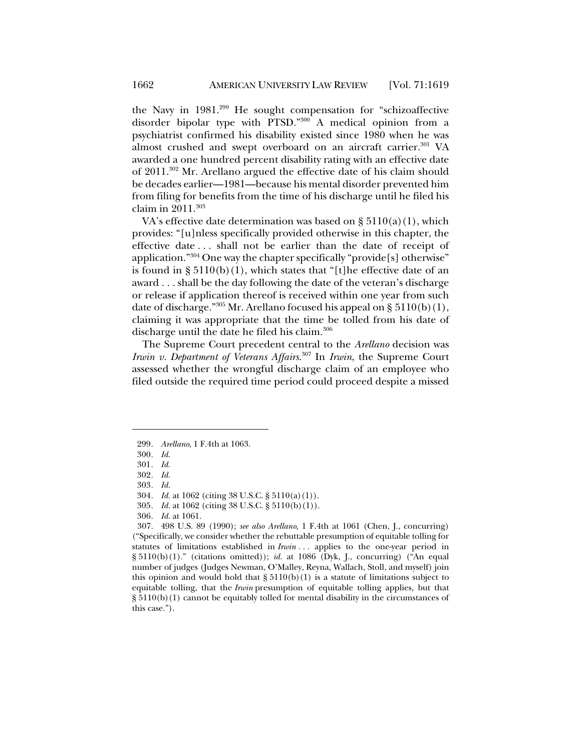the Navy in 1981.299 He sought compensation for "schizoaffective disorder bipolar type with PTSD."<sup>300</sup> A medical opinion from a psychiatrist confirmed his disability existed since 1980 when he was almost crushed and swept overboard on an aircraft carrier.<sup>301</sup> VA awarded a one hundred percent disability rating with an effective date of 2011.302 Mr. Arellano argued the effective date of his claim should be decades earlier—1981—because his mental disorder prevented him from filing for benefits from the time of his discharge until he filed his claim in 2011.<sup>303</sup>

VA's effective date determination was based on  $\S 5110(a)(1)$ , which provides: "[u]nless specifically provided otherwise in this chapter, the effective date . . . shall not be earlier than the date of receipt of application." $304$  One way the chapter specifically "provide [s] otherwise" is found in  $\S 5110(b)(1)$ , which states that "[t]he effective date of an award . . . shall be the day following the date of the veteran's discharge or release if application thereof is received within one year from such date of discharge."<sup>305</sup> Mr. Arellano focused his appeal on §  $5110(b)(1)$ , claiming it was appropriate that the time be tolled from his date of discharge until the date he filed his claim.<sup>306</sup>

The Supreme Court precedent central to the *Arellano* decision was *Irwin v. Department of Veterans Affairs*. <sup>307</sup> In *Irwin*, the Supreme Court assessed whether the wrongful discharge claim of an employee who filed outside the required time period could proceed despite a missed

<sup>299</sup>*. Arellano*, 1 F.4th at 1063.

<sup>300</sup>*. Id.*

<sup>301</sup>*. Id.*

<sup>302</sup>*. Id.*

<sup>303</sup>*. Id.*

<sup>304</sup>*. Id.* at 1062 (citing 38 U.S.C. § 5110(a)(1)).

<sup>305</sup>*. Id.* at 1062 (citing 38 U.S.C. § 5110(b)(1)).

<sup>306</sup>*. Id.* at 1061.

<sup>307.</sup> 498 U.S. 89 (1990); *see also Arellano*, 1 F.4th at 1061 (Chen, J., concurring) ("Specifically, we consider whether the rebuttable presumption of equitable tolling for statutes of limitations established in *Irwin . . .* applies to the one-year period in § 5110(b)(1)." (citations omitted)); *id.* at 1086 (Dyk, J., concurring) ("An equal number of judges (Judges Newman, O'Malley, Reyna, Wallach, Stoll, and myself) join this opinion and would hold that  $\S 5110(b)(1)$  is a statute of limitations subject to equitable tolling, that the *Irwin* presumption of equitable tolling applies, but that § 5110(b)(1) cannot be equitably tolled for mental disability in the circumstances of this case.").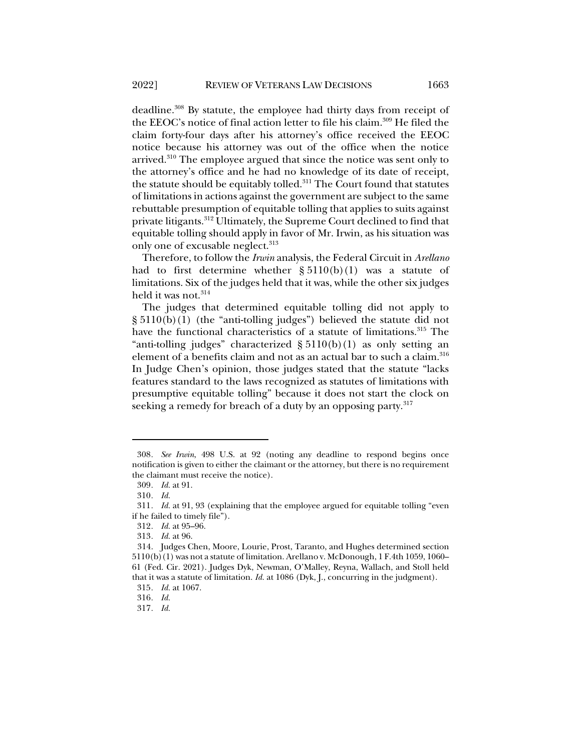deadline.308 By statute, the employee had thirty days from receipt of the EEOC's notice of final action letter to file his claim.309 He filed the claim forty-four days after his attorney's office received the EEOC notice because his attorney was out of the office when the notice arrived.<sup>310</sup> The employee argued that since the notice was sent only to the attorney's office and he had no knowledge of its date of receipt, the statute should be equitably tolled.<sup>311</sup> The Court found that statutes of limitations in actions against the government are subject to the same rebuttable presumption of equitable tolling that applies to suits against

private litigants.<sup>312</sup> Ultimately, the Supreme Court declined to find that equitable tolling should apply in favor of Mr. Irwin, as his situation was only one of excusable neglect.<sup>313</sup> Therefore, to follow the *Irwin* analysis, the Federal Circuit in *Arellano*

had to first determine whether  $\S 5110(b)(1)$  was a statute of limitations. Six of the judges held that it was, while the other six judges held it was not.<sup>314</sup>

The judges that determined equitable tolling did not apply to  $\S 5110(b)(1)$  (the "anti-tolling judges") believed the statute did not have the functional characteristics of a statute of limitations.<sup>315</sup> The "anti-tolling judges" characterized  $\S 5110(b)(1)$  as only setting an element of a benefits claim and not as an actual bar to such a claim.<sup>316</sup> In Judge Chen's opinion, those judges stated that the statute "lacks features standard to the laws recognized as statutes of limitations with presumptive equitable tolling" because it does not start the clock on seeking a remedy for breach of a duty by an opposing party.<sup>317</sup>

<sup>308</sup>*. See Irwin*, 498 U.S. at 92 (noting any deadline to respond begins once notification is given to either the claimant or the attorney, but there is no requirement the claimant must receive the notice).

<sup>309</sup>*. Id.* at 91.

<sup>310</sup>*. Id.*

<sup>311</sup>*. Id.* at 91, 93 (explaining that the employee argued for equitable tolling "even if he failed to timely file").

<sup>312</sup>*. Id.* at 95–96.

<sup>313</sup>*. Id.* at 96.

<sup>314.</sup> Judges Chen, Moore, Lourie, Prost, Taranto, and Hughes determined section 5110(b)(1) was not a statute of limitation. Arellano v. McDonough, 1 F.4th 1059, 1060– 61 (Fed. Cir. 2021). Judges Dyk, Newman, O'Malley, Reyna, Wallach, and Stoll held that it was a statute of limitation. *Id.* at 1086 (Dyk, J., concurring in the judgment). 315*. Id.* at 1067.

<sup>316</sup>*. Id.*

<sup>317</sup>*. Id.*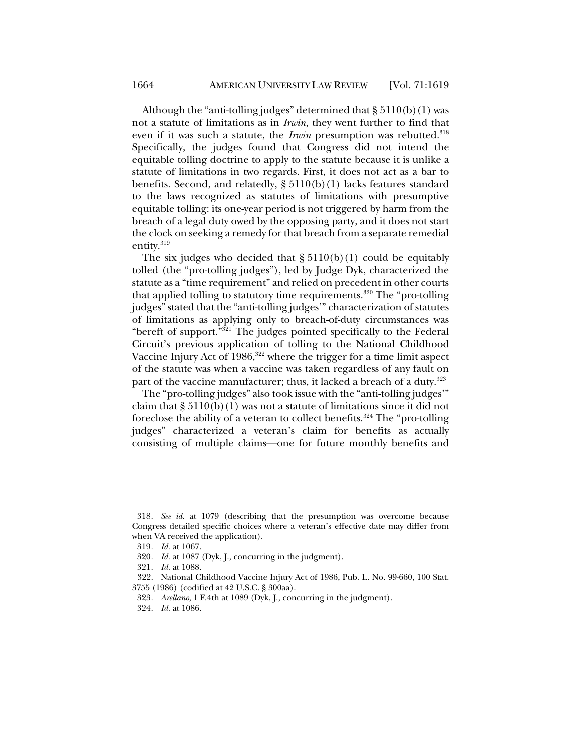Although the "anti-tolling judges" determined that  $\S 5110(b)(1)$  was not a statute of limitations as in *Irwin*, they went further to find that even if it was such a statute, the *Irwin* presumption was rebutted.<sup>318</sup> Specifically, the judges found that Congress did not intend the equitable tolling doctrine to apply to the statute because it is unlike a statute of limitations in two regards. First, it does not act as a bar to benefits. Second, and relatedly, § 5110(b)(1) lacks features standard to the laws recognized as statutes of limitations with presumptive equitable tolling: its one-year period is not triggered by harm from the breach of a legal duty owed by the opposing party, and it does not start the clock on seeking a remedy for that breach from a separate remedial entity. 319

The six judges who decided that  $\S 5110(b)(1)$  could be equitably tolled (the "pro-tolling judges"), led by Judge Dyk, characterized the statute as a "time requirement" and relied on precedent in other courts that applied tolling to statutory time requirements.<sup>320</sup> The "pro-tolling judges" stated that the "anti-tolling judges'" characterization of statutes of limitations as applying only to breach-of-duty circumstances was "bereft of support."321 The judges pointed specifically to the Federal Circuit's previous application of tolling to the National Childhood Vaccine Injury Act of 1986,<sup>322</sup> where the trigger for a time limit aspect of the statute was when a vaccine was taken regardless of any fault on part of the vaccine manufacturer; thus, it lacked a breach of a duty.<sup>323</sup>

The "pro-tolling judges" also took issue with the "anti-tolling judges'" claim that  $\S 5110(b)(1)$  was not a statute of limitations since it did not foreclose the ability of a veteran to collect benefits.<sup>324</sup> The "pro-tolling" judges" characterized a veteran's claim for benefits as actually consisting of multiple claims—one for future monthly benefits and

<sup>318</sup>*. See id.* at 1079 (describing that the presumption was overcome because Congress detailed specific choices where a veteran's effective date may differ from when VA received the application).

<sup>319</sup>*. Id.* at 1067.

<sup>320</sup>*. Id.* at 1087 (Dyk, J., concurring in the judgment).

<sup>321</sup>*. Id.* at 1088.

<sup>322.</sup> National Childhood Vaccine Injury Act of 1986, Pub. L. No. 99-660, 100 Stat. 3755 (1986) (codified at 42 U.S.C. § 300aa).

<sup>323</sup>*. Arellano*, 1 F.4th at 1089 (Dyk, J., concurring in the judgment).

<sup>324</sup>*. Id.* at 1086.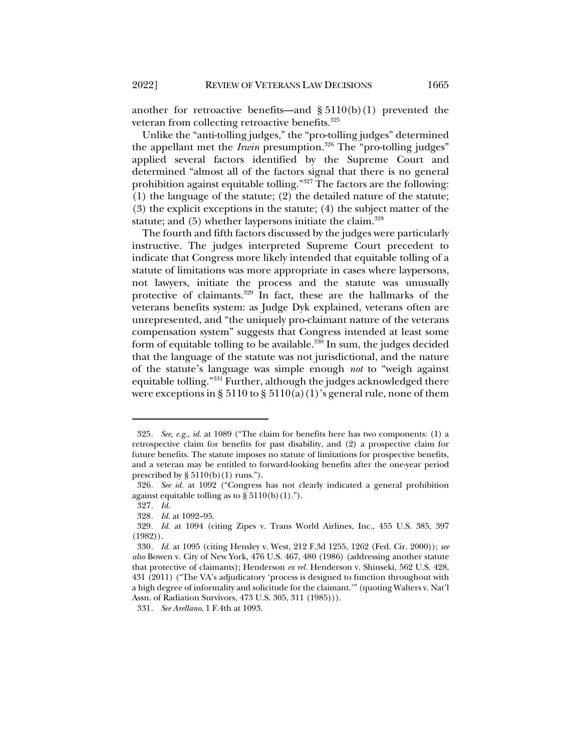another for retroactive benefits—and  $\S 5110(b)(1)$  prevented the veteran from collecting retroactive benefits.<sup>325</sup>

Unlike the "anti-tolling judges," the "pro-tolling judges" determined the appellant met the *Irwin* presumption.<sup>326</sup> The "pro-tolling judges" applied several factors identified by the Supreme Court and determined "almost all of the factors signal that there is no general prohibition against equitable tolling."327 The factors are the following: (1) the language of the statute; (2) the detailed nature of the statute; (3) the explicit exceptions in the statute; (4) the subject matter of the statute; and  $(5)$  whether laypersons initiate the claim.<sup>328</sup>

The fourth and fifth factors discussed by the judges were particularly instructive. The judges interpreted Supreme Court precedent to indicate that Congress more likely intended that equitable tolling of a statute of limitations was more appropriate in cases where laypersons, not lawyers, initiate the process and the statute was unusually protective of claimants.<sup>329</sup> In fact, these are the hallmarks of the veterans benefits system: as Judge Dyk explained, veterans often are unrepresented, and "the uniquely pro-claimant nature of the veterans compensation system" suggests that Congress intended at least some form of equitable tolling to be available. $330$  In sum, the judges decided that the language of the statute was not jurisdictional, and the nature of the statute's language was simple enough *not* to "weigh against equitable tolling."331 Further, although the judges acknowledged there were exceptions in § 5110 to § 5110(a)(1)'s general rule, none of them

331*. See Arellano*, 1 F.4th at 1093.

<sup>325</sup>*. See, e.g.*, *id.* at 1089 ("The claim for benefits here has two components: (1) a retrospective claim for benefits for past disability, and (2) a prospective claim for future benefits. The statute imposes no statute of limitations for prospective benefits, and a veteran may be entitled to forward-looking benefits after the one-year period prescribed by  $\S 5110(b)(1)$  runs.").

<sup>326</sup>*. See id.* at 1092 ("Congress has not clearly indicated a general prohibition against equitable tolling as to  $\S 5110(b)(1)$ .").

<sup>327</sup>*. Id.*

<sup>328</sup>*. Id.* at 1092–95.

<sup>329</sup>*. Id.* at 1094 (citing Zipes v. Trans World Airlines, Inc., 455 U.S. 385, 397 (1982)).

<sup>330</sup>*. Id.* at 1095 (citing Hensley v. West, 212 F.3d 1255, 1262 (Fed. Cir. 2000)); *see also* Bowen v. City of New York, 476 U.S. 467, 480 (1986) (addressing another statute that protective of claimants); Henderson *ex rel.* Henderson v. Shinseki, 562 U.S. 428, 431 (2011) ("The VA's adjudicatory 'process is designed to function throughout with a high degree of informality and solicitude for the claimant.'" (quoting Walters v. Nat'l Assn. of Radiation Survivors, 473 U.S. 305, 311 (1985))).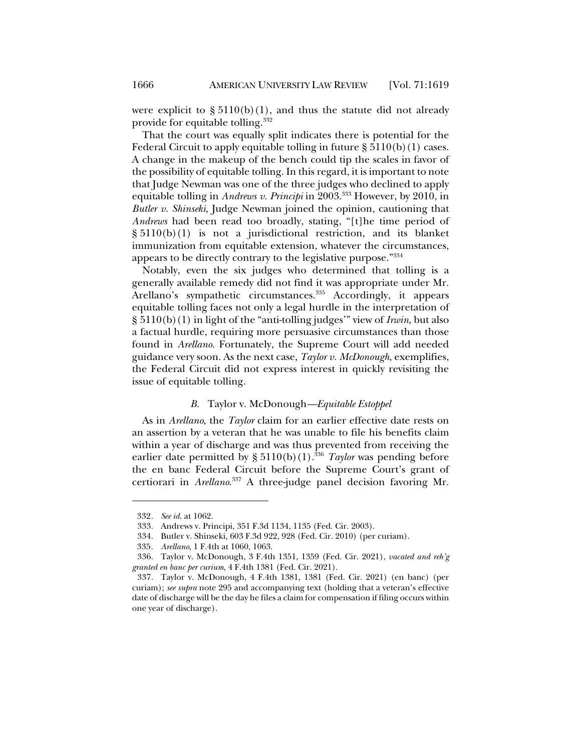were explicit to  $\S 5110(b)(1)$ , and thus the statute did not already provide for equitable tolling.332

That the court was equally split indicates there is potential for the Federal Circuit to apply equitable tolling in future  $\S 5110(b)(1)$  cases. A change in the makeup of the bench could tip the scales in favor of the possibility of equitable tolling. In this regard, it is important to note that Judge Newman was one of the three judges who declined to apply equitable tolling in *Andrews v. Principi* in 2003.<sup>333</sup> However, by 2010, in *Butler v. Shinseki*, Judge Newman joined the opinion, cautioning that *Andrews* had been read too broadly, stating, "[t]he time period of § 5110(b)(1) is not a jurisdictional restriction, and its blanket immunization from equitable extension, whatever the circumstances, appears to be directly contrary to the legislative purpose."334

Notably, even the six judges who determined that tolling is a generally available remedy did not find it was appropriate under Mr. Arellano's sympathetic circumstances.<sup>335</sup> Accordingly, it appears equitable tolling faces not only a legal hurdle in the interpretation of § 5110(b)(1) in light of the "anti-tolling judges'" view of *Irwin*, but also a factual hurdle, requiring more persuasive circumstances than those found in *Arellano*. Fortunately, the Supreme Court will add needed guidance very soon. As the next case, *Taylor v. McDonough*, exemplifies, the Federal Circuit did not express interest in quickly revisiting the issue of equitable tolling.

#### *B.* Taylor v. McDonough*—Equitable Estoppel*

As in *Arellano*, the *Taylor* claim for an earlier effective date rests on an assertion by a veteran that he was unable to file his benefits claim within a year of discharge and was thus prevented from receiving the earlier date permitted by  $\S 5110(b)(1).$ <sup>336</sup> *Taylor* was pending before the en banc Federal Circuit before the Supreme Court's grant of certiorari in *Arellano*. <sup>337</sup> A three-judge panel decision favoring Mr.

<sup>332</sup>*. See id.* at 1062.

<sup>333.</sup> Andrews v. Principi, 351 F.3d 1134, 1135 (Fed. Cir. 2003).

<sup>334.</sup> Butler v. Shinseki, 603 F.3d 922, 928 (Fed. Cir. 2010) (per curiam).

<sup>335</sup>*. Arellano*, 1 F.4th at 1060, 1063.

<sup>336.</sup> Taylor v. McDonough, 3 F.4th 1351, 1359 (Fed. Cir. 2021), *vacated and reh'g granted en banc per curium*, 4 F.4th 1381 (Fed. Cir. 2021).

<sup>337.</sup> Taylor v. McDonough, 4 F.4th 1381, 1381 (Fed. Cir. 2021) (en banc) (per curiam); *see supra* note 295 and accompanying text (holding that a veteran's effective date of discharge will be the day he files a claim for compensation if filing occurs within one year of discharge).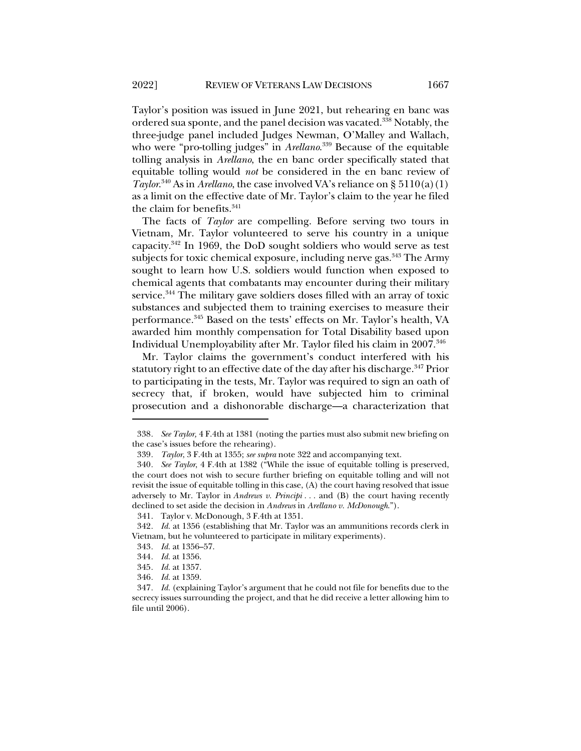Taylor's position was issued in June 2021, but rehearing en banc was ordered sua sponte, and the panel decision was vacated.338 Notably, the three-judge panel included Judges Newman, O'Malley and Wallach, who were "pro-tolling judges" in *Arellano*. <sup>339</sup> Because of the equitable tolling analysis in *Arellano*, the en banc order specifically stated that equitable tolling would *not* be considered in the en banc review of *Taylor*.<sup>340</sup> As in *Arellano*, the case involved VA's reliance on § 5110(a)(1) as a limit on the effective date of Mr. Taylor's claim to the year he filed the claim for benefits.<sup>341</sup>

The facts of *Taylor* are compelling. Before serving two tours in Vietnam, Mr. Taylor volunteered to serve his country in a unique capacity.342 In 1969, the DoD sought soldiers who would serve as test subjects for toxic chemical exposure, including nerve gas.<sup>343</sup> The Army sought to learn how U.S. soldiers would function when exposed to chemical agents that combatants may encounter during their military service.<sup>344</sup> The military gave soldiers doses filled with an array of toxic substances and subjected them to training exercises to measure their performance.345 Based on the tests' effects on Mr. Taylor's health, VA awarded him monthly compensation for Total Disability based upon Individual Unemployability after Mr. Taylor filed his claim in 2007.<sup>346</sup>

Mr. Taylor claims the government's conduct interfered with his statutory right to an effective date of the day after his discharge.<sup>347</sup> Prior to participating in the tests, Mr. Taylor was required to sign an oath of secrecy that, if broken, would have subjected him to criminal prosecution and a dishonorable discharge—a characterization that

<sup>338</sup>*. See Taylor,* 4 F.4th at 1381 (noting the parties must also submit new briefing on the case's issues before the rehearing).

<sup>339</sup>*. Taylor*, 3 F.4th at 1355; *see supra* note 322 and accompanying text.

<sup>340</sup>*. See Taylor*, 4 F.4th at 1382 ("While the issue of equitable tolling is preserved, the court does not wish to secure further briefing on equitable tolling and will not revisit the issue of equitable tolling in this case, (A) the court having resolved that issue adversely to Mr. Taylor in *Andrews v. Principi . . .* and (B) the court having recently declined to set aside the decision in *Andrews* in *Arellano v. McDonough*.").

<sup>341.</sup> Taylor v. McDonough, 3 F.4th at 1351.

<sup>342</sup>*. Id.* at 1356 (establishing that Mr. Taylor was an ammunitions records clerk in Vietnam, but he volunteered to participate in military experiments).

<sup>343</sup>*. Id.* at 1356–57.

<sup>344</sup>*. Id.* at 1356.

<sup>345</sup>*. Id.* at 1357.

<sup>346</sup>*. Id.* at 1359.

<sup>347</sup>*. Id.* (explaining Taylor's argument that he could not file for benefits due to the secrecy issues surrounding the project, and that he did receive a letter allowing him to file until 2006).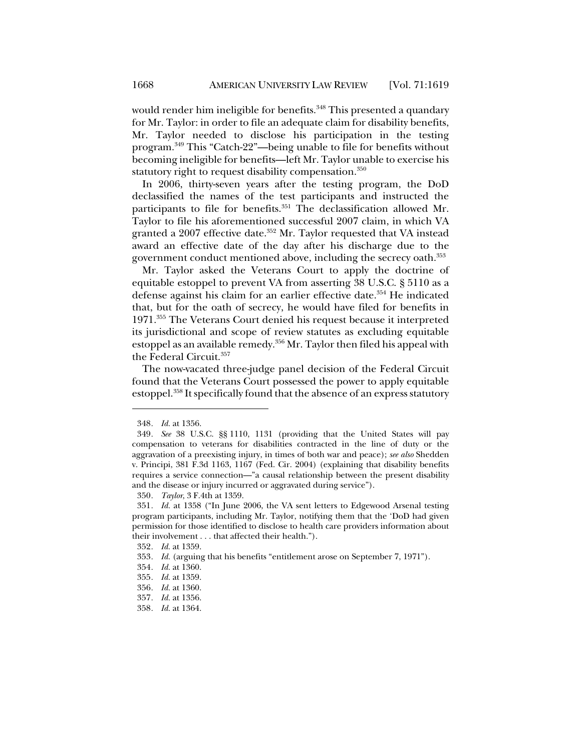would render him ineligible for benefits.<sup>348</sup> This presented a quandary for Mr. Taylor: in order to file an adequate claim for disability benefits, Mr. Taylor needed to disclose his participation in the testing program.349 This "Catch-22"—being unable to file for benefits without becoming ineligible for benefits—left Mr. Taylor unable to exercise his statutory right to request disability compensation.<sup>350</sup>

In 2006, thirty-seven years after the testing program, the DoD declassified the names of the test participants and instructed the participants to file for benefits.<sup>351</sup> The declassification allowed Mr. Taylor to file his aforementioned successful 2007 claim, in which VA granted a 2007 effective date.<sup>352</sup> Mr. Taylor requested that VA instead award an effective date of the day after his discharge due to the government conduct mentioned above, including the secrecy oath.353

Mr. Taylor asked the Veterans Court to apply the doctrine of equitable estoppel to prevent VA from asserting 38 U.S.C. § 5110 as a defense against his claim for an earlier effective date.<sup>354</sup> He indicated that, but for the oath of secrecy, he would have filed for benefits in 1971.355 The Veterans Court denied his request because it interpreted its jurisdictional and scope of review statutes as excluding equitable estoppel as an available remedy.356 Mr. Taylor then filed his appeal with the Federal Circuit.357

The now-vacated three-judge panel decision of the Federal Circuit found that the Veterans Court possessed the power to apply equitable estoppel.<sup>358</sup> It specifically found that the absence of an express statutory

<sup>348</sup>*. Id.* at 1356.

<sup>349</sup>*. See* 38 U.S.C. §§ 1110, 1131 (providing that the United States will pay compensation to veterans for disabilities contracted in the line of duty or the aggravation of a preexisting injury, in times of both war and peace); *see also* Shedden v. Principi, 381 F.3d 1163, 1167 (Fed. Cir. 2004) (explaining that disability benefits requires a service connection—"a causal relationship between the present disability and the disease or injury incurred or aggravated during service").

<sup>350</sup>*. Taylor*, 3 F.4th at 1359.

<sup>351</sup>*. Id.* at 1358 ("In June 2006, the VA sent letters to Edgewood Arsenal testing program participants, including Mr. Taylor, notifying them that the 'DoD had given permission for those identified to disclose to health care providers information about their involvement . . . that affected their health.").

<sup>352</sup>*. Id.* at 1359.

<sup>353</sup>*. Id.* (arguing that his benefits "entitlement arose on September 7, 1971").

<sup>354</sup>*. Id.* at 1360.

<sup>355</sup>*. Id.* at 1359.

<sup>356</sup>*. Id.* at 1360.

<sup>357</sup>*. Id.* at 1356.

<sup>358</sup>*. Id.* at 1364.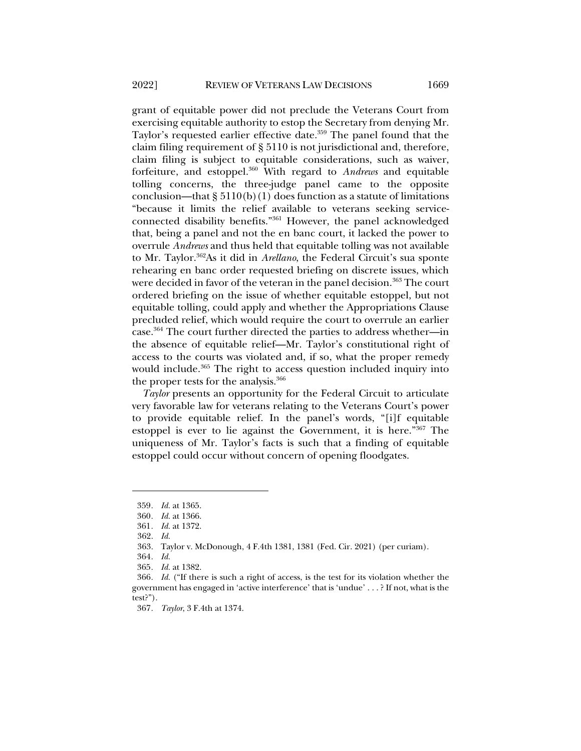grant of equitable power did not preclude the Veterans Court from exercising equitable authority to estop the Secretary from denying Mr. Taylor's requested earlier effective date.<sup>359</sup> The panel found that the claim filing requirement of § 5110 is not jurisdictional and, therefore, claim filing is subject to equitable considerations, such as waiver, forfeiture, and estoppel.360 With regard to *Andrews* and equitable tolling concerns, the three-judge panel came to the opposite conclusion—that  $\S 5110(b)(1)$  does function as a statute of limitations "because it limits the relief available to veterans seeking serviceconnected disability benefits."361 However, the panel acknowledged that, being a panel and not the en banc court, it lacked the power to overrule *Andrews* and thus held that equitable tolling was not available to Mr. Taylor.362As it did in *Arellano*, the Federal Circuit's sua sponte rehearing en banc order requested briefing on discrete issues, which were decided in favor of the veteran in the panel decision.<sup>363</sup> The court ordered briefing on the issue of whether equitable estoppel, but not equitable tolling, could apply and whether the Appropriations Clause precluded relief, which would require the court to overrule an earlier case.364 The court further directed the parties to address whether—in the absence of equitable relief—Mr. Taylor's constitutional right of access to the courts was violated and, if so, what the proper remedy would include.<sup>365</sup> The right to access question included inquiry into the proper tests for the analysis.<sup>366</sup>

*Taylor* presents an opportunity for the Federal Circuit to articulate very favorable law for veterans relating to the Veterans Court's power to provide equitable relief. In the panel's words, "[i]f equitable estoppel is ever to lie against the Government, it is here."367 The uniqueness of Mr. Taylor's facts is such that a finding of equitable estoppel could occur without concern of opening floodgates.

<sup>359</sup>*. Id.* at 1365.

<sup>360</sup>*. Id.* at 1366.

<sup>361</sup>*. Id.* at 1372.

<sup>362.</sup> *Id.*

<sup>363.</sup> Taylor v. McDonough, 4 F.4th 1381, 1381 (Fed. Cir. 2021) (per curiam).

<sup>364</sup>*. Id.*

<sup>365</sup>*. Id.* at 1382.

<sup>366</sup>*. Id.* ("If there is such a right of access, is the test for its violation whether the government has engaged in 'active interference' that is 'undue' . . . ? If not, what is the test?").

<sup>367</sup>*. Taylor*, 3 F.4th at 1374.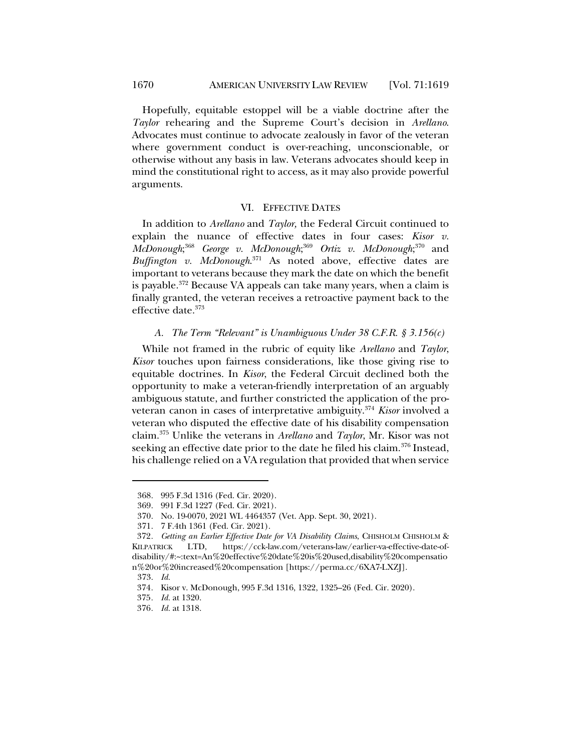Hopefully, equitable estoppel will be a viable doctrine after the *Taylor* rehearing and the Supreme Court's decision in *Arellano*. Advocates must continue to advocate zealously in favor of the veteran where government conduct is over-reaching, unconscionable, or otherwise without any basis in law. Veterans advocates should keep in mind the constitutional right to access, as it may also provide powerful arguments.

### VI. EFFECTIVE DATES

In addition to *Arellano* and *Taylor,* the Federal Circuit continued to explain the nuance of effective dates in four cases: *Kisor v. McDonough*; <sup>368</sup> *George v. McDonough*; <sup>369</sup> *Ortiz v. McDonough*; <sup>370</sup> and *Buffington v. McDonough*. <sup>371</sup> As noted above, effective dates are important to veterans because they mark the date on which the benefit is payable. $372$  Because VA appeals can take many years, when a claim is finally granted, the veteran receives a retroactive payment back to the effective date.373

### *A. The Term "Relevant" is Unambiguous Under 38 C.F.R. § 3.156(c)*

While not framed in the rubric of equity like *Arellano* and *Taylor*, *Kisor* touches upon fairness considerations, like those giving rise to equitable doctrines. In *Kisor*, the Federal Circuit declined both the opportunity to make a veteran-friendly interpretation of an arguably ambiguous statute, and further constricted the application of the proveteran canon in cases of interpretative ambiguity.374 *Kisor* involved a veteran who disputed the effective date of his disability compensation claim.375 Unlike the veterans in *Arellano* and *Taylor*, Mr. Kisor was not seeking an effective date prior to the date he filed his claim.<sup>376</sup> Instead, his challenge relied on a VA regulation that provided that when service

<sup>368.</sup> 995 F.3d 1316 (Fed. Cir. 2020).

<sup>369.</sup> 991 F.3d 1227 (Fed. Cir. 2021).

<sup>370.</sup> No. 19-0070, 2021 WL 4464357 (Vet. App. Sept. 30, 2021).

<sup>371.</sup> 7 F.4th 1361 (Fed. Cir. 2021).

<sup>372</sup>*. Getting an Earlier Effective Date for VA Disability Claims*, CHISHOLM CHISHOLM & KILPATRICK LTD, https://cck-law.com/veterans-law/earlier-va-effective-date-ofdisability/#:~:text=An%20effective%20date%20is%20used,disability%20compensatio n%20or%20increased%20compensation [https://perma.cc/6XA7-LXZJ].

<sup>373.</sup> *Id.*

<sup>374</sup>*.* Kisor v. McDonough, 995 F.3d 1316, 1322, 1325–26 (Fed. Cir. 2020).

<sup>375</sup>*. Id.* at 1320.

<sup>376</sup>*. Id.* at 1318.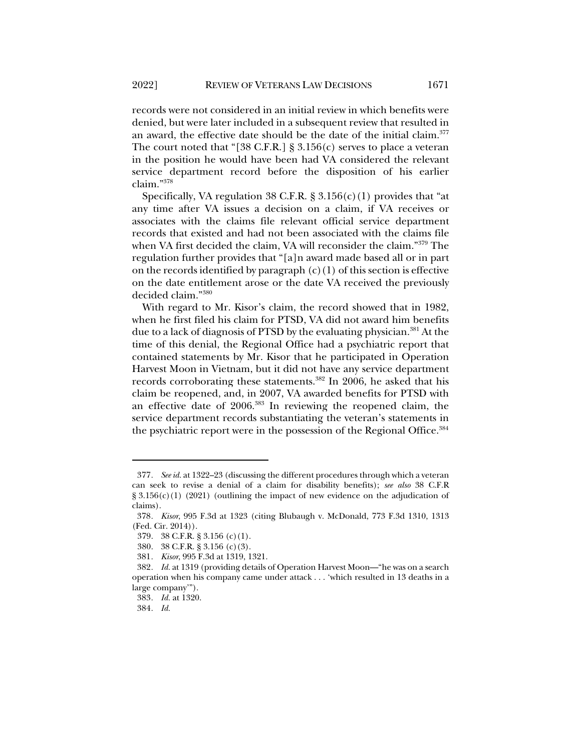records were not considered in an initial review in which benefits were

denied, but were later included in a subsequent review that resulted in an award, the effective date should be the date of the initial claim.<sup>377</sup> The court noted that "[38 C.F.R.]  $\S 3.156(c)$  serves to place a veteran in the position he would have been had VA considered the relevant service department record before the disposition of his earlier claim."378

Specifically, VA regulation 38 C.F.R.  $\S 3.156(c)(1)$  provides that "at any time after VA issues a decision on a claim, if VA receives or associates with the claims file relevant official service department records that existed and had not been associated with the claims file when VA first decided the claim, VA will reconsider the claim."379 The regulation further provides that "[a]n award made based all or in part on the records identified by paragraph  $(c)(1)$  of this section is effective on the date entitlement arose or the date VA received the previously decided claim."380

With regard to Mr. Kisor's claim, the record showed that in 1982, when he first filed his claim for PTSD, VA did not award him benefits due to a lack of diagnosis of PTSD by the evaluating physician.<sup>381</sup> At the time of this denial, the Regional Office had a psychiatric report that contained statements by Mr. Kisor that he participated in Operation Harvest Moon in Vietnam, but it did not have any service department records corroborating these statements.<sup>382</sup> In 2006, he asked that his claim be reopened, and, in 2007, VA awarded benefits for PTSD with an effective date of 2006.383 In reviewing the reopened claim, the service department records substantiating the veteran's statements in the psychiatric report were in the possession of the Regional Office.<sup>384</sup>

<sup>377</sup>*. See id.* at 1322–23 (discussing the different procedures through which a veteran can seek to revise a denial of a claim for disability benefits); *see also* 38 C.F.R  $\S 3.156(c)(1)$  (2021) (outlining the impact of new evidence on the adjudication of claims).

<sup>378</sup>*. Kisor*, 995 F.3d at 1323 (citing Blubaugh v. McDonald, 773 F.3d 1310, 1313 (Fed. Cir. 2014)).

<sup>379.</sup> 38 C.F.R. § 3.156 (c)(1).

<sup>380.</sup> 38 C.F.R. § 3.156 (c)(3).

<sup>381</sup>*. Kisor*, 995 F.3d at 1319, 1321.

<sup>382</sup>*. Id.* at 1319 (providing details of Operation Harvest Moon—"he was on a search operation when his company came under attack . . . 'which resulted in 13 deaths in a large company'").

<sup>383</sup>*. Id.* at 1320.

<sup>384</sup>*. Id.*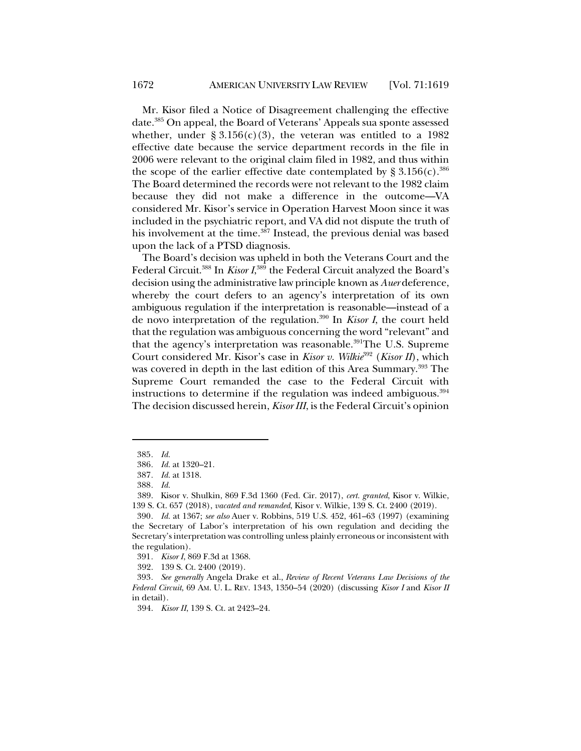Mr. Kisor filed a Notice of Disagreement challenging the effective date.385 On appeal, the Board of Veterans' Appeals sua sponte assessed whether, under §  $3.156(c)(3)$ , the veteran was entitled to a 1982 effective date because the service department records in the file in 2006 were relevant to the original claim filed in 1982, and thus within the scope of the earlier effective date contemplated by §  $3.156(c)$ .<sup>386</sup> The Board determined the records were not relevant to the 1982 claim because they did not make a difference in the outcome—VA considered Mr. Kisor's service in Operation Harvest Moon since it was included in the psychiatric report, and VA did not dispute the truth of his involvement at the time.<sup>387</sup> Instead, the previous denial was based upon the lack of a PTSD diagnosis.

The Board's decision was upheld in both the Veterans Court and the Federal Circuit.388 In *Kisor I*, <sup>389</sup> the Federal Circuit analyzed the Board's decision using the administrative law principle known as *Auer* deference, whereby the court defers to an agency's interpretation of its own ambiguous regulation if the interpretation is reasonable—instead of a de novo interpretation of the regulation.390 In *Kisor I*, the court held that the regulation was ambiguous concerning the word "relevant" and that the agency's interpretation was reasonable.<sup>391</sup>The U.S. Supreme Court considered Mr. Kisor's case in *Kisor v. Wilkie*<sup>392</sup> (*Kisor II*), which was covered in depth in the last edition of this Area Summary. <sup>393</sup> The Supreme Court remanded the case to the Federal Circuit with instructions to determine if the regulation was indeed ambiguous.<sup>394</sup> The decision discussed herein, *Kisor III*, is the Federal Circuit's opinion

394. *Kisor II*, 139 S. Ct. at 2423–24.

<sup>385</sup>*. Id.*

<sup>386</sup>*. Id.* at 1320–21.

<sup>387</sup>*. Id.* at 1318.

<sup>388</sup>*. Id.*

<sup>389.</sup> Kisor v. Shulkin, 869 F.3d 1360 (Fed. Cir. 2017), *cert. granted*, Kisor v. Wilkie, 139 S. Ct. 657 (2018), *vacated and remanded*, Kisor v. Wilkie, 139 S. Ct. 2400 (2019).

<sup>390</sup>*. Id.* at 1367; *see also* Auer v. Robbins, 519 U.S. 452, 461–63 (1997) (examining the Secretary of Labor's interpretation of his own regulation and deciding the Secretary's interpretation was controlling unless plainly erroneous or inconsistent with the regulation).

<sup>391</sup>*. Kisor I*, 869 F.3d at 1368.

<sup>392.</sup> 139 S. Ct. 2400 (2019).

<sup>393</sup>*. See generally* Angela Drake et al., *Review of Recent Veterans Law Decisions of the Federal Circuit*, 69 AM. U. L. REV. 1343, 1350–54 (2020) (discussing *Kisor I* and *Kisor II* in detail).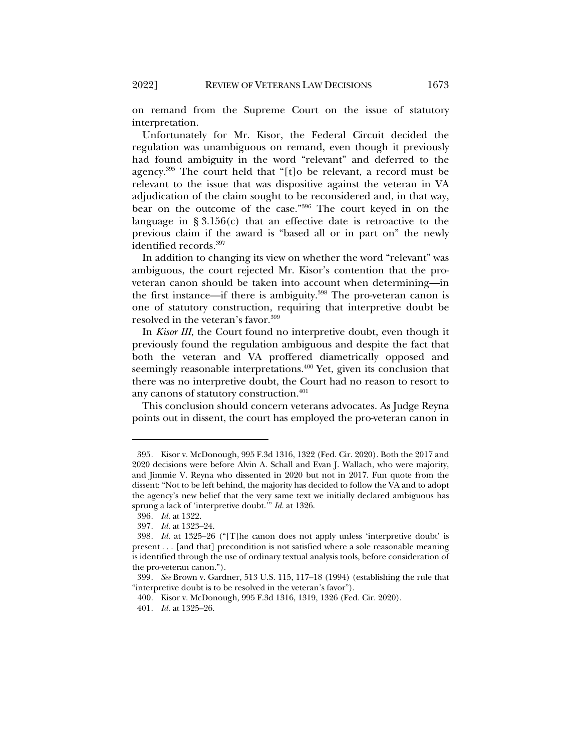on remand from the Supreme Court on the issue of statutory interpretation.

Unfortunately for Mr. Kisor, the Federal Circuit decided the regulation was unambiguous on remand, even though it previously had found ambiguity in the word "relevant" and deferred to the agency.395 The court held that "[t]o be relevant, a record must be relevant to the issue that was dispositive against the veteran in VA adjudication of the claim sought to be reconsidered and, in that way, bear on the outcome of the case."396 The court keyed in on the language in  $\S 3.156(c)$  that an effective date is retroactive to the previous claim if the award is "based all or in part on" the newly identified records.<sup>397</sup>

In addition to changing its view on whether the word "relevant" was ambiguous, the court rejected Mr. Kisor's contention that the proveteran canon should be taken into account when determining—in the first instance—if there is ambiguity.<sup>398</sup> The pro-veteran canon is one of statutory construction, requiring that interpretive doubt be resolved in the veteran's favor.<sup>399</sup>

In *Kisor III*, the Court found no interpretive doubt, even though it previously found the regulation ambiguous and despite the fact that both the veteran and VA proffered diametrically opposed and seemingly reasonable interpretations.<sup>400</sup> Yet, given its conclusion that there was no interpretive doubt, the Court had no reason to resort to any canons of statutory construction.<sup>401</sup>

This conclusion should concern veterans advocates. As Judge Reyna points out in dissent, the court has employed the pro-veteran canon in

<sup>395</sup>*.* Kisor v. McDonough, 995 F.3d 1316, 1322 (Fed. Cir. 2020). Both the 2017 and 2020 decisions were before Alvin A. Schall and Evan J. Wallach, who were majority, and Jimmie V. Reyna who dissented in 2020 but not in 2017. Fun quote from the dissent: "Not to be left behind, the majority has decided to follow the VA and to adopt the agency's new belief that the very same text we initially declared ambiguous has sprung a lack of 'interpretive doubt.'" *Id.* at 1326.

<sup>396</sup>*. Id.* at 1322.

<sup>397</sup>*. Id.* at 1323–24.

<sup>398</sup>*. Id.* at 1325–26 ("[T]he canon does not apply unless 'interpretive doubt' is present . . . [and that] precondition is not satisfied where a sole reasonable meaning is identified through the use of ordinary textual analysis tools, before consideration of the pro-veteran canon.").

<sup>399</sup>*. See* Brown v. Gardner, 513 U.S. 115, 117–18 (1994) (establishing the rule that "interpretive doubt is to be resolved in the veteran's favor").

<sup>400.</sup> Kisor v. McDonough, 995 F.3d 1316, 1319, 1326 (Fed. Cir. 2020).

<sup>401</sup>*. Id.* at 1325–26.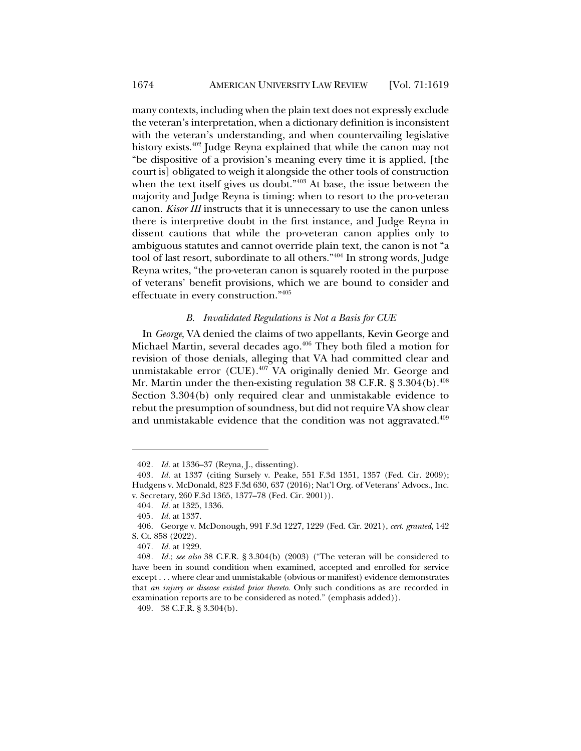many contexts, including when the plain text does not expressly exclude the veteran's interpretation, when a dictionary definition is inconsistent with the veteran's understanding, and when countervailing legislative history exists.<sup>402</sup> Judge Reyna explained that while the canon may not "be dispositive of a provision's meaning every time it is applied, [the court is] obligated to weigh it alongside the other tools of construction when the text itself gives us doubt." $403$  At base, the issue between the majority and Judge Reyna is timing: when to resort to the pro-veteran canon. *Kisor III* instructs that it is unnecessary to use the canon unless there is interpretive doubt in the first instance, and Judge Reyna in dissent cautions that while the pro-veteran canon applies only to ambiguous statutes and cannot override plain text, the canon is not "a tool of last resort, subordinate to all others."404 In strong words, Judge Reyna writes, "the pro-veteran canon is squarely rooted in the purpose of veterans' benefit provisions, which we are bound to consider and effectuate in every construction."405

### *B. Invalidated Regulations is Not a Basis for CUE*

In *George*, VA denied the claims of two appellants, Kevin George and Michael Martin, several decades ago.<sup>406</sup> They both filed a motion for revision of those denials, alleging that VA had committed clear and unmistakable error (CUE).407 VA originally denied Mr. George and Mr. Martin under the then-existing regulation 38 C.F.R.  $\S 3.304(b)$ .<sup>408</sup> Section 3.304(b) only required clear and unmistakable evidence to rebut the presumption of soundness, but did not require VA show clear and unmistakable evidence that the condition was not aggravated.<sup>409</sup>

<sup>402</sup>*. Id.* at 1336–37 (Reyna, J., dissenting).

<sup>403</sup>*. Id.* at 1337 (citing Sursely v. Peake, 551 F.3d 1351, 1357 (Fed. Cir. 2009); Hudgens v. McDonald, 823 F.3d 630, 637 (2016); Nat'l Org. of Veterans' Advocs., Inc. v. Secretary, 260 F.3d 1365, 1377–78 (Fed. Cir. 2001)).

<sup>404</sup>*. Id.* at 1325, 1336.

<sup>405</sup>*. Id.* at 1337.

<sup>406.</sup> George v. McDonough, 991 F.3d 1227, 1229 (Fed. Cir. 2021), *cert. granted*, 142 S. Ct. 858 (2022).

<sup>407</sup>*. Id.* at 1229.

<sup>408</sup>*. Id.*; *see also* 38 C.F.R. § 3.304(b) (2003) ("The veteran will be considered to have been in sound condition when examined, accepted and enrolled for service except . . . where clear and unmistakable (obvious or manifest) evidence demonstrates that *an injury or disease existed prior thereto*. Only such conditions as are recorded in examination reports are to be considered as noted." (emphasis added)).

<sup>409.</sup> 38 C.F.R. § 3.304(b).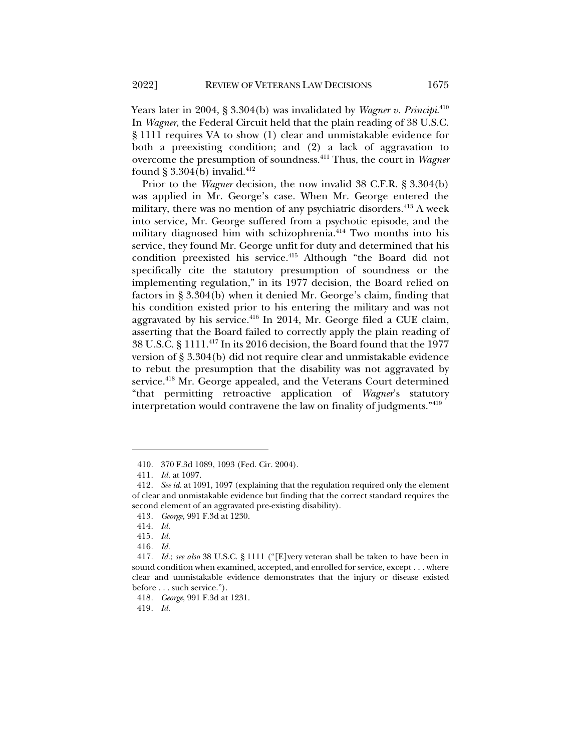Years later in 2004, § 3.304(b) was invalidated by *Wagner v. Principi*. 410 In *Wagner*, the Federal Circuit held that the plain reading of 38 U.S.C. § 1111 requires VA to show (1) clear and unmistakable evidence for both a preexisting condition; and (2) a lack of aggravation to overcome the presumption of soundness.411 Thus, the court in *Wagner* found § 3.304(b) invalid.<sup>412</sup>

Prior to the *Wagner* decision, the now invalid 38 C.F.R. § 3.304(b) was applied in Mr. George's case. When Mr. George entered the military, there was no mention of any psychiatric disorders. $413$  A week into service, Mr. George suffered from a psychotic episode, and the military diagnosed him with schizophrenia.<sup>414</sup> Two months into his service, they found Mr. George unfit for duty and determined that his condition preexisted his service.<sup>415</sup> Although "the Board did not specifically cite the statutory presumption of soundness or the implementing regulation," in its 1977 decision, the Board relied on factors in § 3.304(b) when it denied Mr. George's claim, finding that his condition existed prior to his entering the military and was not aggravated by his service. $416$  In 2014, Mr. George filed a CUE claim, asserting that the Board failed to correctly apply the plain reading of 38 U.S.C. § 1111.417 In its 2016 decision, the Board found that the 1977 version of § 3.304(b) did not require clear and unmistakable evidence to rebut the presumption that the disability was not aggravated by service.<sup>418</sup> Mr. George appealed, and the Veterans Court determined "that permitting retroactive application of *Wagner*'s statutory interpretation would contravene the law on finality of judgments."419

<sup>410.</sup> 370 F.3d 1089, 1093 (Fed. Cir. 2004).

<sup>411</sup>*. Id.* at 1097.

<sup>412</sup>*. See id.* at 1091, 1097 (explaining that the regulation required only the element of clear and unmistakable evidence but finding that the correct standard requires the second element of an aggravated pre-existing disability).

<sup>413</sup>*. George*, 991 F.3d at 1230.

<sup>414</sup>*. Id.*

<sup>415</sup>*. Id.*

<sup>416</sup>*. Id.*

<sup>417</sup>*. Id.*; *see also* 38 U.S.C. § 1111 ("[E]very veteran shall be taken to have been in sound condition when examined, accepted, and enrolled for service, except . . . where clear and unmistakable evidence demonstrates that the injury or disease existed before . . . such service.").

<sup>418</sup>*. George*, 991 F.3d at 1231.

<sup>419</sup>*. Id.*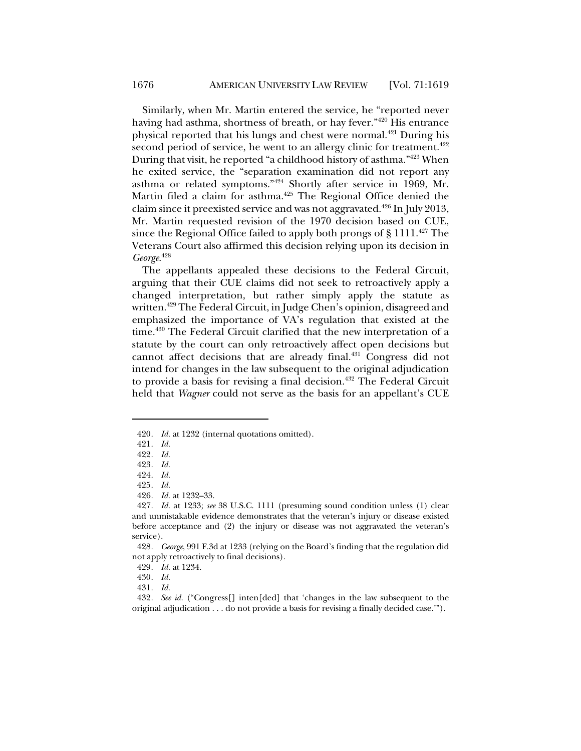Similarly, when Mr. Martin entered the service, he "reported never having had asthma, shortness of breath, or hay fever."420 His entrance physical reported that his lungs and chest were normal.421 During his second period of service, he went to an allergy clinic for treatment. $422$ During that visit, he reported "a childhood history of asthma."423 When he exited service, the "separation examination did not report any asthma or related symptoms."424 Shortly after service in 1969, Mr. Martin filed a claim for asthma.<sup>425</sup> The Regional Office denied the claim since it preexisted service and was not aggravated.<sup>426</sup> In July 2013, Mr. Martin requested revision of the 1970 decision based on CUE, since the Regional Office failed to apply both prongs of  $\S 1111.^{427}$  The Veterans Court also affirmed this decision relying upon its decision in *George*. 428

The appellants appealed these decisions to the Federal Circuit, arguing that their CUE claims did not seek to retroactively apply a changed interpretation, but rather simply apply the statute as written.<sup>429</sup> The Federal Circuit, in Judge Chen's opinion, disagreed and emphasized the importance of VA's regulation that existed at the time.430 The Federal Circuit clarified that the new interpretation of a statute by the court can only retroactively affect open decisions but cannot affect decisions that are already final.431 Congress did not intend for changes in the law subsequent to the original adjudication to provide a basis for revising a final decision.<sup>432</sup> The Federal Circuit held that *Wagner* could not serve as the basis for an appellant's CUE

<sup>420</sup>*. Id.* at 1232 (internal quotations omitted).

<sup>421</sup>*. Id.*

<sup>422</sup>*. Id.*

<sup>423</sup>*. Id.*

<sup>424</sup>*. Id.*

<sup>425</sup>*. Id.*

<sup>426</sup>*. Id.* at 1232–33.

<sup>427</sup>*. Id.* at 1233; *see* 38 U.S.C. 1111 (presuming sound condition unless (1) clear and unmistakable evidence demonstrates that the veteran's injury or disease existed before acceptance and (2) the injury or disease was not aggravated the veteran's service).

<sup>428</sup>*. George*, 991 F.3d at 1233 (relying on the Board's finding that the regulation did not apply retroactively to final decisions).

<sup>429</sup>*. Id.* at 1234.

<sup>430</sup>*. Id.*

<sup>431</sup>*. Id.*

<sup>432</sup>*. See id.* ("Congress[] inten[ded] that 'changes in the law subsequent to the original adjudication . . . do not provide a basis for revising a finally decided case.'").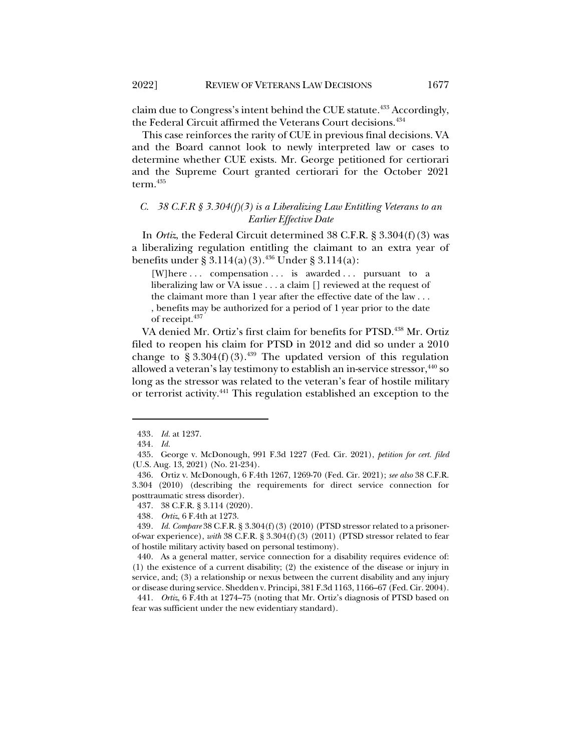claim due to Congress's intent behind the CUE statute.<sup>433</sup> Accordingly, the Federal Circuit affirmed the Veterans Court decisions.<sup>434</sup>

This case reinforces the rarity of CUE in previous final decisions. VA and the Board cannot look to newly interpreted law or cases to determine whether CUE exists. Mr. George petitioned for certiorari and the Supreme Court granted certiorari for the October 2021 term.435

## *C. 38 C.F.R § 3.304(f)(3) is a Liberalizing Law Entitling Veterans to an Earlier Effective Date*

In *Ortiz*, the Federal Circuit determined 38 C.F.R. § 3.304(f)(3) was a liberalizing regulation entitling the claimant to an extra year of benefits under § 3.114(a)(3).<sup>436</sup> Under § 3.114(a):

[W]here ... compensation ... is awarded ... pursuant to a liberalizing law or VA issue . . . a claim [] reviewed at the request of the claimant more than 1 year after the effective date of the law . . . , benefits may be authorized for a period of 1 year prior to the date of receipt.<sup>437</sup>

VA denied Mr. Ortiz's first claim for benefits for PTSD.<sup>438</sup> Mr. Ortiz filed to reopen his claim for PTSD in 2012 and did so under a 2010 change to § 3.304(f)(3).<sup>439</sup> The updated version of this regulation allowed a veteran's lay testimony to establish an in-service stressor,  $440$  so long as the stressor was related to the veteran's fear of hostile military or terrorist activity.441 This regulation established an exception to the

<sup>433</sup>*. Id.* at 1237.

<sup>434</sup>*. Id.*

<sup>435.</sup> George v. McDonough, 991 F.3d 1227 (Fed. Cir. 2021), *petition for cert. filed* (U.S. Aug. 13, 2021) (No. 21-234).

<sup>436.</sup> Ortiz v. McDonough, 6 F.4th 1267, 1269-70 (Fed. Cir. 2021); *see also* 38 C.F.R. 3.304 (2010) (describing the requirements for direct service connection for posttraumatic stress disorder).

<sup>437.</sup> 38 C.F.R. § 3.114 (2020).

<sup>438</sup>*. Ortiz*, 6 F.4th at 1273.

<sup>439</sup>*. Id. Compare* 38 C.F.R. § 3.304(f)(3) (2010) (PTSD stressor related to a prisonerof-war experience), *with* 38 C.F.R. § 3.304(f)(3) (2011) (PTSD stressor related to fear of hostile military activity based on personal testimony).

<sup>440.</sup> As a general matter, service connection for a disability requires evidence of: (1) the existence of a current disability; (2) the existence of the disease or injury in service, and; (3) a relationship or nexus between the current disability and any injury or disease during service. Shedden v. Principi, 381 F.3d 1163, 1166–67 (Fed. Cir. 2004).

<sup>441.</sup> *Ortiz*, 6 F.4th at 1274–75 (noting that Mr. Ortiz's diagnosis of PTSD based on fear was sufficient under the new evidentiary standard).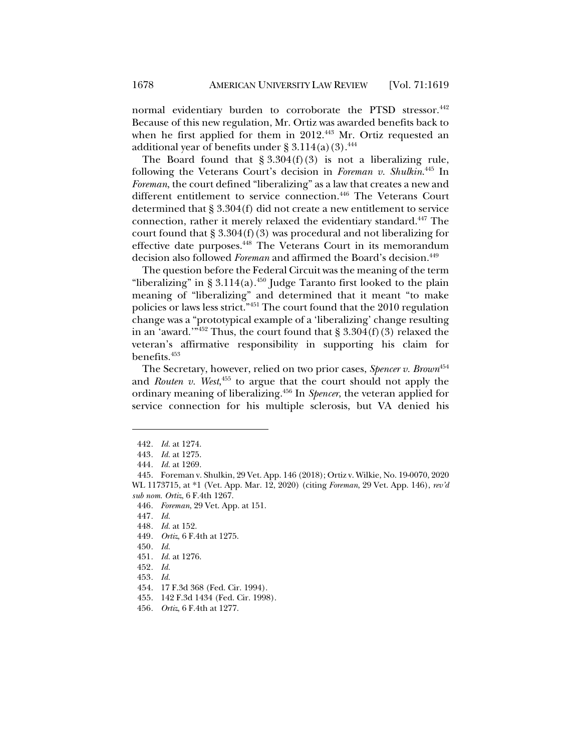normal evidentiary burden to corroborate the PTSD stressor.<sup>442</sup> Because of this new regulation, Mr. Ortiz was awarded benefits back to when he first applied for them in  $2012<sup>443</sup>$  Mr. Ortiz requested an additional year of benefits under  $\S 3.114(a)(3).$ <sup>444</sup>

The Board found that  $\S 3.304(f)(3)$  is not a liberalizing rule, following the Veterans Court's decision in *Foreman v. Shulkin*. <sup>445</sup> In *Foreman*, the court defined "liberalizing" as a law that creates a new and different entitlement to service connection.<sup>446</sup> The Veterans Court determined that § 3.304(f) did not create a new entitlement to service connection, rather it merely relaxed the evidentiary standard.447 The court found that  $\S 3.304(f)(3)$  was procedural and not liberalizing for effective date purposes.448 The Veterans Court in its memorandum decision also followed *Foreman* and affirmed the Board's decision.<sup>449</sup>

The question before the Federal Circuit was the meaning of the term "liberalizing" in § 3.114(a).<sup>450</sup> Judge Taranto first looked to the plain meaning of "liberalizing" and determined that it meant "to make policies or laws less strict."451 The court found that the 2010 regulation change was a "prototypical example of a 'liberalizing' change resulting in an 'award.'" $452$  Thus, the court found that § 3.304(f)(3) relaxed the veteran's affirmative responsibility in supporting his claim for benefits.<sup>453</sup>

The Secretary, however, relied on two prior cases, *Spencer v. Brown*<sup>454</sup> and *Routen v. West*, <sup>455</sup> to argue that the court should not apply the ordinary meaning of liberalizing.456 In *Spencer*, the veteran applied for service connection for his multiple sclerosis, but VA denied his

449*. Ortiz*, 6 F.4th at 1275.

453*. Id.*

<sup>442</sup>*. Id.* at 1274.

<sup>443</sup>*. Id.* at 1275.

<sup>444</sup>*. Id.* at 1269.

<sup>445.</sup> Foreman v. Shulkin, 29 Vet. App. 146 (2018); Ortiz v. Wilkie, No. 19-0070, 2020 WL 1173715, at \*1 (Vet. App. Mar. 12, 2020) (citing *Foreman*, 29 Vet. App. 146), *rev'd sub nom. Ortiz*, 6 F.4th 1267.

<sup>446</sup>*. Foreman*, 29 Vet. App. at 151.

<sup>447</sup>*. Id.*

<sup>448</sup>*. Id.* at 152.

<sup>450</sup>*. Id.*

<sup>451</sup>*. Id.* at 1276.

<sup>452</sup>*. Id.*

<sup>454.</sup> 17 F.3d 368 (Fed. Cir. 1994).

<sup>455.</sup> 142 F.3d 1434 (Fed. Cir. 1998).

<sup>456</sup>*. Ortiz*, 6 F.4th at 1277.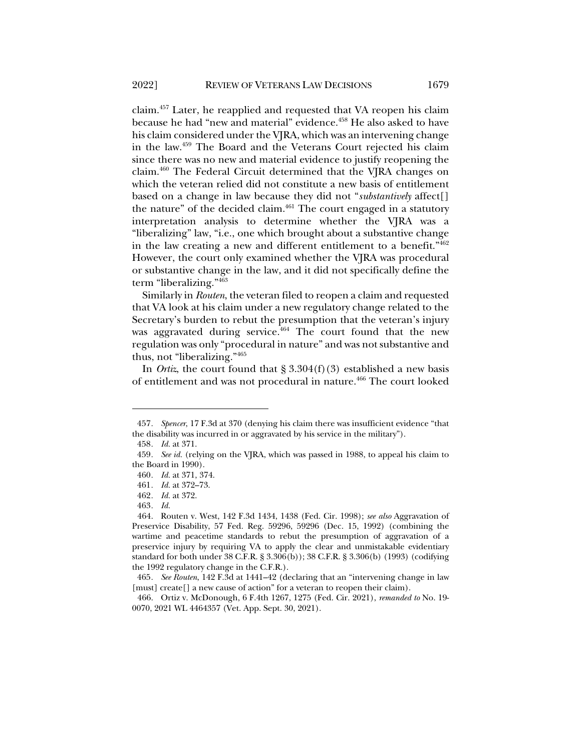claim.457 Later, he reapplied and requested that VA reopen his claim because he had "new and material" evidence.458 He also asked to have his claim considered under the VJRA, which was an intervening change in the law.459 The Board and the Veterans Court rejected his claim since there was no new and material evidence to justify reopening the claim.460 The Federal Circuit determined that the VJRA changes on which the veteran relied did not constitute a new basis of entitlement based on a change in law because they did not "*substantively* affect[] the nature" of the decided claim. $461$  The court engaged in a statutory interpretation analysis to determine whether the VJRA was a "liberalizing" law, "i.e., one which brought about a substantive change in the law creating a new and different entitlement to a benefit."462 However, the court only examined whether the VJRA was procedural or substantive change in the law, and it did not specifically define the term "liberalizing."463

Similarly in *Routen*, the veteran filed to reopen a claim and requested that VA look at his claim under a new regulatory change related to the Secretary's burden to rebut the presumption that the veteran's injury was aggravated during service. $464$  The court found that the new regulation was only "procedural in nature" and was not substantive and thus, not "liberalizing."465

In *Ortiz*, the court found that  $\S 3.304(f)(3)$  established a new basis of entitlement and was not procedural in nature.<sup>466</sup> The court looked

<sup>457</sup>*. Spencer*, 17 F.3d at 370 (denying his claim there was insufficient evidence "that the disability was incurred in or aggravated by his service in the military").

<sup>458</sup>*. Id.* at 371.

<sup>459</sup>*. See id.* (relying on the VJRA, which was passed in 1988, to appeal his claim to the Board in 1990).

<sup>460</sup>*. Id.* at 371, 374.

<sup>461</sup>*. Id.* at 372–73.

<sup>462</sup>*. Id.* at 372.

<sup>463</sup>*. Id.*

<sup>464.</sup> Routen v. West, 142 F.3d 1434, 1438 (Fed. Cir. 1998); *see also* Aggravation of Preservice Disability, 57 Fed. Reg. 59296, 59296 (Dec. 15, 1992) (combining the wartime and peacetime standards to rebut the presumption of aggravation of a preservice injury by requiring VA to apply the clear and unmistakable evidentiary standard for both under 38 C.F.R. § 3.306(b)); 38 C.F.R. § 3.306(b) (1993) (codifying the 1992 regulatory change in the C.F.R.).

<sup>465</sup>*. See Routen*, 142 F.3d at 1441–42 (declaring that an "intervening change in law [must] create[] a new cause of action" for a veteran to reopen their claim).

<sup>466.</sup> Ortiz v. McDonough, 6 F.4th 1267, 1275 (Fed. Cir. 2021), *remanded to* No. 19- 0070, 2021 WL 4464357 (Vet. App. Sept. 30, 2021).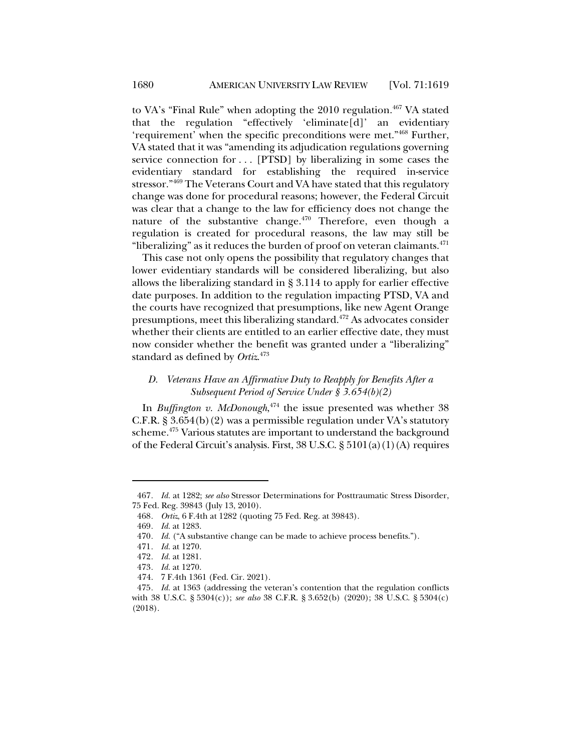to VA's "Final Rule" when adopting the  $2010$  regulation.<sup>467</sup> VA stated that the regulation "effectively 'eliminate[d]' an evidentiary 'requirement' when the specific preconditions were met."468 Further, VA stated that it was "amending its adjudication regulations governing service connection for . . . [PTSD] by liberalizing in some cases the evidentiary standard for establishing the required in-service stressor."469 The Veterans Court and VA have stated that this regulatory change was done for procedural reasons; however, the Federal Circuit was clear that a change to the law for efficiency does not change the nature of the substantive change.<sup>470</sup> Therefore, even though a regulation is created for procedural reasons, the law may still be "liberalizing" as it reduces the burden of proof on veteran claimants. $471$ 

This case not only opens the possibility that regulatory changes that lower evidentiary standards will be considered liberalizing, but also allows the liberalizing standard in § 3.114 to apply for earlier effective date purposes. In addition to the regulation impacting PTSD, VA and the courts have recognized that presumptions, like new Agent Orange presumptions, meet this liberalizing standard.472 As advocates consider whether their clients are entitled to an earlier effective date, they must now consider whether the benefit was granted under a "liberalizing" standard as defined by *Ortiz*. 473

# *D. Veterans Have an Affirmative Duty to Reapply for Benefits After a Subsequent Period of Service Under § 3.654(b)(2)*

In *Buffington v. McDonough*, <sup>474</sup> the issue presented was whether 38 C.F.R. § 3.654(b)(2) was a permissible regulation under VA's statutory scheme.<sup>475</sup> Various statutes are important to understand the background of the Federal Circuit's analysis. First, 38 U.S.C. § 5101(a)(1)(A) requires

<sup>467</sup>*. Id.* at 1282; *see also* Stressor Determinations for Posttraumatic Stress Disorder, 75 Fed. Reg. 39843 (July 13, 2010).

<sup>468</sup>*. Ortiz*, 6 F.4th at 1282 (quoting 75 Fed. Reg. at 39843).

<sup>469</sup>*. Id.* at 1283.

<sup>470</sup>*. Id.* ("A substantive change can be made to achieve process benefits.").

<sup>471</sup>*. Id.* at 1270.

<sup>472</sup>*. Id.* at 1281.

<sup>473</sup>*. Id.* at 1270.

<sup>474.</sup> 7 F.4th 1361 (Fed. Cir. 2021).

<sup>475</sup>*. Id.* at 1363 (addressing the veteran's contention that the regulation conflicts with 38 U.S.C. § 5304(c)); *see also* 38 C.F.R. § 3.652(b) (2020); 38 U.S.C. § 5304(c) (2018).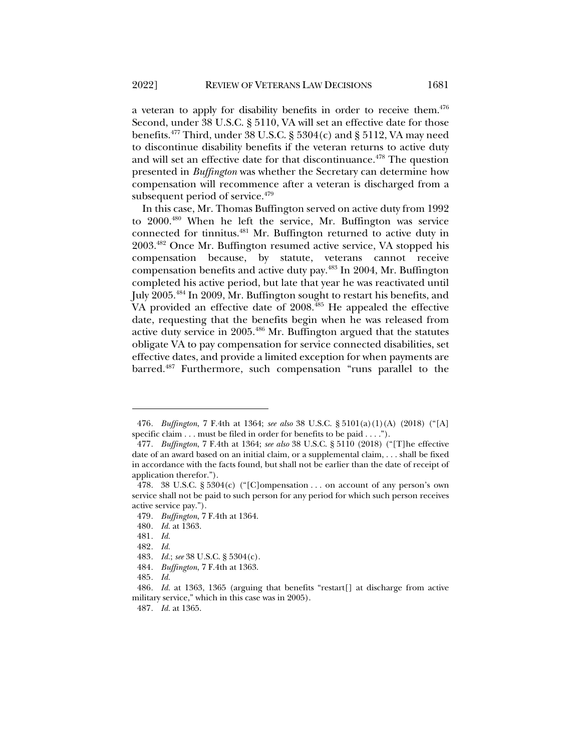a veteran to apply for disability benefits in order to receive them. $476$ Second, under 38 U.S.C. § 5110, VA will set an effective date for those benefits.<sup>477</sup> Third, under 38 U.S.C. § 5304(c) and § 5112, VA may need to discontinue disability benefits if the veteran returns to active duty and will set an effective date for that discontinuance.<sup>478</sup> The question presented in *Buffington* was whether the Secretary can determine how compensation will recommence after a veteran is discharged from a subsequent period of service.<sup>479</sup>

In this case, Mr. Thomas Buffington served on active duty from 1992 to 2000.480 When he left the service, Mr. Buffington was service connected for tinnitus.481 Mr. Buffington returned to active duty in 2003.482 Once Mr. Buffington resumed active service, VA stopped his compensation because, by statute, veterans cannot receive compensation benefits and active duty pay.483 In 2004, Mr. Buffington completed his active period, but late that year he was reactivated until July 2005.<sup>484</sup> In 2009, Mr. Buffington sought to restart his benefits, and VA provided an effective date of 2008.<sup>485</sup> He appealed the effective date, requesting that the benefits begin when he was released from active duty service in 2005.486 Mr. Buffington argued that the statutes obligate VA to pay compensation for service connected disabilities, set effective dates, and provide a limited exception for when payments are barred.487 Furthermore, such compensation "runs parallel to the

<sup>476</sup>*. Buffington*, 7 F.4th at 1364; *see also* 38 U.S.C. § 5101(a)(1)(A) (2018) ("[A] specific claim . . . must be filed in order for benefits to be paid . . . .").

<sup>477</sup>*. Buffington*, 7 F.4th at 1364; *see also* 38 U.S.C. § 5110 (2018) ("[T]he effective date of an award based on an initial claim, or a supplemental claim, . . . shall be fixed in accordance with the facts found, but shall not be earlier than the date of receipt of application therefor.").

<sup>478.</sup> 38 U.S.C. § 5304(c) ("[C]ompensation . . . on account of any person's own service shall not be paid to such person for any period for which such person receives active service pay.").

<sup>479</sup>*. Buffington*, 7 F.4th at 1364.

<sup>480</sup>*. Id.* at 1363.

<sup>481</sup>*. Id.*

<sup>482</sup>*. Id.*

<sup>483</sup>*. Id.*; *see* 38 U.S.C. § 5304(c).

<sup>484</sup>*. Buffington*, 7 F.4th at 1363.

<sup>485</sup>*. Id.*

<sup>486</sup>*. Id.* at 1363, 1365 (arguing that benefits "restart[] at discharge from active military service," which in this case was in 2005).

<sup>487</sup>*. Id.* at 1365.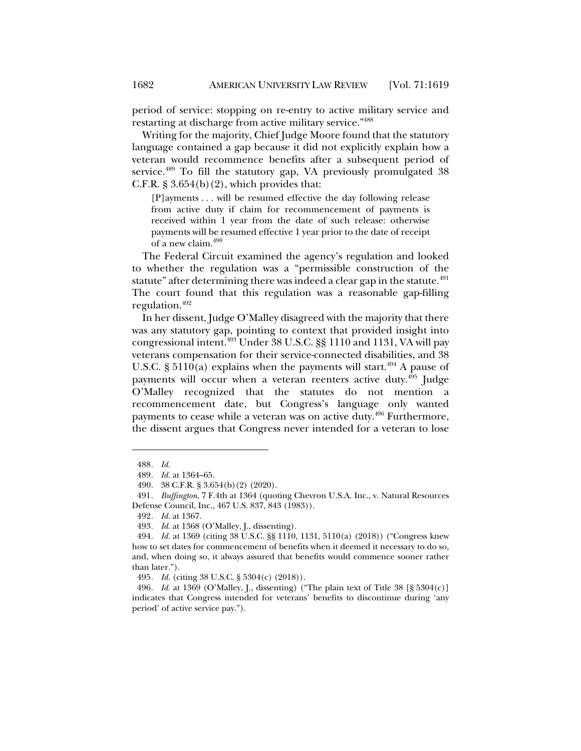period of service: stopping on re-entry to active military service and restarting at discharge from active military service."488

Writing for the majority, Chief Judge Moore found that the statutory language contained a gap because it did not explicitly explain how a veteran would recommence benefits after a subsequent period of service.<sup>489</sup> To fill the statutory gap, VA previously promulgated 38 C.F.R.  $\S 3.654(b)(2)$ , which provides that:

[P]ayments . . . will be resumed effective the day following release from active duty if claim for recommencement of payments is received within 1 year from the date of such release: otherwise payments will be resumed effective 1 year prior to the date of receipt of a new claim.<sup>490</sup>

The Federal Circuit examined the agency's regulation and looked to whether the regulation was a "permissible construction of the statute" after determining there was indeed a clear gap in the statute.<sup>491</sup> The court found that this regulation was a reasonable gap-filling regulation.492

In her dissent, Judge O'Malley disagreed with the majority that there was any statutory gap, pointing to context that provided insight into congressional intent.493 Under 38 U.S.C. §§ 1110 and 1131, VA will pay veterans compensation for their service-connected disabilities, and 38 U.S.C. §  $5110(a)$  explains when the payments will start.<sup>494</sup> A pause of payments will occur when a veteran reenters active duty.<sup>495</sup> Judge O'Malley recognized that the statutes do not mention a recommencement date, but Congress's language only wanted payments to cease while a veteran was on active duty.<sup>496</sup> Furthermore, the dissent argues that Congress never intended for a veteran to lose

<sup>488</sup>*. Id.*

<sup>489</sup>*. Id.* at 1364–65.

<sup>490.</sup> 38 C.F.R. § 3.654(b)(2) (2020).

<sup>491</sup>*. Buffington*, 7 F.4th at 1364 (quoting Chevron U.S.A. Inc., v. Natural Resources Defense Council, Inc., 467 U.S. 837, 843 (1983)).

<sup>492</sup>*. Id.* at 1367.

<sup>493</sup>*. Id.* at 1368 (O'Malley, J., dissenting).

<sup>494</sup>*. Id.* at 1369 (citing 38 U.S.C. §§ 1110, 1131, 5110(a) (2018)) ("Congress knew how to set dates for commencement of benefits when it deemed it necessary to do so, and, when doing so, it always assured that benefits would commence sooner rather than later.").

<sup>495</sup>*. Id.* (citing 38 U.S.C. § 5304(c) (2018)).

<sup>496</sup>*. Id.* at 1369 (O'Malley, J., dissenting) ("The plain text of Title 38 [§ 5304(c)] indicates that Congress intended for veterans' benefits to discontinue during 'any period' of active service pay.").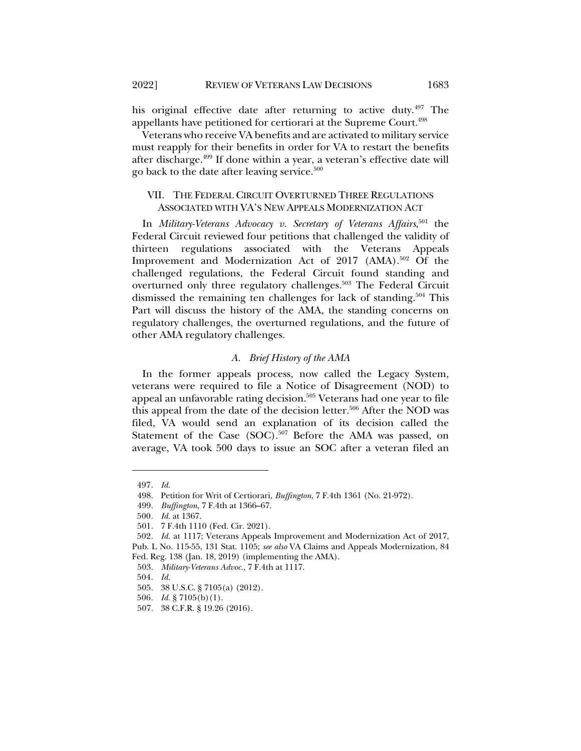his original effective date after returning to active duty.<sup>497</sup> The appellants have petitioned for certiorari at the Supreme Court.498

Veterans who receive VA benefits and are activated to military service must reapply for their benefits in order for VA to restart the benefits after discharge.499 If done within a year, a veteran's effective date will go back to the date after leaving service.<sup>500</sup>

## VII. THE FEDERAL CIRCUIT OVERTURNED THREE REGULATIONS ASSOCIATED WITH VA'S NEW APPEALS MODERNIZATION ACT

In *Military-Veterans Advocacy v. Secretary of Veterans Affairs*, <sup>501</sup> the Federal Circuit reviewed four petitions that challenged the validity of thirteen regulations associated with the Veterans Appeals Improvement and Modernization Act of 2017 (AMA).<sup>502</sup> Of the challenged regulations, the Federal Circuit found standing and overturned only three regulatory challenges.<sup>503</sup> The Federal Circuit dismissed the remaining ten challenges for lack of standing.<sup>504</sup> This Part will discuss the history of the AMA, the standing concerns on regulatory challenges, the overturned regulations, and the future of other AMA regulatory challenges.

### *A. Brief History of the AMA*

In the former appeals process, now called the Legacy System, veterans were required to file a Notice of Disagreement (NOD) to appeal an unfavorable rating decision.<sup>505</sup> Veterans had one year to file this appeal from the date of the decision letter.<sup>506</sup> After the NOD was filed, VA would send an explanation of its decision called the Statement of the Case (SOC).<sup>507</sup> Before the AMA was passed, on average, VA took 500 days to issue an SOC after a veteran filed an

<sup>497</sup>*. Id.*

<sup>498.</sup> Petition for Writ of Certiorari, *Buffington*, 7 F.4th 1361 (No. 21-972).

<sup>499.</sup> *Buffington*, 7 F.4th at 1366–67.

<sup>500</sup>*. Id.* at 1367.

<sup>501.</sup> 7 F.4th 1110 (Fed. Cir. 2021).

<sup>502</sup>*. Id.* at 1117; Veterans Appeals Improvement and Modernization Act of 2017, Pub. L No. 115-55, 131 Stat. 1105; *see also* VA Claims and Appeals Modernization, 84 Fed. Reg. 138 (Jan. 18, 2019) (implementing the AMA).

<sup>503.</sup> *Military-Veterans Advoc.*, 7 F.4th at 1117.

<sup>504</sup>*. Id.*

<sup>505.</sup> 38 U.S.C. § 7105(a) (2012).

<sup>506</sup>*. Id.* § 7105(b)(1).

<sup>507.</sup> 38 C.F.R. § 19.26 (2016).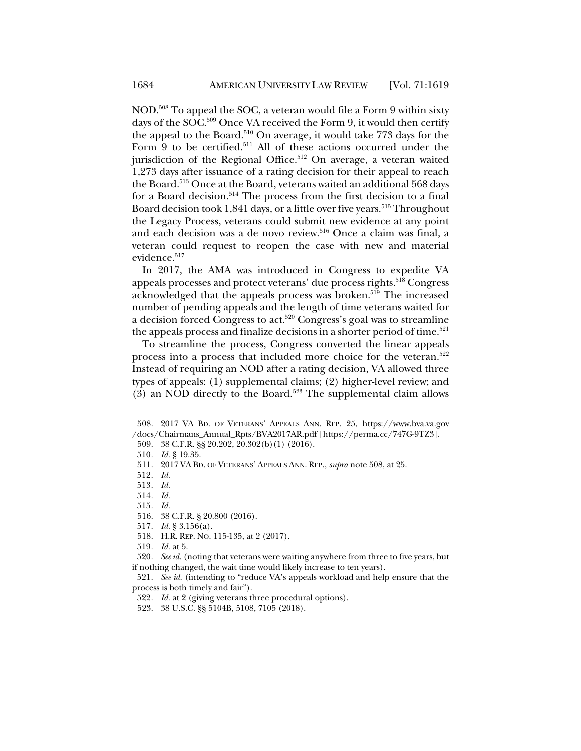NOD.508 To appeal the SOC, a veteran would file a Form 9 within sixty days of the SOC. <sup>509</sup> Once VA received the Form 9, it would then certify the appeal to the Board.510 On average, it would take 773 days for the Form 9 to be certified.<sup>511</sup> All of these actions occurred under the jurisdiction of the Regional Office.<sup>512</sup> On average, a veteran waited 1,273 days after issuance of a rating decision for their appeal to reach the Board. <sup>513</sup> Once at the Board, veterans waited an additional 568 days for a Board decision.<sup>514</sup> The process from the first decision to a final Board decision took 1,841 days, or a little over five years.<sup>515</sup> Throughout the Legacy Process, veterans could submit new evidence at any point and each decision was a de novo review.516 Once a claim was final, a veteran could request to reopen the case with new and material evidence.<sup>517</sup>

In 2017, the AMA was introduced in Congress to expedite VA appeals processes and protect veterans' due process rights.<sup>518</sup> Congress acknowledged that the appeals process was broken.<sup>519</sup> The increased number of pending appeals and the length of time veterans waited for a decision forced Congress to act.<sup>520</sup> Congress's goal was to streamline the appeals process and finalize decisions in a shorter period of time.<sup>521</sup>

To streamline the process, Congress converted the linear appeals process into a process that included more choice for the veteran.<sup>522</sup> Instead of requiring an NOD after a rating decision, VA allowed three types of appeals: (1) supplemental claims; (2) higher-level review; and (3) an NOD directly to the Board.<sup>523</sup> The supplemental claim allows

<sup>508.</sup> 2017 VA BD. OF VETERANS' APPEALS ANN. REP. 25, https://www.bva.va.gov /docs/Chairmans\_Annual\_Rpts/BVA2017AR.pdf [https://perma.cc/747G-9TZ3].

<sup>509.</sup> 38 C.F.R. §§ 20.202, 20.302(b)(1) (2016).

<sup>510</sup>*. Id.* § 19.35.

<sup>511.</sup> 2017 VA BD. OF VETERANS' APPEALS ANN. REP., *supra* note 508, at 25.

<sup>512</sup>*. Id.*

<sup>513</sup>*. Id.*

<sup>514</sup>*. Id.*

<sup>515</sup>*. Id.*

<sup>516.</sup> 38 C.F.R. § 20.800 (2016).

<sup>517</sup>*. Id.* § 3.156(a).

<sup>518.</sup> H.R. REP. NO. 115-135, at 2 (2017).

<sup>519</sup>*. Id.* at 5.

<sup>520</sup>*. See id.* (noting that veterans were waiting anywhere from three to five years, but if nothing changed, the wait time would likely increase to ten years).

<sup>521</sup>*. See id.* (intending to "reduce VA's appeals workload and help ensure that the process is both timely and fair").

<sup>522</sup>*. Id.* at 2 (giving veterans three procedural options).

<sup>523.</sup> 38 U.S.C. §§ 5104B, 5108, 7105 (2018).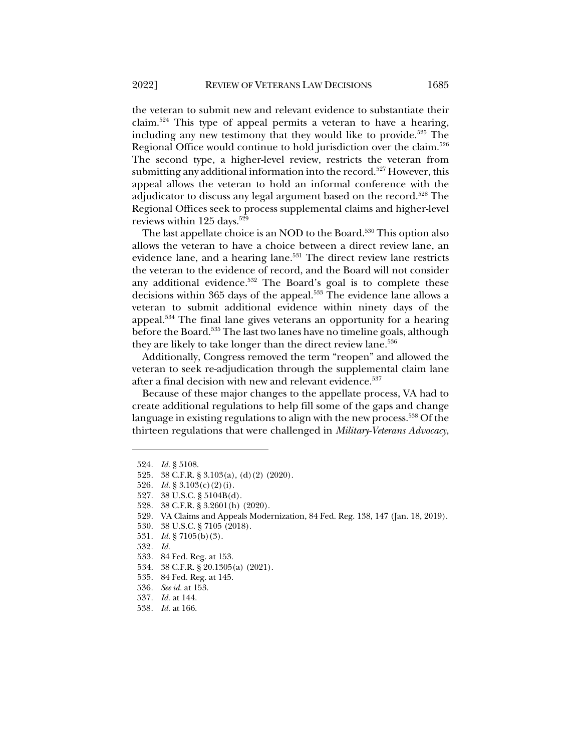the veteran to submit new and relevant evidence to substantiate their claim.524 This type of appeal permits a veteran to have a hearing, including any new testimony that they would like to provide.<sup>525</sup> The Regional Office would continue to hold jurisdiction over the claim.<sup>526</sup> The second type, a higher-level review, restricts the veteran from submitting any additional information into the record.<sup>527</sup> However, this appeal allows the veteran to hold an informal conference with the adjudicator to discuss any legal argument based on the record.<sup>528</sup> The Regional Offices seek to process supplemental claims and higher-level reviews within 125 days.<sup>529</sup>

The last appellate choice is an NOD to the Board.<sup>530</sup> This option also allows the veteran to have a choice between a direct review lane, an evidence lane, and a hearing lane.<sup>531</sup> The direct review lane restricts the veteran to the evidence of record, and the Board will not consider any additional evidence.<sup>532</sup> The Board's goal is to complete these decisions within 365 days of the appeal.<sup>533</sup> The evidence lane allows a veteran to submit additional evidence within ninety days of the appeal.534 The final lane gives veterans an opportunity for a hearing before the Board.535 The last two lanes have no timeline goals, although they are likely to take longer than the direct review lane.<sup>536</sup>

Additionally, Congress removed the term "reopen" and allowed the veteran to seek re-adjudication through the supplemental claim lane after a final decision with new and relevant evidence.<sup>537</sup>

Because of these major changes to the appellate process, VA had to create additional regulations to help fill some of the gaps and change language in existing regulations to align with the new process.<sup>538</sup> Of the thirteen regulations that were challenged in *Military-Veterans Advocacy*,

529. VA Claims and Appeals Modernization, 84 Fed. Reg. 138, 147 (Jan. 18, 2019).

- 537*. Id.* at 144.
- 538*. Id.* at 166.

<sup>524</sup>*. Id.* § 5108.

<sup>525.</sup> 38 C.F.R. § 3.103(a), (d)(2) (2020).

<sup>526</sup>*. Id.* § 3.103(c)(2)(i).

<sup>527.</sup> 38 U.S.C. § 5104B(d).

<sup>528.</sup> 38 C.F.R. § 3.2601(h) (2020).

<sup>530.</sup> 38 U.S.C. § 7105 (2018).

<sup>531</sup>*. Id.* § 7105(b)(3).

<sup>532</sup>*. Id.*

<sup>533.</sup> 84 Fed. Reg. at 153.

<sup>534.</sup> 38 C.F.R. § 20.1305(a) (2021).

<sup>535.</sup> 84 Fed. Reg. at 145.

<sup>536</sup>*. See id.* at 153.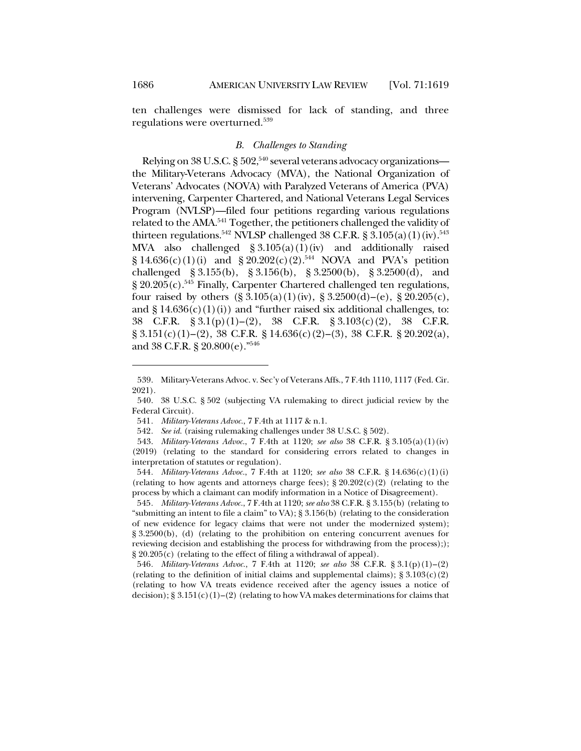ten challenges were dismissed for lack of standing, and three regulations were overturned.539

### *B. Challenges to Standing*

Relying on 38 U.S.C. § 502, <sup>540</sup> several veterans advocacy organizations the Military-Veterans Advocacy (MVA), the National Organization of Veterans' Advocates (NOVA) with Paralyzed Veterans of America (PVA) intervening, Carpenter Chartered, and National Veterans Legal Services Program (NVLSP)—filed four petitions regarding various regulations related to the AMA.<sup>541</sup> Together, the petitioners challenged the validity of thirteen regulations.<sup>542</sup> NVLSP challenged 38 C.F.R. § 3.105(a)(1)(iv).<sup>543</sup> MVA also challenged § 3.105(a)(1)(iv) and additionally raised  $\S 14.636(c)(1)(i)$  and  $\S 20.202(c)(2).<sup>544</sup>$  NOVA and PVA's petition challenged § 3.155(b), § 3.156(b), § 3.2500(b), § 3.2500(d), and  $\S 20.205(c)$ .<sup>545</sup> Finally, Carpenter Chartered challenged ten regulations, four raised by others  $(\S 3.105(a)(1)(iv), \S 3.2500(d)–(e), \S 20.205(c))$ and  $\S 14.636(c)(1)(i)$  and "further raised six additional challenges, to: 38 C.F.R. § 3.1(p)(1)–(2), 38 C.F.R. § 3.103(c)(2), 38 C.F.R.  $\S 3.151(c)(1)–(2), 38 \text{ C.F.R. } \S 14.636(c)(2)–(3), 38 \text{ C.F.R. } \S 20.202(a),$ and 38 C.F.R. § 20.800(e)."546

545*. Military-Veterans Advoc.*, 7 F.4th at 1120; *see also* 38 C.F.R. § 3.155(b) (relating to "submitting an intent to file a claim" to VA);  $\S 3.156(b)$  (relating to the consideration of new evidence for legacy claims that were not under the modernized system); § 3.2500(b), (d) (relating to the prohibition on entering concurrent avenues for reviewing decision and establishing the process for withdrawing from the process);); § 20.205(c) (relating to the effect of filing a withdrawal of appeal).

546*. Military-Veterans Advoc.*, 7 F.4th at 1120; *see also* 38 C.F.R. § 3.1(p)(1)–(2) (relating to the definition of initial claims and supplemental claims);  $\S 3.103(c)(2)$ (relating to how VA treats evidence received after the agency issues a notice of decision); § 3.151(c)(1)–(2) (relating to how VA makes determinations for claims that

<sup>539.</sup> Military-Veterans Advoc. v. Sec'y of Veterans Affs., 7 F.4th 1110, 1117 (Fed. Cir. 2021).

<sup>540.</sup> 38 U.S.C. § 502 (subjecting VA rulemaking to direct judicial review by the Federal Circuit).

<sup>541</sup>*. Military-Veterans Advoc.*, 7 F.4th at 1117 & n.1.

<sup>542</sup>*. See id.* (raising rulemaking challenges under 38 U.S.C. § 502).

<sup>543.</sup> *Military-Veterans Advoc.*, 7 F.4th at 1120; *see also* 38 C.F.R. § 3.105(a)(1)(iv) (2019) (relating to the standard for considering errors related to changes in interpretation of statutes or regulation).

<sup>544</sup>*. Military-Veterans Advoc.*, 7 F.4th at 1120; *see also* 38 C.F.R. § 14.636(c)(1)(i) (relating to how agents and attorneys charge fees);  $\S 20.202(c)(2)$  (relating to the process by which a claimant can modify information in a Notice of Disagreement).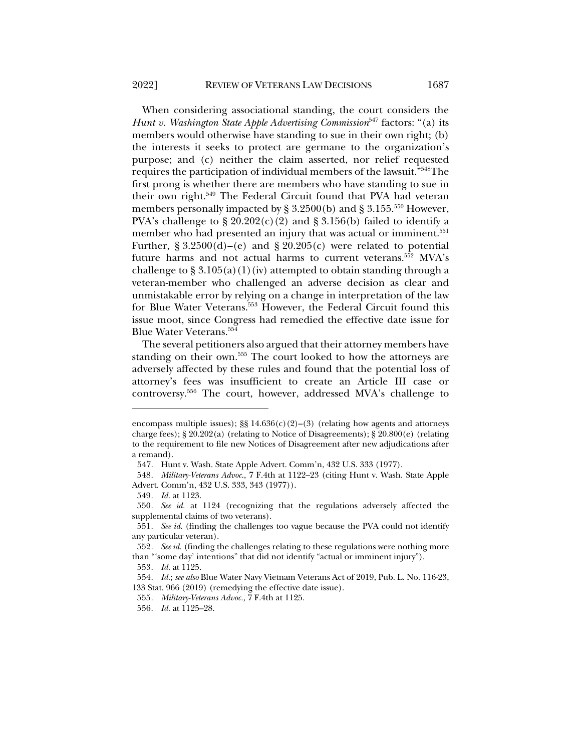When considering associational standing, the court considers the *Hunt v. Washington State Apple Advertising Commission*<sup>547</sup> factors: "(a) its members would otherwise have standing to sue in their own right; (b) the interests it seeks to protect are germane to the organization's purpose; and (c) neither the claim asserted, nor relief requested requires the participation of individual members of the lawsuit."548The first prong is whether there are members who have standing to sue in their own right.<sup>549</sup> The Federal Circuit found that PVA had veteran members personally impacted by § 3.2500(b) and § 3.155.<sup>550</sup> However, PVA's challenge to  $\S 20.202(c)(2)$  and  $\S 3.156(b)$  failed to identify a member who had presented an injury that was actual or imminent.<sup>551</sup> Further,  $\S 3.2500(d) - (e)$  and  $\S 20.205(c)$  were related to potential future harms and not actual harms to current veterans.<sup>552</sup> MVA's challenge to  $\S 3.105(a)(1)(iv)$  attempted to obtain standing through a veteran-member who challenged an adverse decision as clear and

unmistakable error by relying on a change in interpretation of the law for Blue Water Veterans.<sup>553</sup> However, the Federal Circuit found this issue moot, since Congress had remedied the effective date issue for Blue Water Veterans.554

The several petitioners also argued that their attorney members have standing on their own.555 The court looked to how the attorneys are adversely affected by these rules and found that the potential loss of attorney's fees was insufficient to create an Article III case or controversy.556 The court, however, addressed MVA's challenge to

encompass multiple issues);  $\S$  14.636(c)(2)–(3) (relating how agents and attorneys charge fees); § 20.202(a) (relating to Notice of Disagreements); § 20.800(e) (relating to the requirement to file new Notices of Disagreement after new adjudications after a remand).

<sup>547.</sup> Hunt v. Wash. State Apple Advert. Comm'n, 432 U.S. 333 (1977).

<sup>548</sup>*. Military-Veterans Advoc.*, 7 F.4th at 1122–23 (citing Hunt v. Wash. State Apple Advert. Comm'n, 432 U.S. 333, 343 (1977)).

<sup>549</sup>*. Id.* at 1123.

<sup>550</sup>*. See id.* at 1124 (recognizing that the regulations adversely affected the supplemental claims of two veterans).

<sup>551</sup>*. See id.* (finding the challenges too vague because the PVA could not identify any particular veteran).

<sup>552</sup>*. See id.* (finding the challenges relating to these regulations were nothing more than "'some day' intentions" that did not identify "actual or imminent injury").

<sup>553</sup>*. Id.* at 1125.

<sup>554</sup>*. Id.*; *see also* Blue Water Navy Vietnam Veterans Act of 2019, Pub. L. No. 116-23, 133 Stat. 966 (2019) (remedying the effective date issue).

<sup>555</sup>*. Military-Veterans Advoc.*, 7 F.4th at 1125.

<sup>556</sup>*. Id.* at 1125–28.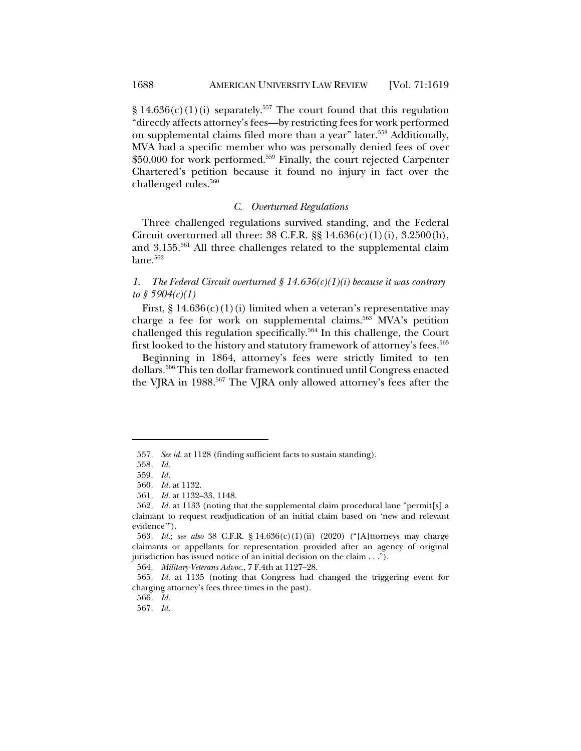$\S 14.636(c)(1)(i)$  separately.<sup>557</sup> The court found that this regulation "directly affects attorney's fees—by restricting fees for work performed on supplemental claims filed more than a year" later.558 Additionally, MVA had a specific member who was personally denied fees of over \$50,000 for work performed.559 Finally, the court rejected Carpenter Chartered's petition because it found no injury in fact over the challenged rules.<sup>560</sup>

#### *C. Overturned Regulations*

Three challenged regulations survived standing, and the Federal Circuit overturned all three:  $38$  C.F.R.  $\S$  $\S$   $14.636(c)(1)(i)$ ,  $3.2500(b)$ , and 3.155.<sup>561</sup> All three challenges related to the supplemental claim  $lane.562$ 

## *1. The Federal Circuit overturned § 14.636(c)(1)(i) because it was contrary to § 5904(c)(1)*

First,  $\S 14.636(c)(1)(i)$  limited when a veteran's representative may charge a fee for work on supplemental claims.<sup>563</sup> MVA's petition challenged this regulation specifically.564 In this challenge, the Court first looked to the history and statutory framework of attorney's fees.<sup>565</sup>

Beginning in 1864, attorney's fees were strictly limited to ten dollars.566 This ten dollar framework continued until Congress enacted the VJRA in 1988.<sup>567</sup> The VJRA only allowed attorney's fees after the

564*. Military-Veterans Advoc.*, 7 F.4th at 1127–28.

<sup>557</sup>*. See id.* at 1128 (finding sufficient facts to sustain standing).

<sup>558</sup>*. Id.*

<sup>559</sup>*. Id.*

<sup>560</sup>*. Id.* at 1132.

<sup>561</sup>*. Id.* at 1132–33, 1148.

<sup>562</sup>*. Id.* at 1133 (noting that the supplemental claim procedural lane "permit[s] a claimant to request readjudication of an initial claim based on 'new and relevant evidence'").

<sup>563</sup>*. Id.*; *see also* 38 C.F.R. § 14.636(c)(1)(ii) (2020) ("[A]ttorneys may charge claimants or appellants for representation provided after an agency of original jurisdiction has issued notice of an initial decision on the claim . . .").

<sup>565</sup>*. Id.* at 1135 (noting that Congress had changed the triggering event for charging attorney's fees three times in the past).

<sup>566</sup>*. Id.*

<sup>567</sup>*. Id.*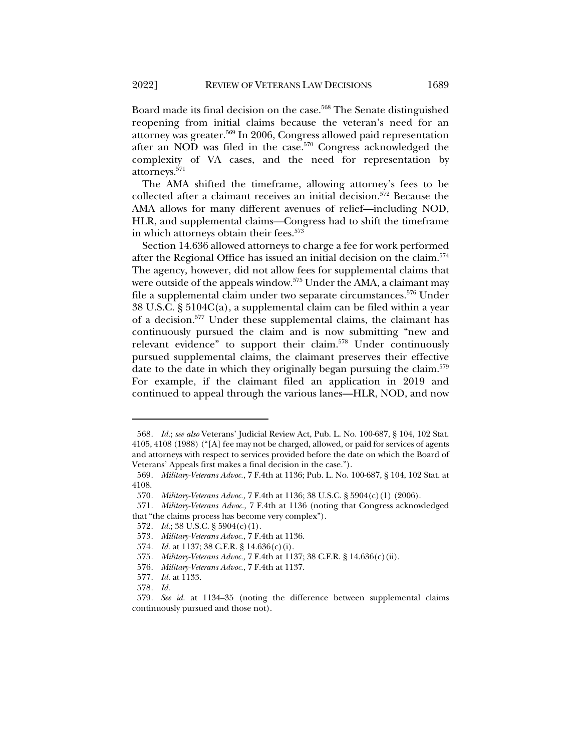Board made its final decision on the case.<sup>568</sup> The Senate distinguished reopening from initial claims because the veteran's need for an attorney was greater.569 In 2006, Congress allowed paid representation after an NOD was filed in the case.<sup>570</sup> Congress acknowledged the complexity of VA cases, and the need for representation by attorneys.571

The AMA shifted the timeframe, allowing attorney's fees to be collected after a claimant receives an initial decision.572 Because the AMA allows for many different avenues of relief—including NOD, HLR, and supplemental claims—Congress had to shift the timeframe in which attorneys obtain their fees.<sup>573</sup>

Section 14.636 allowed attorneys to charge a fee for work performed after the Regional Office has issued an initial decision on the claim.574 The agency, however, did not allow fees for supplemental claims that were outside of the appeals window.<sup>575</sup> Under the AMA, a claimant may file a supplemental claim under two separate circumstances.576 Under 38 U.S.C. § 5104C(a), a supplemental claim can be filed within a year of a decision.577 Under these supplemental claims, the claimant has continuously pursued the claim and is now submitting "new and relevant evidence" to support their claim.578 Under continuously pursued supplemental claims, the claimant preserves their effective date to the date in which they originally began pursuing the claim.<sup>579</sup> For example, if the claimant filed an application in 2019 and continued to appeal through the various lanes—HLR, NOD, and now

<sup>568</sup>*. Id.*; *see also* Veterans' Judicial Review Act, Pub. L. No. 100-687, § 104, 102 Stat. 4105, 4108 (1988) ("[A] fee may not be charged, allowed, or paid for services of agents and attorneys with respect to services provided before the date on which the Board of Veterans' Appeals first makes a final decision in the case.").

<sup>569</sup>*. Military-Veterans Advoc.*, 7 F.4th at 1136; Pub. L. No. 100-687, § 104, 102 Stat. at 4108.

<sup>570</sup>*. Military-Veterans Advoc.*, 7 F.4th at 1136; 38 U.S.C. § 5904(c)(1) (2006).

<sup>571</sup>*. Military-Veterans Advoc.*, 7 F.4th at 1136 (noting that Congress acknowledged that "the claims process has become very complex").

<sup>572</sup>*. Id.*; 38 U.S.C. § 5904(c)(1).

<sup>573</sup>*. Military-Veterans Advoc.*, 7 F.4th at 1136.

<sup>574</sup>*. Id.* at 1137; 38 C.F.R. § 14.636(c)(i).

<sup>575</sup>*. Military-Veterans Advoc.*, 7 F.4th at 1137; 38 C.F.R. § 14.636(c)(ii).

<sup>576</sup>*. Military-Veterans Advoc.*, 7 F.4th at 1137.

<sup>577</sup>*. Id.* at 1133.

<sup>578</sup>*. Id.*

<sup>579</sup>*. See id.* at 1134–35 (noting the difference between supplemental claims continuously pursued and those not).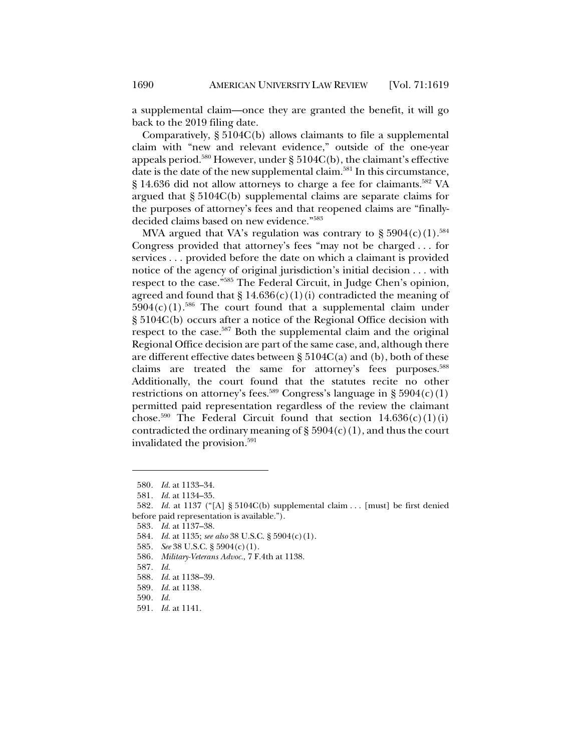a supplemental claim—once they are granted the benefit, it will go back to the 2019 filing date.

Comparatively, § 5104C(b) allows claimants to file a supplemental claim with "new and relevant evidence," outside of the one-year appeals period.<sup>580</sup> However, under  $\S$  5104C(b), the claimant's effective date is the date of the new supplemental claim.<sup>581</sup> In this circumstance, § 14.636 did not allow attorneys to charge a fee for claimants.<sup>582</sup> VA argued that § 5104C(b) supplemental claims are separate claims for the purposes of attorney's fees and that reopened claims are "finallydecided claims based on new evidence."583

MVA argued that VA's regulation was contrary to  $\S 5904(c)(1).$ <sup>584</sup> Congress provided that attorney's fees "may not be charged . . . for services . . . provided before the date on which a claimant is provided notice of the agency of original jurisdiction's initial decision . . . with respect to the case."585 The Federal Circuit, in Judge Chen's opinion, agreed and found that  $\S 14.636(c)(1)(i)$  contradicted the meaning of  $5904(c)(1).$ <sup>586</sup> The court found that a supplemental claim under § 5104C(b) occurs after a notice of the Regional Office decision with respect to the case.<sup>587</sup> Both the supplemental claim and the original Regional Office decision are part of the same case, and, although there are different effective dates between  $\S 5104C(a)$  and (b), both of these claims are treated the same for attorney's fees purposes.<sup>588</sup> Additionally, the court found that the statutes recite no other restrictions on attorney's fees.<sup>589</sup> Congress's language in § 5904(c)(1) permitted paid representation regardless of the review the claimant chose.<sup>590</sup> The Federal Circuit found that section  $14.636(c)(1)(i)$ contradicted the ordinary meaning of  $\S 5904(c)(1)$ , and thus the court invalidated the provision.<sup>591</sup>

<sup>580</sup>*. Id.* at 1133–34.

<sup>581</sup>*. Id.* at 1134–35.

<sup>582</sup>*. Id.* at 1137 ("[A] § 5104C(b) supplemental claim . . . [must] be first denied before paid representation is available.").

<sup>583</sup>*. Id.* at 1137–38.

<sup>584</sup>*. Id.* at 1135; *see also* 38 U.S.C. § 5904(c)(1).

<sup>585</sup>*. See* 38 U.S.C. § 5904(c)(1).

<sup>586</sup>*. Military-Veterans Advoc.*, 7 F.4th at 1138.

<sup>587</sup>*. Id.*

<sup>588</sup>*. Id.* at 1138–39.

<sup>589</sup>*. Id.* at 1138.

<sup>590</sup>*. Id.*

<sup>591</sup>*. Id.* at 1141.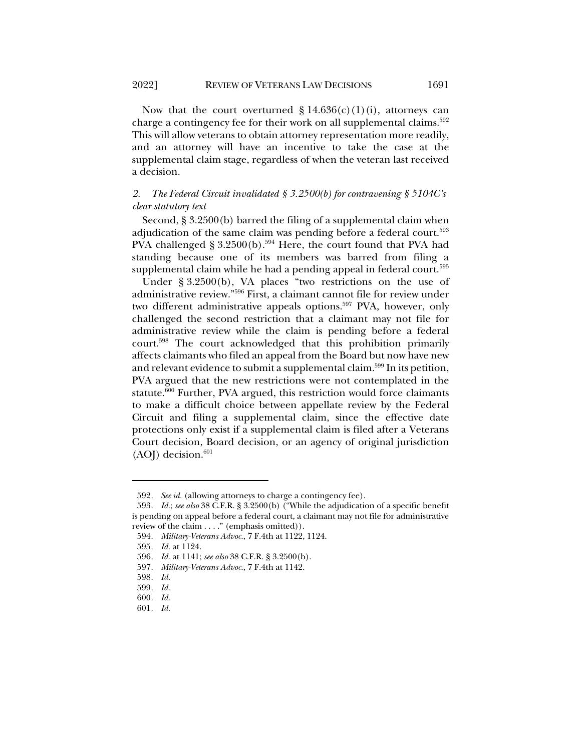Now that the court overturned  $\S 14.636(c)(1)(i)$ , attorneys can charge a contingency fee for their work on all supplemental claims.<sup>592</sup> This will allow veterans to obtain attorney representation more readily, and an attorney will have an incentive to take the case at the supplemental claim stage, regardless of when the veteran last received a decision.

# *2. The Federal Circuit invalidated § 3.2500(b) for contravening § 5104C's clear statutory text*

Second, § 3.2500(b) barred the filing of a supplemental claim when adjudication of the same claim was pending before a federal court.<sup>593</sup> PVA challenged § 3.2500(b).<sup>594</sup> Here, the court found that PVA had standing because one of its members was barred from filing a supplemental claim while he had a pending appeal in federal court.<sup>595</sup>

Under § 3.2500(b), VA places "two restrictions on the use of administrative review."596 First, a claimant cannot file for review under two different administrative appeals options.<sup>597</sup> PVA, however, only challenged the second restriction that a claimant may not file for administrative review while the claim is pending before a federal court.598 The court acknowledged that this prohibition primarily affects claimants who filed an appeal from the Board but now have new and relevant evidence to submit a supplemental claim.<sup>599</sup> In its petition, PVA argued that the new restrictions were not contemplated in the statute.600 Further, PVA argued, this restriction would force claimants to make a difficult choice between appellate review by the Federal Circuit and filing a supplemental claim, since the effective date protections only exist if a supplemental claim is filed after a Veterans Court decision, Board decision, or an agency of original jurisdiction  $(AOJ)$  decision.<sup>601</sup>

<sup>592</sup>*. See id.* (allowing attorneys to charge a contingency fee).

<sup>593</sup>*. Id.*; *see also* 38 C.F.R. § 3.2500(b) ("While the adjudication of a specific benefit is pending on appeal before a federal court, a claimant may not file for administrative review of the claim . . . ." (emphasis omitted)).

<sup>594</sup>*. Military-Veterans Advoc.*, 7 F.4th at 1122, 1124.

<sup>595</sup>*. Id.* at 1124.

<sup>596</sup>*. Id.* at 1141; *see also* 38 C.F.R. § 3.2500(b).

<sup>597</sup>*. Military-Veterans Advoc.*, 7 F.4th at 1142.

<sup>598</sup>*. Id.*

<sup>599</sup>*. Id.*

<sup>600</sup>*. Id.*

<sup>601</sup>*. Id.*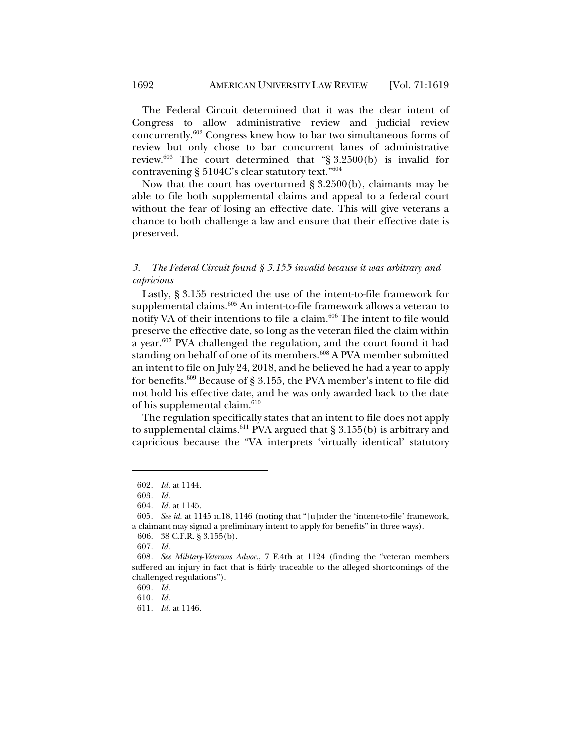The Federal Circuit determined that it was the clear intent of Congress to allow administrative review and judicial review concurrently.602 Congress knew how to bar two simultaneous forms of review but only chose to bar concurrent lanes of administrative review.<sup>603</sup> The court determined that "§ 3.2500(b) is invalid for contravening § 5104C's clear statutory text."604

Now that the court has overturned § 3.2500(b), claimants may be able to file both supplemental claims and appeal to a federal court without the fear of losing an effective date. This will give veterans a chance to both challenge a law and ensure that their effective date is preserved.

## *3. The Federal Circuit found § 3.155 invalid because it was arbitrary and capricious*

Lastly, § 3.155 restricted the use of the intent-to-file framework for supplemental claims.<sup>605</sup> An intent-to-file framework allows a veteran to notify VA of their intentions to file a claim.<sup>606</sup> The intent to file would preserve the effective date, so long as the veteran filed the claim within a year.<sup>607</sup> PVA challenged the regulation, and the court found it had standing on behalf of one of its members.<sup>608</sup> A PVA member submitted an intent to file on July 24, 2018, and he believed he had a year to apply for benefits.609 Because of § 3.155, the PVA member's intent to file did not hold his effective date, and he was only awarded back to the date of his supplemental claim. $610$ 

The regulation specifically states that an intent to file does not apply to supplemental claims.<sup>611</sup> PVA argued that § 3.155(b) is arbitrary and capricious because the "VA interprets 'virtually identical' statutory

606. 38 C.F.R. § 3.155(b).

<sup>602</sup>*. Id.* at 1144.

<sup>603</sup>*. Id.*

<sup>604</sup>*. Id.* at 1145.

<sup>605</sup>*. See id.* at 1145 n.18, 1146 (noting that "[u]nder the 'intent-to-file' framework, a claimant may signal a preliminary intent to apply for benefits" in three ways).

<sup>607</sup>*. Id.*

<sup>608</sup>*. See Military-Veterans Advoc.*, 7 F.4th at 1124 (finding the "veteran members suffered an injury in fact that is fairly traceable to the alleged shortcomings of the challenged regulations").

<sup>609</sup>*. Id.*

<sup>610</sup>*. Id.*

<sup>611</sup>*. Id.* at 1146.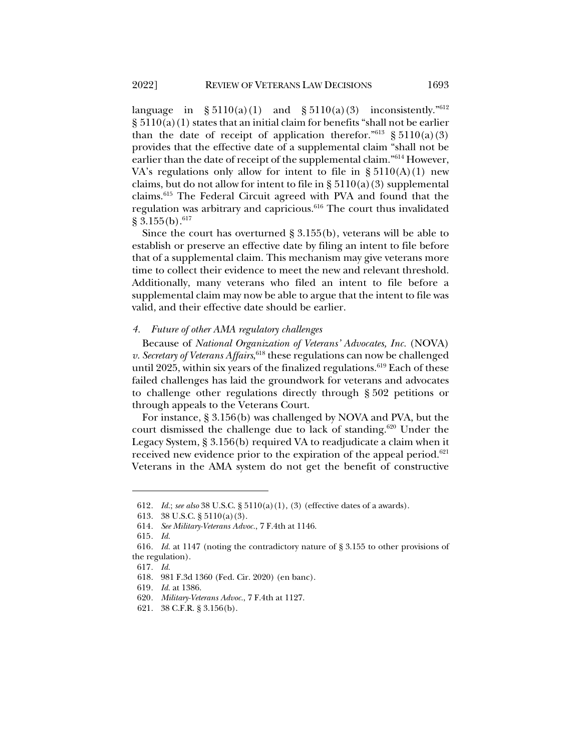language in  $\S 5110(a)(1)$  and  $\S 5110(a)(3)$  inconsistently."<sup>612</sup>  $\S 5110(a)(1)$  states that an initial claim for benefits "shall not be earlier than the date of receipt of application therefor."<sup>613</sup> § 5110(a)(3) provides that the effective date of a supplemental claim "shall not be earlier than the date of receipt of the supplemental claim."614 However, VA's regulations only allow for intent to file in  $\S 5110(A)(1)$  new claims, but do not allow for intent to file in  $\S 5110(a)(3)$  supplemental claims.615 The Federal Circuit agreed with PVA and found that the regulation was arbitrary and capricious.<sup>616</sup> The court thus invalidated  $\S 3.155(b).$ <sup>617</sup>

Since the court has overturned § 3.155(b), veterans will be able to establish or preserve an effective date by filing an intent to file before that of a supplemental claim. This mechanism may give veterans more time to collect their evidence to meet the new and relevant threshold. Additionally, many veterans who filed an intent to file before a supplemental claim may now be able to argue that the intent to file was valid, and their effective date should be earlier.

#### *4. Future of other AMA regulatory challenges*

Because of *National Organization of Veterans' Advocates, Inc.* (NOVA) v. Secretary of Veterans Affairs, 618 these regulations can now be challenged until 2025, within six years of the finalized regulations.<sup>619</sup> Each of these failed challenges has laid the groundwork for veterans and advocates to challenge other regulations directly through § 502 petitions or through appeals to the Veterans Court.

For instance, § 3.156(b) was challenged by NOVA and PVA, but the court dismissed the challenge due to lack of standing.620 Under the Legacy System, § 3.156(b) required VA to readjudicate a claim when it received new evidence prior to the expiration of the appeal period.<sup>621</sup> Veterans in the AMA system do not get the benefit of constructive

<sup>612</sup>*. Id.*; *see also* 38 U.S.C. § 5110(a)(1), (3) (effective dates of a awards).

<sup>613.</sup> 38 U.S.C. § 5110(a)(3).

<sup>614</sup>*. See Military-Veterans Advoc.*, 7 F.4th at 1146.

<sup>615</sup>*. Id.*

<sup>616</sup>*. Id.* at 1147 (noting the contradictory nature of § 3.155 to other provisions of the regulation).

<sup>617</sup>*. Id.*

<sup>618.</sup> 981 F.3d 1360 (Fed. Cir. 2020) (en banc).

<sup>619</sup>*. Id.* at 1386.

<sup>620</sup>*. Military-Veterans Advoc.*, 7 F.4th at 1127.

<sup>621.</sup> 38 C.F.R. § 3.156(b).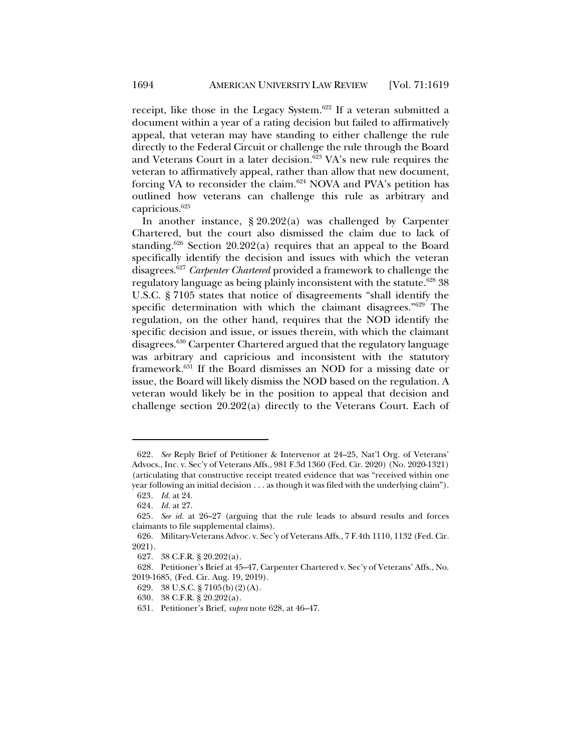receipt, like those in the Legacy System.<sup>622</sup> If a veteran submitted a document within a year of a rating decision but failed to affirmatively appeal, that veteran may have standing to either challenge the rule directly to the Federal Circuit or challenge the rule through the Board and Veterans Court in a later decision.<sup>623</sup> VA's new rule requires the veteran to affirmatively appeal, rather than allow that new document, forcing VA to reconsider the claim.<sup>624</sup> NOVA and PVA's petition has outlined how veterans can challenge this rule as arbitrary and capricious.625

In another instance, § 20.202(a) was challenged by Carpenter Chartered, but the court also dismissed the claim due to lack of standing.<sup>626</sup> Section 20.202(a) requires that an appeal to the Board specifically identify the decision and issues with which the veteran disagrees.627 *Carpenter Chartered* provided a framework to challenge the regulatory language as being plainly inconsistent with the statute.<sup>628</sup> 38 U.S.C. § 7105 states that notice of disagreements "shall identify the specific determination with which the claimant disagrees."<sup>629</sup> The regulation, on the other hand, requires that the NOD identify the specific decision and issue, or issues therein, with which the claimant disagrees.630 Carpenter Chartered argued that the regulatory language was arbitrary and capricious and inconsistent with the statutory framework.631 If the Board dismisses an NOD for a missing date or issue, the Board will likely dismiss the NOD based on the regulation. A veteran would likely be in the position to appeal that decision and challenge section 20.202(a) directly to the Veterans Court. Each of

<sup>622</sup>*. See* Reply Brief of Petitioner & Intervenor at 24–25, Nat'l Org. of Veterans' Advocs., Inc. v. Sec'y of Veterans Affs., 981 F.3d 1360 (Fed. Cir. 2020) (No. 2020-1321) (articulating that constructive receipt treated evidence that was "received within one year following an initial decision . . . as though it was filed with the underlying claim"). 623*. Id.* at 24.

<sup>624</sup>*. Id.* at 27.

<sup>625</sup>*. See id.* at 26–27 (arguing that the rule leads to absurd results and forces claimants to file supplemental claims).

<sup>626.</sup> Military-Veterans Advoc. v. Sec'y of Veterans Affs., 7 F.4th 1110, 1132 (Fed. Cir. 2021).

<sup>627.</sup> 38 C.F.R. § 20.202(a).

<sup>628.</sup> Petitioner's Brief at 45–47, Carpenter Chartered v. Sec'y of Veterans' Affs., No. 2019-1685, (Fed. Cir. Aug. 19, 2019).

<sup>629.</sup> 38 U.S.C. § 7105(b)(2)(A).

<sup>630.</sup> 38 C.F.R. § 20.202(a).

<sup>631.</sup> Petitioner's Brief, *supra* note 628, at 46–47.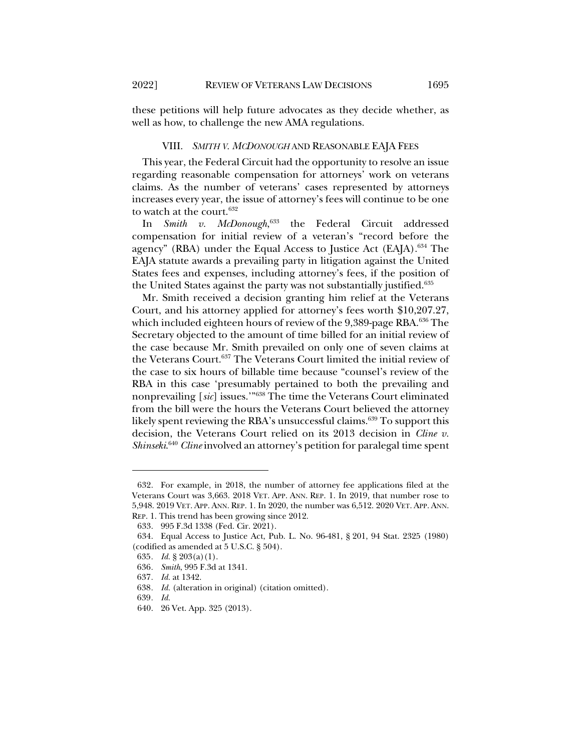these petitions will help future advocates as they decide whether, as well as how, to challenge the new AMA regulations.

### VIII. *SMITH V. MCDONOUGH* AND REASONABLE EAJA FEES

This year, the Federal Circuit had the opportunity to resolve an issue regarding reasonable compensation for attorneys' work on veterans claims. As the number of veterans' cases represented by attorneys increases every year, the issue of attorney's fees will continue to be one to watch at the court.632

In *Smith v. McDonough*, <sup>633</sup> the Federal Circuit addressed compensation for initial review of a veteran's "record before the agency" (RBA) under the Equal Access to Justice Act (EAJA).<sup>634</sup> The EAJA statute awards a prevailing party in litigation against the United States fees and expenses, including attorney's fees, if the position of the United States against the party was not substantially justified.<sup>635</sup>

Mr. Smith received a decision granting him relief at the Veterans Court, and his attorney applied for attorney's fees worth \$10,207.27, which included eighteen hours of review of the  $9,389$ -page RBA.<sup>636</sup> The Secretary objected to the amount of time billed for an initial review of the case because Mr. Smith prevailed on only one of seven claims at the Veterans Court.<sup>637</sup> The Veterans Court limited the initial review of the case to six hours of billable time because "counsel's review of the RBA in this case 'presumably pertained to both the prevailing and nonprevailing [*sic*] issues.'"638 The time the Veterans Court eliminated from the bill were the hours the Veterans Court believed the attorney likely spent reviewing the RBA's unsuccessful claims.<sup>639</sup> To support this decision, the Veterans Court relied on its 2013 decision in *Cline v. Shinseki*. <sup>640</sup> *Cline* involved an attorney's petition for paralegal time spent

<sup>632.</sup> For example, in 2018, the number of attorney fee applications filed at the Veterans Court was 3,663. 2018 VET. APP. ANN. REP. 1. In 2019, that number rose to 5,948. 2019 VET. APP. ANN. REP. 1. In 2020, the number was 6,512. 2020 VET. APP. ANN. REP. 1. This trend has been growing since 2012.

<sup>633.</sup> 995 F.3d 1338 (Fed. Cir. 2021).

<sup>634.</sup> Equal Access to Justice Act, Pub. L. No. 96-481, § 201, 94 Stat. 2325 (1980) (codified as amended at 5 U.S.C. § 504).

<sup>635</sup>*. Id.* § 203(a)(1).

<sup>636</sup>*. Smith*, 995 F.3d at 1341.

<sup>637</sup>*. Id.* at 1342.

<sup>638</sup>*. Id.* (alteration in original) (citation omitted).

<sup>639</sup>*. Id.*

<sup>640.</sup> 26 Vet. App. 325 (2013).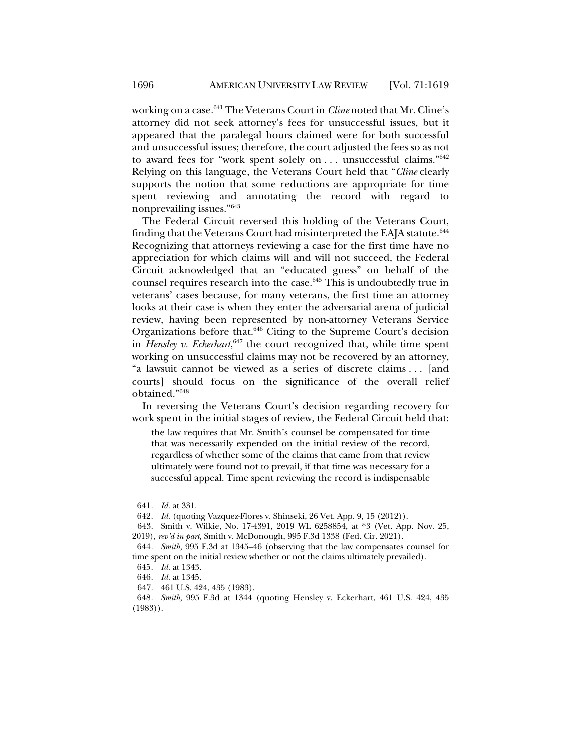working on a case.641 The Veterans Court in *Cline* noted that Mr. Cline's attorney did not seek attorney's fees for unsuccessful issues, but it appeared that the paralegal hours claimed were for both successful and unsuccessful issues; therefore, the court adjusted the fees so as not to award fees for "work spent solely on ... unsuccessful claims."<sup>642</sup> Relying on this language, the Veterans Court held that "*Cline* clearly supports the notion that some reductions are appropriate for time spent reviewing and annotating the record with regard to nonprevailing issues."643

The Federal Circuit reversed this holding of the Veterans Court, finding that the Veterans Court had misinterpreted the EAJA statute.<sup>644</sup> Recognizing that attorneys reviewing a case for the first time have no appreciation for which claims will and will not succeed, the Federal Circuit acknowledged that an "educated guess" on behalf of the counsel requires research into the case.<sup>645</sup> This is undoubtedly true in veterans' cases because, for many veterans, the first time an attorney looks at their case is when they enter the adversarial arena of judicial review, having been represented by non-attorney Veterans Service Organizations before that.646 Citing to the Supreme Court's decision in *Hensley v. Eckerhart*, <sup>647</sup> the court recognized that, while time spent working on unsuccessful claims may not be recovered by an attorney, "a lawsuit cannot be viewed as a series of discrete claims . . . [and courts] should focus on the significance of the overall relief obtained."648

In reversing the Veterans Court's decision regarding recovery for work spent in the initial stages of review, the Federal Circuit held that:

the law requires that Mr. Smith's counsel be compensated for time that was necessarily expended on the initial review of the record, regardless of whether some of the claims that came from that review ultimately were found not to prevail, if that time was necessary for a successful appeal. Time spent reviewing the record is indispensable

<sup>641</sup>*. Id.* at 331.

<sup>642</sup>*. Id.* (quoting Vazquez-Flores v. Shinseki, 26 Vet. App. 9, 15 (2012)).

<sup>643.</sup> Smith v. Wilkie, No. 17-4391, 2019 WL 6258854, at \*3 (Vet. App. Nov. 25, 2019), *rev'd in part*, Smith v. McDonough, 995 F.3d 1338 (Fed. Cir. 2021).

<sup>644</sup>*. Smith*, 995 F.3d at 1345–46 (observing that the law compensates counsel for time spent on the initial review whether or not the claims ultimately prevailed).

<sup>645</sup>*. Id.* at 1343.

<sup>646</sup>*. Id.* at 1345.

<sup>647.</sup> 461 U.S. 424, 435 (1983).

<sup>648</sup>*. Smith*, 995 F.3d at 1344 (quoting Hensley v. Eckerhart, 461 U.S. 424, 435 (1983)).